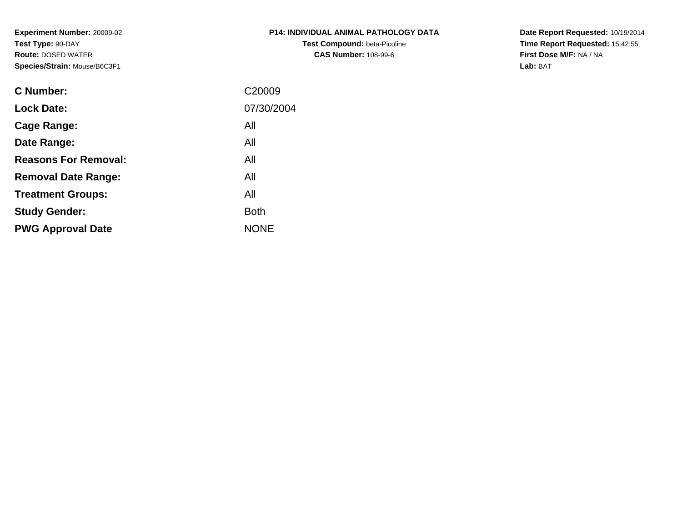**Experiment Number:** 20009-02**Test Type:** 90-DAY **Route:** DOSED WATER**Species/Strain:** Mouse/B6C3F1

| <b>P14: INDIVIDUAL ANIMAL PATHOLOGY DATA</b> |
|----------------------------------------------|
| <b>Test Compound: beta-Picoline</b>          |
| <b>CAS Number: 108-99-6</b>                  |

**Date Report Requested:** 10/19/2014 **Time Report Requested:** 15:42:55**First Dose M/F:** NA / NA**Lab:** BAT

| C Number:                   | C <sub>20009</sub> |
|-----------------------------|--------------------|
| <b>Lock Date:</b>           | 07/30/2004         |
| Cage Range:                 | All                |
| Date Range:                 | All                |
| <b>Reasons For Removal:</b> | All                |
| <b>Removal Date Range:</b>  | All                |
| <b>Treatment Groups:</b>    | All                |
| <b>Study Gender:</b>        | <b>Both</b>        |
| <b>PWG Approval Date</b>    | <b>NONE</b>        |
|                             |                    |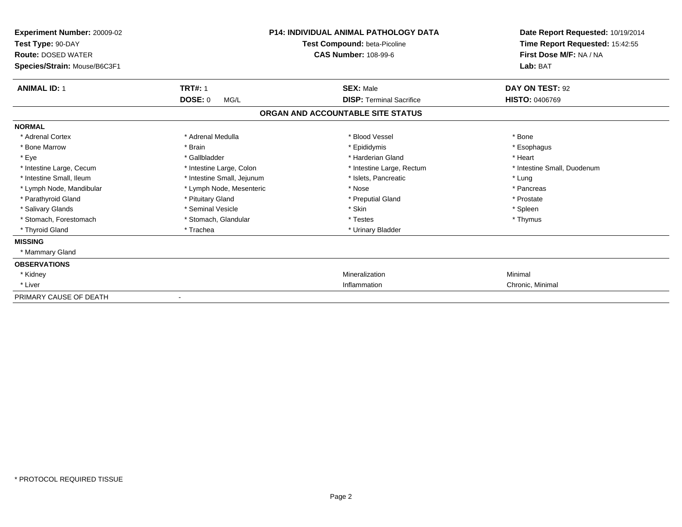| Experiment Number: 20009-02<br>Test Type: 90-DAY<br><b>Route: DOSED WATER</b><br>Species/Strain: Mouse/B6C3F1 | <b>P14: INDIVIDUAL ANIMAL PATHOLOGY DATA</b><br>Test Compound: beta-Picoline<br><b>CAS Number: 108-99-6</b> |                                   | Date Report Requested: 10/19/2014<br>Time Report Requested: 15:42:55<br>First Dose M/F: NA / NA<br>Lab: BAT |  |
|---------------------------------------------------------------------------------------------------------------|-------------------------------------------------------------------------------------------------------------|-----------------------------------|-------------------------------------------------------------------------------------------------------------|--|
| <b>ANIMAL ID: 1</b>                                                                                           | <b>TRT#: 1</b>                                                                                              | <b>SEX: Male</b>                  | DAY ON TEST: 92                                                                                             |  |
|                                                                                                               | <b>DOSE: 0</b><br>MG/L                                                                                      | <b>DISP: Terminal Sacrifice</b>   | <b>HISTO: 0406769</b>                                                                                       |  |
|                                                                                                               |                                                                                                             | ORGAN AND ACCOUNTABLE SITE STATUS |                                                                                                             |  |
| <b>NORMAL</b>                                                                                                 |                                                                                                             |                                   |                                                                                                             |  |
| * Adrenal Cortex                                                                                              | * Adrenal Medulla                                                                                           | * Blood Vessel                    | * Bone                                                                                                      |  |
| * Bone Marrow                                                                                                 | * Brain                                                                                                     | * Epididymis                      | * Esophagus                                                                                                 |  |
| * Eye                                                                                                         | * Gallbladder                                                                                               | * Harderian Gland                 | * Heart                                                                                                     |  |
| * Intestine Large, Cecum                                                                                      | * Intestine Large, Colon                                                                                    | * Intestine Large, Rectum         | * Intestine Small, Duodenum                                                                                 |  |
| * Intestine Small, Ileum                                                                                      | * Intestine Small, Jejunum                                                                                  | * Islets, Pancreatic              | * Lung                                                                                                      |  |
| * Lymph Node, Mandibular                                                                                      | * Lymph Node, Mesenteric                                                                                    | * Nose                            | * Pancreas                                                                                                  |  |
| * Parathyroid Gland                                                                                           | * Pituitary Gland                                                                                           | * Preputial Gland                 | * Prostate                                                                                                  |  |
| * Salivary Glands                                                                                             | * Seminal Vesicle                                                                                           | * Skin                            | * Spleen                                                                                                    |  |
| * Stomach, Forestomach                                                                                        | * Stomach, Glandular                                                                                        | * Testes                          | * Thymus                                                                                                    |  |
| * Thyroid Gland                                                                                               | * Trachea                                                                                                   | * Urinary Bladder                 |                                                                                                             |  |
| <b>MISSING</b>                                                                                                |                                                                                                             |                                   |                                                                                                             |  |
| * Mammary Gland                                                                                               |                                                                                                             |                                   |                                                                                                             |  |
| <b>OBSERVATIONS</b>                                                                                           |                                                                                                             |                                   |                                                                                                             |  |
| * Kidney                                                                                                      |                                                                                                             | Mineralization                    | Minimal                                                                                                     |  |
| * Liver                                                                                                       |                                                                                                             | Inflammation                      | Chronic, Minimal                                                                                            |  |
| PRIMARY CAUSE OF DEATH                                                                                        |                                                                                                             |                                   |                                                                                                             |  |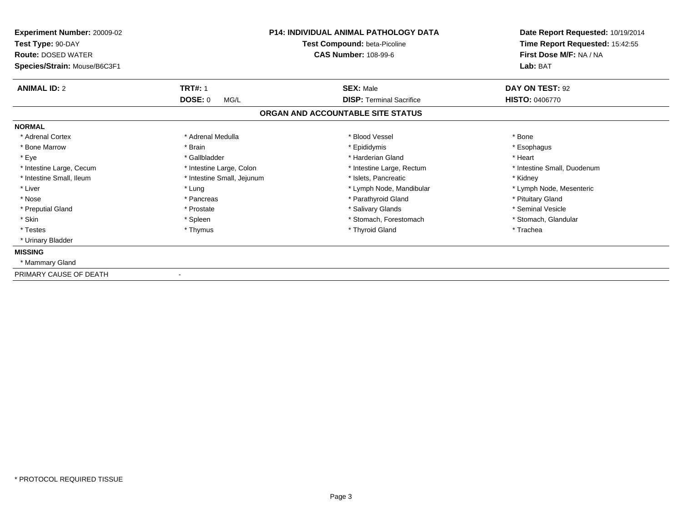| Experiment Number: 20009-02<br>Test Type: 90-DAY<br><b>Route: DOSED WATER</b><br>Species/Strain: Mouse/B6C3F1 |                            | <b>P14: INDIVIDUAL ANIMAL PATHOLOGY DATA</b><br>Test Compound: beta-Picoline<br><b>CAS Number: 108-99-6</b> | Date Report Requested: 10/19/2014<br>Time Report Requested: 15:42:55<br>First Dose M/F: NA / NA<br>Lab: BAT |
|---------------------------------------------------------------------------------------------------------------|----------------------------|-------------------------------------------------------------------------------------------------------------|-------------------------------------------------------------------------------------------------------------|
| <b>ANIMAL ID: 2</b>                                                                                           | <b>TRT#: 1</b><br>DOSE: 0  | <b>SEX: Male</b><br><b>DISP: Terminal Sacrifice</b>                                                         | DAY ON TEST: 92<br><b>HISTO: 0406770</b>                                                                    |
|                                                                                                               | MG/L                       | ORGAN AND ACCOUNTABLE SITE STATUS                                                                           |                                                                                                             |
| <b>NORMAL</b>                                                                                                 |                            |                                                                                                             |                                                                                                             |
| * Adrenal Cortex                                                                                              | * Adrenal Medulla          | * Blood Vessel                                                                                              | * Bone                                                                                                      |
| * Bone Marrow                                                                                                 | * Brain                    | * Epididymis                                                                                                | * Esophagus                                                                                                 |
| * Eye                                                                                                         | * Gallbladder              | * Harderian Gland                                                                                           | * Heart                                                                                                     |
| * Intestine Large, Cecum                                                                                      | * Intestine Large, Colon   | * Intestine Large, Rectum                                                                                   | * Intestine Small, Duodenum                                                                                 |
| * Intestine Small, Ileum                                                                                      | * Intestine Small, Jejunum | * Islets. Pancreatic                                                                                        | * Kidney                                                                                                    |
| * Liver                                                                                                       | * Lung                     | * Lymph Node, Mandibular                                                                                    | * Lymph Node, Mesenteric                                                                                    |
| * Nose                                                                                                        | * Pancreas                 | * Parathyroid Gland                                                                                         | * Pituitary Gland                                                                                           |
| * Preputial Gland                                                                                             | * Prostate                 | * Salivary Glands                                                                                           | * Seminal Vesicle                                                                                           |
| * Skin                                                                                                        | * Spleen                   | * Stomach, Forestomach                                                                                      | * Stomach, Glandular                                                                                        |
| * Testes                                                                                                      | * Thymus                   | * Thyroid Gland                                                                                             | * Trachea                                                                                                   |
| * Urinary Bladder                                                                                             |                            |                                                                                                             |                                                                                                             |
| <b>MISSING</b>                                                                                                |                            |                                                                                                             |                                                                                                             |
| * Mammary Gland                                                                                               |                            |                                                                                                             |                                                                                                             |
| PRIMARY CAUSE OF DEATH                                                                                        |                            |                                                                                                             |                                                                                                             |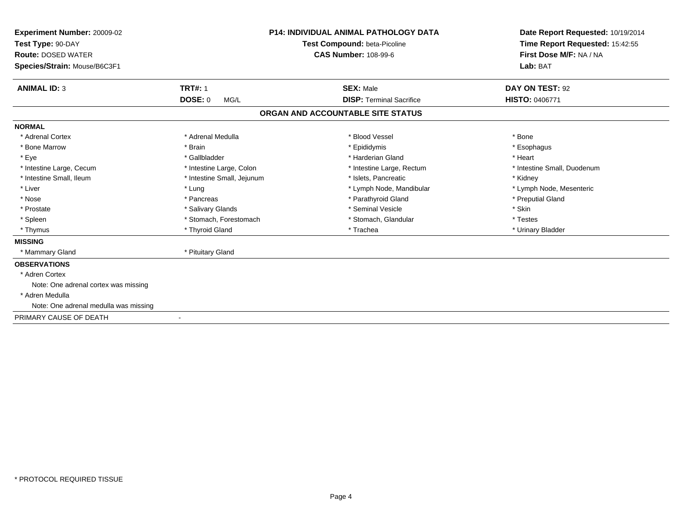| <b>Experiment Number: 20009-02</b><br>Test Type: 90-DAY |                            | <b>P14: INDIVIDUAL ANIMAL PATHOLOGY DATA</b> | Date Report Requested: 10/19/2014 |
|---------------------------------------------------------|----------------------------|----------------------------------------------|-----------------------------------|
|                                                         |                            | <b>Test Compound: beta-Picoline</b>          | Time Report Requested: 15:42:55   |
| <b>Route: DOSED WATER</b>                               |                            | <b>CAS Number: 108-99-6</b>                  | First Dose M/F: NA / NA           |
| Species/Strain: Mouse/B6C3F1                            |                            |                                              | Lab: BAT                          |
| <b>ANIMAL ID: 3</b>                                     | <b>TRT#: 1</b>             | <b>SEX: Male</b>                             | DAY ON TEST: 92                   |
|                                                         | <b>DOSE: 0</b><br>MG/L     | <b>DISP: Terminal Sacrifice</b>              | <b>HISTO: 0406771</b>             |
|                                                         |                            | ORGAN AND ACCOUNTABLE SITE STATUS            |                                   |
| <b>NORMAL</b>                                           |                            |                                              |                                   |
| * Adrenal Cortex                                        | * Adrenal Medulla          | * Blood Vessel                               | * Bone                            |
| * Bone Marrow                                           | * Brain                    | * Epididymis                                 | * Esophagus                       |
| * Eye                                                   | * Gallbladder              | * Harderian Gland                            | * Heart                           |
| * Intestine Large, Cecum                                | * Intestine Large, Colon   | * Intestine Large, Rectum                    | * Intestine Small, Duodenum       |
| * Intestine Small, Ileum                                | * Intestine Small, Jejunum | * Islets. Pancreatic                         | * Kidney                          |
| * Liver                                                 | * Lung                     | * Lymph Node, Mandibular                     | * Lymph Node, Mesenteric          |
| * Nose                                                  | * Pancreas                 | * Parathyroid Gland                          | * Preputial Gland                 |
| * Prostate                                              | * Salivary Glands          | * Seminal Vesicle                            | * Skin                            |
| * Spleen                                                | * Stomach, Forestomach     | * Stomach, Glandular                         | * Testes                          |
| * Thymus                                                | * Thyroid Gland            | * Trachea                                    | * Urinary Bladder                 |
| <b>MISSING</b>                                          |                            |                                              |                                   |
| * Mammary Gland                                         | * Pituitary Gland          |                                              |                                   |
| <b>OBSERVATIONS</b>                                     |                            |                                              |                                   |
| * Adren Cortex                                          |                            |                                              |                                   |
| Note: One adrenal cortex was missing                    |                            |                                              |                                   |
| * Adren Medulla                                         |                            |                                              |                                   |
| Note: One adrenal medulla was missing                   |                            |                                              |                                   |
| PRIMARY CAUSE OF DEATH                                  |                            |                                              |                                   |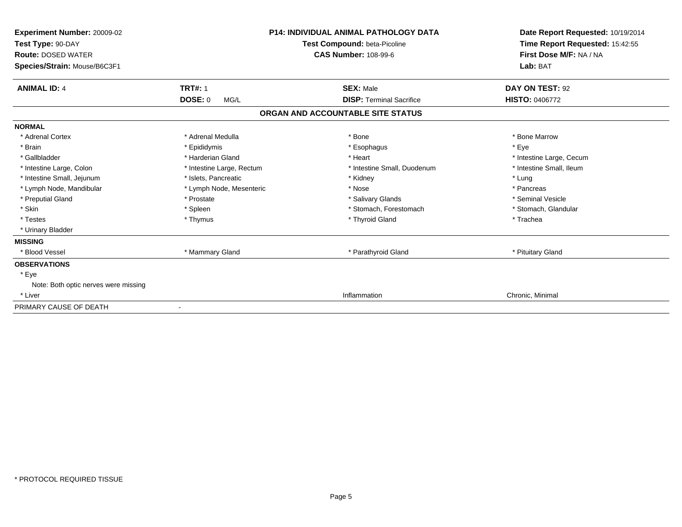| Experiment Number: 20009-02<br>Test Type: 90-DAY<br><b>Route: DOSED WATER</b><br>Species/Strain: Mouse/B6C3F1 |                           | <b>P14: INDIVIDUAL ANIMAL PATHOLOGY DATA</b><br>Test Compound: beta-Picoline<br><b>CAS Number: 108-99-6</b> | Date Report Requested: 10/19/2014<br>Time Report Requested: 15:42:55<br>First Dose M/F: NA / NA<br>Lab: BAT |
|---------------------------------------------------------------------------------------------------------------|---------------------------|-------------------------------------------------------------------------------------------------------------|-------------------------------------------------------------------------------------------------------------|
| <b>ANIMAL ID: 4</b>                                                                                           | <b>TRT#: 1</b>            | <b>SEX: Male</b>                                                                                            | DAY ON TEST: 92                                                                                             |
|                                                                                                               | <b>DOSE: 0</b><br>MG/L    | <b>DISP: Terminal Sacrifice</b>                                                                             | <b>HISTO: 0406772</b>                                                                                       |
|                                                                                                               |                           | ORGAN AND ACCOUNTABLE SITE STATUS                                                                           |                                                                                                             |
| <b>NORMAL</b>                                                                                                 |                           |                                                                                                             |                                                                                                             |
| * Adrenal Cortex                                                                                              | * Adrenal Medulla         | * Bone                                                                                                      | * Bone Marrow                                                                                               |
| * Brain                                                                                                       | * Epididymis              | * Esophagus                                                                                                 | * Eye                                                                                                       |
| * Gallbladder                                                                                                 | * Harderian Gland         | * Heart                                                                                                     | * Intestine Large, Cecum                                                                                    |
| * Intestine Large, Colon                                                                                      | * Intestine Large, Rectum | * Intestine Small, Duodenum                                                                                 | * Intestine Small, Ileum                                                                                    |
| * Intestine Small, Jejunum                                                                                    | * Islets. Pancreatic      | * Kidney                                                                                                    | * Lung                                                                                                      |
| * Lymph Node, Mandibular                                                                                      | * Lymph Node, Mesenteric  | * Nose                                                                                                      | * Pancreas                                                                                                  |
| * Preputial Gland                                                                                             | * Prostate                | * Salivary Glands                                                                                           | * Seminal Vesicle                                                                                           |
| * Skin                                                                                                        | * Spleen                  | * Stomach, Forestomach                                                                                      | * Stomach, Glandular                                                                                        |
| * Testes                                                                                                      | * Thymus                  | * Thyroid Gland                                                                                             | * Trachea                                                                                                   |
| * Urinary Bladder                                                                                             |                           |                                                                                                             |                                                                                                             |
| <b>MISSING</b>                                                                                                |                           |                                                                                                             |                                                                                                             |
| * Blood Vessel                                                                                                | * Mammary Gland           | * Parathyroid Gland                                                                                         | * Pituitary Gland                                                                                           |
| <b>OBSERVATIONS</b>                                                                                           |                           |                                                                                                             |                                                                                                             |
| * Eye                                                                                                         |                           |                                                                                                             |                                                                                                             |
| Note: Both optic nerves were missing                                                                          |                           |                                                                                                             |                                                                                                             |
| * Liver                                                                                                       |                           | Inflammation                                                                                                | Chronic, Minimal                                                                                            |
| PRIMARY CAUSE OF DEATH                                                                                        |                           |                                                                                                             |                                                                                                             |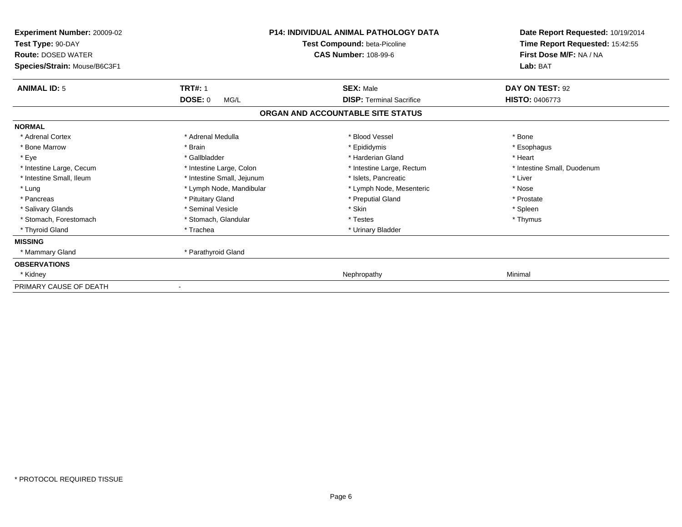| Experiment Number: 20009-02<br>Test Type: 90-DAY<br><b>Route: DOSED WATER</b><br>Species/Strain: Mouse/B6C3F1 |                            | <b>P14: INDIVIDUAL ANIMAL PATHOLOGY DATA</b><br>Test Compound: beta-Picoline<br><b>CAS Number: 108-99-6</b> | Date Report Requested: 10/19/2014<br>Time Report Requested: 15:42:55<br>First Dose M/F: NA / NA<br>Lab: BAT |
|---------------------------------------------------------------------------------------------------------------|----------------------------|-------------------------------------------------------------------------------------------------------------|-------------------------------------------------------------------------------------------------------------|
| <b>ANIMAL ID: 5</b>                                                                                           | <b>TRT#: 1</b>             | <b>SEX: Male</b>                                                                                            | DAY ON TEST: 92                                                                                             |
|                                                                                                               | <b>DOSE: 0</b><br>MG/L     | <b>DISP: Terminal Sacrifice</b>                                                                             | <b>HISTO: 0406773</b>                                                                                       |
|                                                                                                               |                            | ORGAN AND ACCOUNTABLE SITE STATUS                                                                           |                                                                                                             |
| <b>NORMAL</b>                                                                                                 |                            |                                                                                                             |                                                                                                             |
| * Adrenal Cortex                                                                                              | * Adrenal Medulla          | * Blood Vessel                                                                                              | * Bone                                                                                                      |
| * Bone Marrow                                                                                                 | * Brain                    | * Epididymis                                                                                                | * Esophagus                                                                                                 |
| * Eye                                                                                                         | * Gallbladder              | * Harderian Gland                                                                                           | * Heart                                                                                                     |
| * Intestine Large, Cecum                                                                                      | * Intestine Large, Colon   | * Intestine Large, Rectum                                                                                   | * Intestine Small, Duodenum                                                                                 |
| * Intestine Small, Ileum                                                                                      | * Intestine Small, Jejunum | * Islets, Pancreatic                                                                                        | * Liver                                                                                                     |
| * Lung                                                                                                        | * Lymph Node, Mandibular   | * Lymph Node, Mesenteric                                                                                    | * Nose                                                                                                      |
| * Pancreas                                                                                                    | * Pituitary Gland          | * Preputial Gland                                                                                           | * Prostate                                                                                                  |
| * Salivary Glands                                                                                             | * Seminal Vesicle          | * Skin                                                                                                      | * Spleen                                                                                                    |
| * Stomach, Forestomach                                                                                        | * Stomach, Glandular       | * Testes                                                                                                    | * Thymus                                                                                                    |
| * Thyroid Gland                                                                                               | * Trachea                  | * Urinary Bladder                                                                                           |                                                                                                             |
| <b>MISSING</b>                                                                                                |                            |                                                                                                             |                                                                                                             |
| * Mammary Gland                                                                                               | * Parathyroid Gland        |                                                                                                             |                                                                                                             |
| <b>OBSERVATIONS</b>                                                                                           |                            |                                                                                                             |                                                                                                             |
| * Kidney                                                                                                      |                            | Nephropathy                                                                                                 | Minimal                                                                                                     |
| PRIMARY CAUSE OF DEATH                                                                                        |                            |                                                                                                             |                                                                                                             |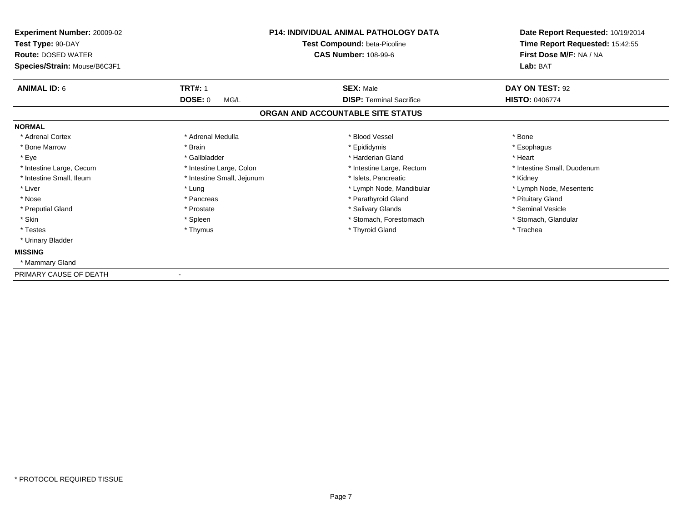| Experiment Number: 20009-02<br>Test Type: 90-DAY<br><b>Route: DOSED WATER</b><br>Species/Strain: Mouse/B6C3F1 |                            | <b>P14: INDIVIDUAL ANIMAL PATHOLOGY DATA</b><br>Test Compound: beta-Picoline<br><b>CAS Number: 108-99-6</b> | Date Report Requested: 10/19/2014<br>Time Report Requested: 15:42:55<br>First Dose M/F: NA / NA<br>Lab: BAT |
|---------------------------------------------------------------------------------------------------------------|----------------------------|-------------------------------------------------------------------------------------------------------------|-------------------------------------------------------------------------------------------------------------|
| <b>ANIMAL ID: 6</b>                                                                                           | <b>TRT#: 1</b>             | <b>SEX: Male</b>                                                                                            | DAY ON TEST: 92                                                                                             |
|                                                                                                               | DOSE: 0<br>MG/L            | <b>DISP: Terminal Sacrifice</b><br>ORGAN AND ACCOUNTABLE SITE STATUS                                        | <b>HISTO: 0406774</b>                                                                                       |
| <b>NORMAL</b>                                                                                                 |                            |                                                                                                             |                                                                                                             |
| * Adrenal Cortex                                                                                              | * Adrenal Medulla          | * Blood Vessel                                                                                              | * Bone                                                                                                      |
| * Bone Marrow                                                                                                 | * Brain                    | * Epididymis                                                                                                | * Esophagus                                                                                                 |
| * Eye                                                                                                         | * Gallbladder              | * Harderian Gland                                                                                           | * Heart                                                                                                     |
| * Intestine Large, Cecum                                                                                      | * Intestine Large, Colon   | * Intestine Large, Rectum                                                                                   | * Intestine Small, Duodenum                                                                                 |
| * Intestine Small, Ileum                                                                                      | * Intestine Small, Jejunum | * Islets. Pancreatic                                                                                        | * Kidney                                                                                                    |
| * Liver                                                                                                       | * Lung                     | * Lymph Node, Mandibular                                                                                    | * Lymph Node, Mesenteric                                                                                    |
| * Nose                                                                                                        | * Pancreas                 | * Parathyroid Gland                                                                                         | * Pituitary Gland                                                                                           |
| * Preputial Gland                                                                                             | * Prostate                 | * Salivary Glands                                                                                           | * Seminal Vesicle                                                                                           |
| * Skin                                                                                                        | * Spleen                   | * Stomach, Forestomach                                                                                      | * Stomach, Glandular                                                                                        |
| * Testes                                                                                                      | * Thymus                   | * Thyroid Gland                                                                                             | * Trachea                                                                                                   |
| * Urinary Bladder                                                                                             |                            |                                                                                                             |                                                                                                             |
| <b>MISSING</b>                                                                                                |                            |                                                                                                             |                                                                                                             |
| * Mammary Gland                                                                                               |                            |                                                                                                             |                                                                                                             |
| PRIMARY CAUSE OF DEATH                                                                                        |                            |                                                                                                             |                                                                                                             |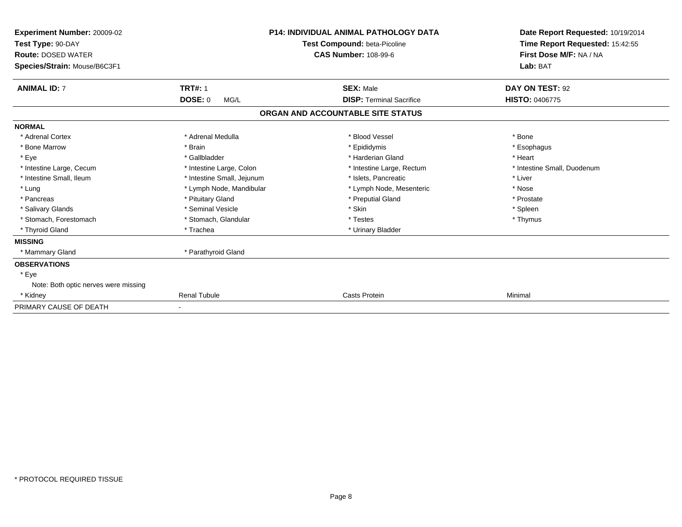| <b>Experiment Number: 20009-02</b><br>Test Type: 90-DAY<br><b>Route: DOSED WATER</b><br>Species/Strain: Mouse/B6C3F1 |                            | <b>P14: INDIVIDUAL ANIMAL PATHOLOGY DATA</b><br>Test Compound: beta-Picoline<br><b>CAS Number: 108-99-6</b> | Date Report Requested: 10/19/2014<br>Time Report Requested: 15:42:55<br>First Dose M/F: NA / NA<br>Lab: BAT |
|----------------------------------------------------------------------------------------------------------------------|----------------------------|-------------------------------------------------------------------------------------------------------------|-------------------------------------------------------------------------------------------------------------|
| <b>ANIMAL ID: 7</b>                                                                                                  | <b>TRT#: 1</b>             | <b>SEX: Male</b>                                                                                            | DAY ON TEST: 92                                                                                             |
|                                                                                                                      | <b>DOSE: 0</b><br>MG/L     | <b>DISP: Terminal Sacrifice</b>                                                                             | <b>HISTO: 0406775</b>                                                                                       |
|                                                                                                                      |                            | ORGAN AND ACCOUNTABLE SITE STATUS                                                                           |                                                                                                             |
| <b>NORMAL</b>                                                                                                        |                            |                                                                                                             |                                                                                                             |
| * Adrenal Cortex                                                                                                     | * Adrenal Medulla          | * Blood Vessel                                                                                              | * Bone                                                                                                      |
| * Bone Marrow                                                                                                        | * Brain                    | * Epididymis                                                                                                | * Esophagus                                                                                                 |
| * Eye                                                                                                                | * Gallbladder              | * Harderian Gland                                                                                           | * Heart                                                                                                     |
| * Intestine Large, Cecum                                                                                             | * Intestine Large, Colon   | * Intestine Large, Rectum                                                                                   | * Intestine Small, Duodenum                                                                                 |
| * Intestine Small. Ileum                                                                                             | * Intestine Small, Jejunum | * Islets. Pancreatic                                                                                        | * Liver                                                                                                     |
| * Lung                                                                                                               | * Lymph Node, Mandibular   | * Lymph Node, Mesenteric                                                                                    | * Nose                                                                                                      |
| * Pancreas                                                                                                           | * Pituitary Gland          | * Preputial Gland                                                                                           | * Prostate                                                                                                  |
| * Salivary Glands                                                                                                    | * Seminal Vesicle          | * Skin                                                                                                      | * Spleen                                                                                                    |
| * Stomach, Forestomach                                                                                               | * Stomach, Glandular       | * Testes                                                                                                    | * Thymus                                                                                                    |
| * Thyroid Gland                                                                                                      | * Trachea                  | * Urinary Bladder                                                                                           |                                                                                                             |
| <b>MISSING</b>                                                                                                       |                            |                                                                                                             |                                                                                                             |
| * Mammary Gland                                                                                                      | * Parathyroid Gland        |                                                                                                             |                                                                                                             |
| <b>OBSERVATIONS</b>                                                                                                  |                            |                                                                                                             |                                                                                                             |
| * Eye                                                                                                                |                            |                                                                                                             |                                                                                                             |
| Note: Both optic nerves were missing                                                                                 |                            |                                                                                                             |                                                                                                             |
| * Kidney                                                                                                             | <b>Renal Tubule</b>        | Casts Protein                                                                                               | Minimal                                                                                                     |
| PRIMARY CAUSE OF DEATH                                                                                               |                            |                                                                                                             |                                                                                                             |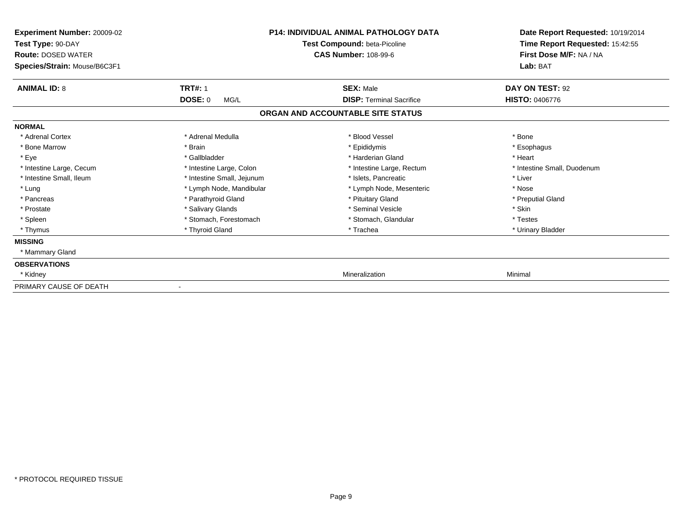| <b>Experiment Number: 20009-02</b><br>Test Type: 90-DAY<br><b>Route: DOSED WATER</b><br>Species/Strain: Mouse/B6C3F1 |                            | <b>P14: INDIVIDUAL ANIMAL PATHOLOGY DATA</b><br>Test Compound: beta-Picoline<br><b>CAS Number: 108-99-6</b> | Date Report Requested: 10/19/2014<br>Time Report Requested: 15:42:55<br>First Dose M/F: NA / NA<br>Lab: BAT |
|----------------------------------------------------------------------------------------------------------------------|----------------------------|-------------------------------------------------------------------------------------------------------------|-------------------------------------------------------------------------------------------------------------|
| <b>ANIMAL ID: 8</b>                                                                                                  | <b>TRT#: 1</b>             | <b>SEX: Male</b>                                                                                            | DAY ON TEST: 92                                                                                             |
|                                                                                                                      | <b>DOSE: 0</b><br>MG/L     | <b>DISP: Terminal Sacrifice</b>                                                                             | <b>HISTO: 0406776</b>                                                                                       |
|                                                                                                                      |                            | ORGAN AND ACCOUNTABLE SITE STATUS                                                                           |                                                                                                             |
| <b>NORMAL</b>                                                                                                        |                            |                                                                                                             |                                                                                                             |
| * Adrenal Cortex                                                                                                     | * Adrenal Medulla          | * Blood Vessel                                                                                              | * Bone                                                                                                      |
| * Bone Marrow                                                                                                        | * Brain                    | * Epididymis                                                                                                | * Esophagus                                                                                                 |
| * Eye                                                                                                                | * Gallbladder              | * Harderian Gland                                                                                           | * Heart                                                                                                     |
| * Intestine Large, Cecum                                                                                             | * Intestine Large, Colon   | * Intestine Large, Rectum                                                                                   | * Intestine Small, Duodenum                                                                                 |
| * Intestine Small, Ileum                                                                                             | * Intestine Small, Jejunum | * Islets, Pancreatic                                                                                        | * Liver                                                                                                     |
| * Lung                                                                                                               | * Lymph Node, Mandibular   | * Lymph Node, Mesenteric                                                                                    | * Nose                                                                                                      |
| * Pancreas                                                                                                           | * Parathyroid Gland        | * Pituitary Gland                                                                                           | * Preputial Gland                                                                                           |
| * Prostate                                                                                                           | * Salivary Glands          | * Seminal Vesicle                                                                                           | * Skin                                                                                                      |
| * Spleen                                                                                                             | * Stomach. Forestomach     | * Stomach, Glandular                                                                                        | * Testes                                                                                                    |
| * Thymus                                                                                                             | * Thyroid Gland            | * Trachea                                                                                                   | * Urinary Bladder                                                                                           |
| <b>MISSING</b>                                                                                                       |                            |                                                                                                             |                                                                                                             |
| * Mammary Gland                                                                                                      |                            |                                                                                                             |                                                                                                             |
| <b>OBSERVATIONS</b>                                                                                                  |                            |                                                                                                             |                                                                                                             |
| * Kidney                                                                                                             |                            | Mineralization                                                                                              | Minimal                                                                                                     |
| PRIMARY CAUSE OF DEATH                                                                                               |                            |                                                                                                             |                                                                                                             |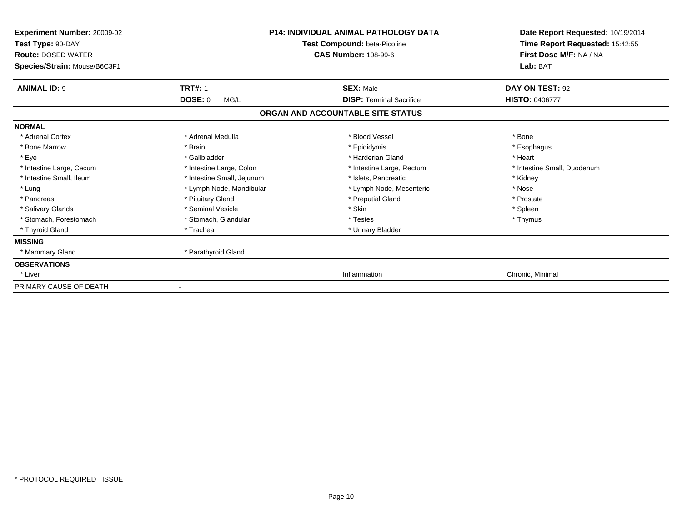| Experiment Number: 20009-02<br>Test Type: 90-DAY<br><b>Route: DOSED WATER</b><br>Species/Strain: Mouse/B6C3F1 | <b>P14: INDIVIDUAL ANIMAL PATHOLOGY DATA</b><br>Test Compound: beta-Picoline<br><b>CAS Number: 108-99-6</b> |                                                     | Date Report Requested: 10/19/2014<br>Time Report Requested: 15:42:55<br>First Dose M/F: NA / NA<br>Lab: BAT |  |
|---------------------------------------------------------------------------------------------------------------|-------------------------------------------------------------------------------------------------------------|-----------------------------------------------------|-------------------------------------------------------------------------------------------------------------|--|
|                                                                                                               |                                                                                                             |                                                     |                                                                                                             |  |
| <b>ANIMAL ID: 9</b>                                                                                           | <b>TRT#: 1</b><br><b>DOSE: 0</b><br>MG/L                                                                    | <b>SEX: Male</b><br><b>DISP:</b> Terminal Sacrifice | DAY ON TEST: 92<br><b>HISTO: 0406777</b>                                                                    |  |
|                                                                                                               |                                                                                                             | ORGAN AND ACCOUNTABLE SITE STATUS                   |                                                                                                             |  |
|                                                                                                               |                                                                                                             |                                                     |                                                                                                             |  |
| <b>NORMAL</b>                                                                                                 |                                                                                                             |                                                     |                                                                                                             |  |
| * Adrenal Cortex                                                                                              | * Adrenal Medulla                                                                                           | * Blood Vessel                                      | * Bone                                                                                                      |  |
| * Bone Marrow                                                                                                 | * Brain                                                                                                     | * Epididymis                                        | * Esophagus                                                                                                 |  |
| * Eye                                                                                                         | * Gallbladder                                                                                               | * Harderian Gland                                   | * Heart                                                                                                     |  |
| * Intestine Large, Cecum                                                                                      | * Intestine Large, Colon                                                                                    | * Intestine Large, Rectum                           | * Intestine Small, Duodenum                                                                                 |  |
| * Intestine Small, Ileum                                                                                      | * Intestine Small, Jejunum                                                                                  | * Islets, Pancreatic                                | * Kidney                                                                                                    |  |
| * Lung                                                                                                        | * Lymph Node, Mandibular                                                                                    | * Lymph Node, Mesenteric                            | * Nose                                                                                                      |  |
| * Pancreas                                                                                                    | * Pituitary Gland                                                                                           | * Preputial Gland                                   | * Prostate                                                                                                  |  |
| * Salivary Glands                                                                                             | * Seminal Vesicle                                                                                           | * Skin                                              | * Spleen                                                                                                    |  |
| * Stomach, Forestomach                                                                                        | * Stomach, Glandular                                                                                        | * Testes                                            | * Thymus                                                                                                    |  |
| * Thyroid Gland                                                                                               | * Trachea                                                                                                   | * Urinary Bladder                                   |                                                                                                             |  |
| <b>MISSING</b>                                                                                                |                                                                                                             |                                                     |                                                                                                             |  |
| * Mammary Gland                                                                                               | * Parathyroid Gland                                                                                         |                                                     |                                                                                                             |  |
| <b>OBSERVATIONS</b>                                                                                           |                                                                                                             |                                                     |                                                                                                             |  |
| * Liver                                                                                                       |                                                                                                             | Inflammation                                        | Chronic, Minimal                                                                                            |  |
| PRIMARY CAUSE OF DEATH                                                                                        |                                                                                                             |                                                     |                                                                                                             |  |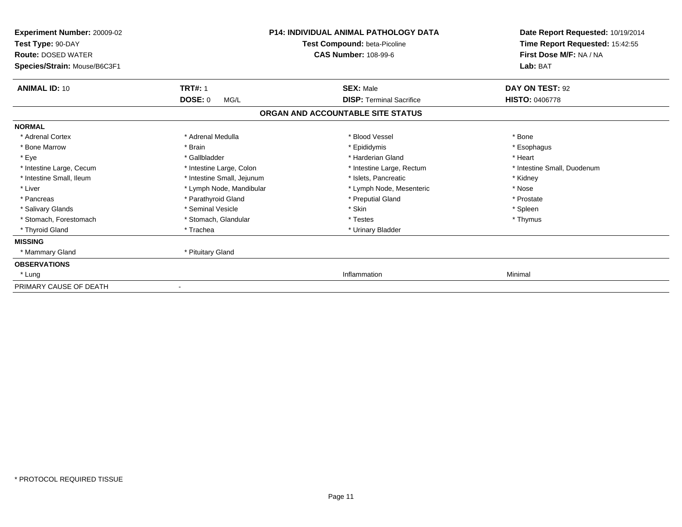| Experiment Number: 20009-02<br>Test Type: 90-DAY<br><b>Route: DOSED WATER</b> | <b>P14: INDIVIDUAL ANIMAL PATHOLOGY DATA</b><br>Test Compound: beta-Picoline<br><b>CAS Number: 108-99-6</b> |                                   | Date Report Requested: 10/19/2014<br>Time Report Requested: 15:42:55<br>First Dose M/F: NA / NA |  |
|-------------------------------------------------------------------------------|-------------------------------------------------------------------------------------------------------------|-----------------------------------|-------------------------------------------------------------------------------------------------|--|
| Species/Strain: Mouse/B6C3F1                                                  |                                                                                                             |                                   | Lab: BAT                                                                                        |  |
| <b>ANIMAL ID: 10</b>                                                          | <b>TRT#: 1</b>                                                                                              | <b>SEX: Male</b>                  | DAY ON TEST: 92                                                                                 |  |
|                                                                               | <b>DOSE: 0</b><br>MG/L                                                                                      | <b>DISP: Terminal Sacrifice</b>   | <b>HISTO: 0406778</b>                                                                           |  |
|                                                                               |                                                                                                             | ORGAN AND ACCOUNTABLE SITE STATUS |                                                                                                 |  |
| <b>NORMAL</b>                                                                 |                                                                                                             |                                   |                                                                                                 |  |
| * Adrenal Cortex                                                              | * Adrenal Medulla                                                                                           | * Blood Vessel                    | * Bone                                                                                          |  |
| * Bone Marrow                                                                 | * Brain                                                                                                     | * Epididymis                      | * Esophagus                                                                                     |  |
| * Eye                                                                         | * Gallbladder                                                                                               | * Harderian Gland                 | * Heart                                                                                         |  |
| * Intestine Large, Cecum                                                      | * Intestine Large, Colon                                                                                    | * Intestine Large, Rectum         | * Intestine Small, Duodenum                                                                     |  |
| * Intestine Small, Ileum                                                      | * Intestine Small, Jejunum                                                                                  | * Islets, Pancreatic              | * Kidney                                                                                        |  |
| * Liver                                                                       | * Lymph Node, Mandibular                                                                                    | * Lymph Node, Mesenteric          | * Nose                                                                                          |  |
| * Pancreas                                                                    | * Parathyroid Gland                                                                                         | * Preputial Gland                 | * Prostate                                                                                      |  |
| * Salivary Glands                                                             | * Seminal Vesicle                                                                                           | * Skin                            | * Spleen                                                                                        |  |
| * Stomach, Forestomach                                                        | * Stomach, Glandular                                                                                        | * Testes                          | * Thymus                                                                                        |  |
| * Thyroid Gland                                                               | * Trachea                                                                                                   | * Urinary Bladder                 |                                                                                                 |  |
| <b>MISSING</b>                                                                |                                                                                                             |                                   |                                                                                                 |  |
| * Mammary Gland                                                               | * Pituitary Gland                                                                                           |                                   |                                                                                                 |  |
| <b>OBSERVATIONS</b>                                                           |                                                                                                             |                                   |                                                                                                 |  |
| * Lung                                                                        |                                                                                                             | Inflammation                      | Minimal                                                                                         |  |
| PRIMARY CAUSE OF DEATH                                                        |                                                                                                             |                                   |                                                                                                 |  |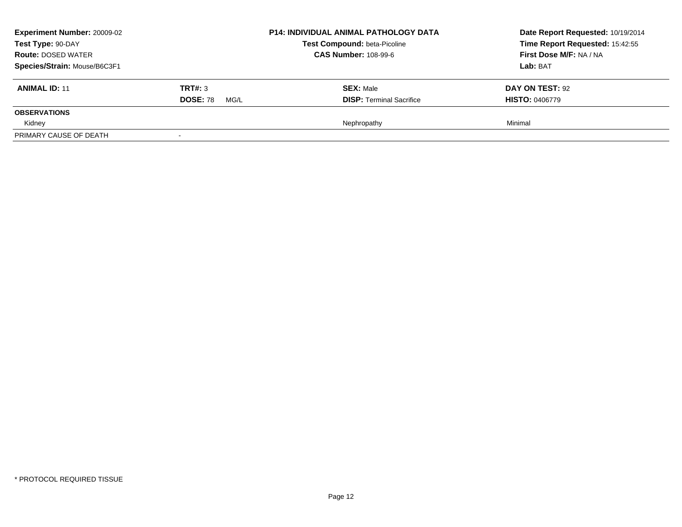| <b>Experiment Number: 20009-02</b> |                         | <b>P14: INDIVIDUAL ANIMAL PATHOLOGY DATA</b><br>Test Compound: beta-Picoline | Date Report Requested: 10/19/2014 |  |
|------------------------------------|-------------------------|------------------------------------------------------------------------------|-----------------------------------|--|
| Test Type: 90-DAY                  |                         |                                                                              | Time Report Requested: 15:42:55   |  |
| <b>Route: DOSED WATER</b>          |                         | <b>CAS Number: 108-99-6</b>                                                  | First Dose M/F: NA / NA           |  |
| Species/Strain: Mouse/B6C3F1       |                         |                                                                              | Lab: BAT                          |  |
| <b>ANIMAL ID: 11</b>               | <b>TRT#:</b> 3          | <b>SEX: Male</b>                                                             | <b>DAY ON TEST: 92</b>            |  |
|                                    | <b>DOSE: 78</b><br>MG/L | <b>DISP: Terminal Sacrifice</b>                                              | <b>HISTO: 0406779</b>             |  |
| <b>OBSERVATIONS</b>                |                         |                                                                              |                                   |  |
| Kidney                             |                         | Nephropathy                                                                  | Minimal                           |  |
| PRIMARY CAUSE OF DEATH             |                         |                                                                              |                                   |  |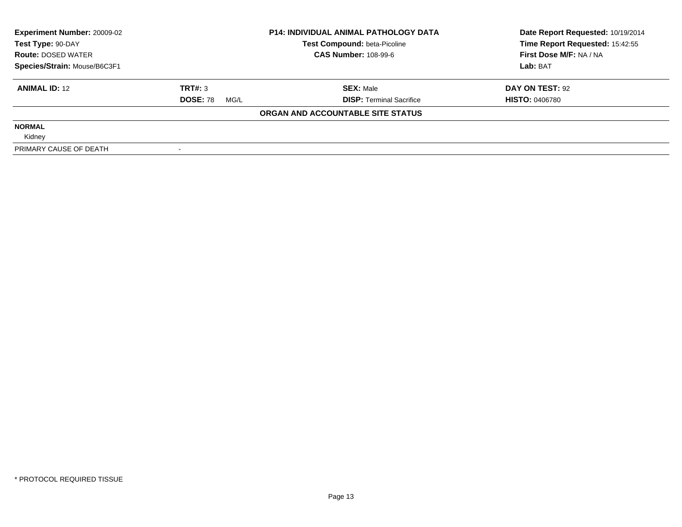| <b>Experiment Number: 20009-02</b> | <b>P14: INDIVIDUAL ANIMAL PATHOLOGY DATA</b> |                                   | Date Report Requested: 10/19/2014 |
|------------------------------------|----------------------------------------------|-----------------------------------|-----------------------------------|
| Test Type: 90-DAY                  |                                              | Test Compound: beta-Picoline      | Time Report Requested: 15:42:55   |
| <b>Route: DOSED WATER</b>          |                                              | <b>CAS Number: 108-99-6</b>       | First Dose M/F: NA / NA           |
| Species/Strain: Mouse/B6C3F1       |                                              |                                   | Lab: BAT                          |
| <b>ANIMAL ID: 12</b>               | TRT#: 3                                      | <b>SEX: Male</b>                  | DAY ON TEST: 92                   |
|                                    | <b>DOSE: 78</b><br>MG/L                      | <b>DISP:</b> Terminal Sacrifice   | <b>HISTO: 0406780</b>             |
|                                    |                                              | ORGAN AND ACCOUNTABLE SITE STATUS |                                   |
| <b>NORMAL</b>                      |                                              |                                   |                                   |
| Kidney                             |                                              |                                   |                                   |
| PRIMARY CAUSE OF DEATH             |                                              |                                   |                                   |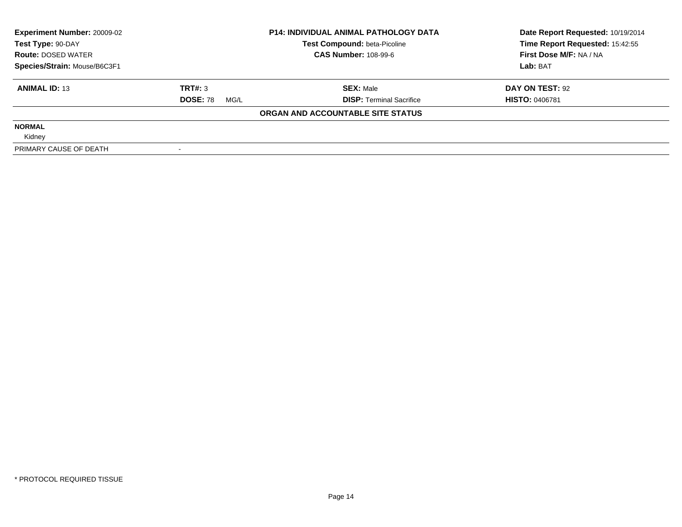| <b>Experiment Number: 20009-02</b> | <b>P14: INDIVIDUAL ANIMAL PATHOLOGY DATA</b> |                                   | Date Report Requested: 10/19/2014 |
|------------------------------------|----------------------------------------------|-----------------------------------|-----------------------------------|
| Test Type: 90-DAY                  |                                              | Test Compound: beta-Picoline      | Time Report Requested: 15:42:55   |
| <b>Route: DOSED WATER</b>          |                                              | <b>CAS Number: 108-99-6</b>       | First Dose M/F: NA / NA           |
| Species/Strain: Mouse/B6C3F1       |                                              |                                   | Lab: BAT                          |
| <b>ANIMAL ID: 13</b>               | TRT#: 3                                      | <b>SEX: Male</b>                  | DAY ON TEST: 92                   |
|                                    | <b>DOSE: 78</b><br>MG/L                      | <b>DISP:</b> Terminal Sacrifice   | <b>HISTO: 0406781</b>             |
|                                    |                                              | ORGAN AND ACCOUNTABLE SITE STATUS |                                   |
| <b>NORMAL</b>                      |                                              |                                   |                                   |
| Kidney                             |                                              |                                   |                                   |
| PRIMARY CAUSE OF DEATH             |                                              |                                   |                                   |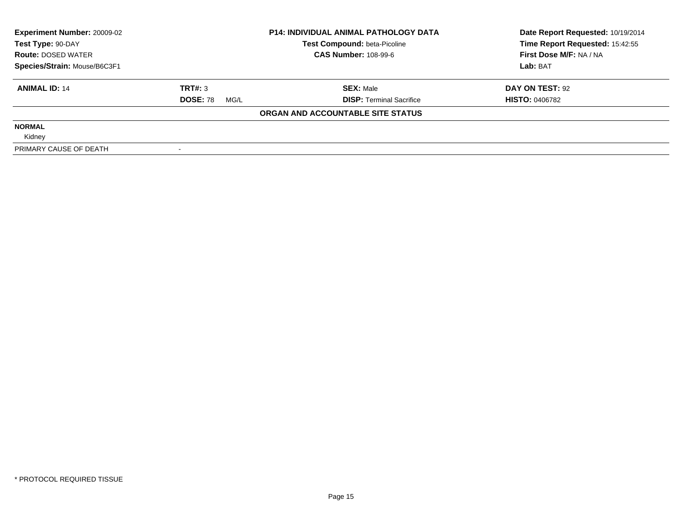| <b>Experiment Number: 20009-02</b> | <b>P14: INDIVIDUAL ANIMAL PATHOLOGY DATA</b> |                                   | Date Report Requested: 10/19/2014 |
|------------------------------------|----------------------------------------------|-----------------------------------|-----------------------------------|
| Test Type: 90-DAY                  |                                              | Test Compound: beta-Picoline      | Time Report Requested: 15:42:55   |
| <b>Route: DOSED WATER</b>          |                                              | <b>CAS Number: 108-99-6</b>       | First Dose M/F: NA / NA           |
| Species/Strain: Mouse/B6C3F1       |                                              |                                   | Lab: BAT                          |
| <b>ANIMAL ID: 14</b>               | TRT#: 3                                      | <b>SEX: Male</b>                  | DAY ON TEST: 92                   |
|                                    | <b>DOSE: 78</b><br>MG/L                      | <b>DISP:</b> Terminal Sacrifice   | <b>HISTO: 0406782</b>             |
|                                    |                                              | ORGAN AND ACCOUNTABLE SITE STATUS |                                   |
| <b>NORMAL</b>                      |                                              |                                   |                                   |
| Kidney                             |                                              |                                   |                                   |
| PRIMARY CAUSE OF DEATH             |                                              |                                   |                                   |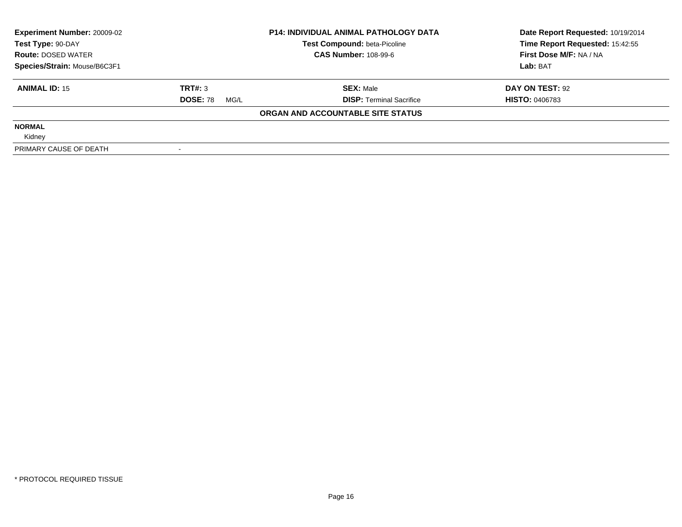| <b>Experiment Number: 20009-02</b> | <b>P14: INDIVIDUAL ANIMAL PATHOLOGY DATA</b> |                                   | Date Report Requested: 10/19/2014 |
|------------------------------------|----------------------------------------------|-----------------------------------|-----------------------------------|
| Test Type: 90-DAY                  |                                              | Test Compound: beta-Picoline      | Time Report Requested: 15:42:55   |
| <b>Route: DOSED WATER</b>          |                                              | <b>CAS Number: 108-99-6</b>       | First Dose M/F: NA / NA           |
| Species/Strain: Mouse/B6C3F1       |                                              |                                   | Lab: BAT                          |
| <b>ANIMAL ID: 15</b>               | TRT#: 3                                      | <b>SEX: Male</b>                  | DAY ON TEST: 92                   |
|                                    | <b>DOSE: 78</b><br>MG/L                      | <b>DISP:</b> Terminal Sacrifice   | <b>HISTO: 0406783</b>             |
|                                    |                                              | ORGAN AND ACCOUNTABLE SITE STATUS |                                   |
| <b>NORMAL</b>                      |                                              |                                   |                                   |
| Kidney                             |                                              |                                   |                                   |
| PRIMARY CAUSE OF DEATH             |                                              |                                   |                                   |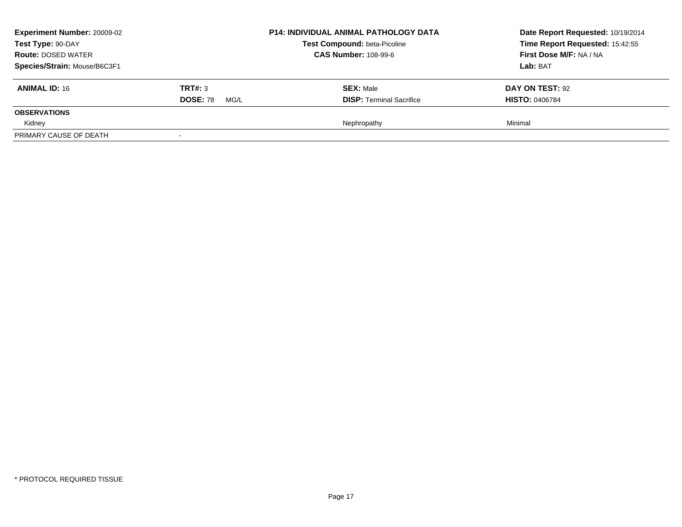| <b>Experiment Number: 20009-02</b> |                         | <b>P14: INDIVIDUAL ANIMAL PATHOLOGY DATA</b> | Date Report Requested: 10/19/2014 |
|------------------------------------|-------------------------|----------------------------------------------|-----------------------------------|
| Test Type: 90-DAY                  |                         | Test Compound: beta-Picoline                 | Time Report Requested: 15:42:55   |
| <b>Route: DOSED WATER</b>          |                         | <b>CAS Number: 108-99-6</b>                  | First Dose M/F: NA / NA           |
| Species/Strain: Mouse/B6C3F1       |                         |                                              | Lab: BAT                          |
| <b>ANIMAL ID: 16</b>               | <b>TRT#: 3</b>          | <b>SEX: Male</b>                             | <b>DAY ON TEST: 92</b>            |
|                                    | <b>DOSE: 78</b><br>MG/L | <b>DISP: Terminal Sacrifice</b>              | <b>HISTO: 0406784</b>             |
| <b>OBSERVATIONS</b>                |                         |                                              |                                   |
| Kidney                             |                         | Nephropathy                                  | Minimal                           |
| PRIMARY CAUSE OF DEATH             |                         |                                              |                                   |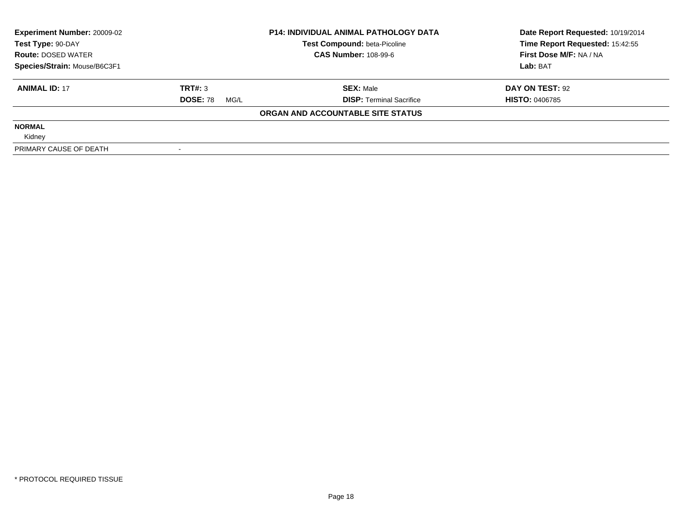| <b>Experiment Number: 20009-02</b> | <b>P14: INDIVIDUAL ANIMAL PATHOLOGY DATA</b> |                                   | Date Report Requested: 10/19/2014 |
|------------------------------------|----------------------------------------------|-----------------------------------|-----------------------------------|
| Test Type: 90-DAY                  |                                              | Test Compound: beta-Picoline      | Time Report Requested: 15:42:55   |
| <b>Route: DOSED WATER</b>          |                                              | <b>CAS Number: 108-99-6</b>       | First Dose M/F: NA / NA           |
| Species/Strain: Mouse/B6C3F1       |                                              |                                   | Lab: BAT                          |
| <b>ANIMAL ID: 17</b>               | TRT#: 3                                      | <b>SEX: Male</b>                  | DAY ON TEST: 92                   |
|                                    | <b>DOSE: 78</b><br>MG/L                      | <b>DISP:</b> Terminal Sacrifice   | <b>HISTO: 0406785</b>             |
|                                    |                                              | ORGAN AND ACCOUNTABLE SITE STATUS |                                   |
| <b>NORMAL</b>                      |                                              |                                   |                                   |
| Kidney                             |                                              |                                   |                                   |
| PRIMARY CAUSE OF DEATH             |                                              |                                   |                                   |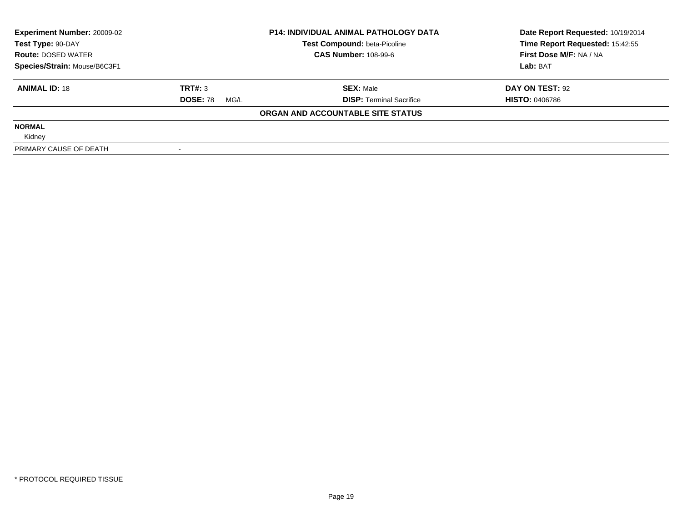| <b>Experiment Number: 20009-02</b> | <b>P14: INDIVIDUAL ANIMAL PATHOLOGY DATA</b> |                                   | Date Report Requested: 10/19/2014 |
|------------------------------------|----------------------------------------------|-----------------------------------|-----------------------------------|
| Test Type: 90-DAY                  |                                              | Test Compound: beta-Picoline      | Time Report Requested: 15:42:55   |
| <b>Route: DOSED WATER</b>          |                                              | <b>CAS Number: 108-99-6</b>       | First Dose M/F: NA / NA           |
| Species/Strain: Mouse/B6C3F1       |                                              |                                   | Lab: BAT                          |
| <b>ANIMAL ID: 18</b>               | TRT#: 3                                      | <b>SEX: Male</b>                  | DAY ON TEST: 92                   |
|                                    | <b>DOSE: 78</b><br>MG/L                      | <b>DISP:</b> Terminal Sacrifice   | <b>HISTO: 0406786</b>             |
|                                    |                                              | ORGAN AND ACCOUNTABLE SITE STATUS |                                   |
| <b>NORMAL</b>                      |                                              |                                   |                                   |
| Kidney                             |                                              |                                   |                                   |
| PRIMARY CAUSE OF DEATH             |                                              |                                   |                                   |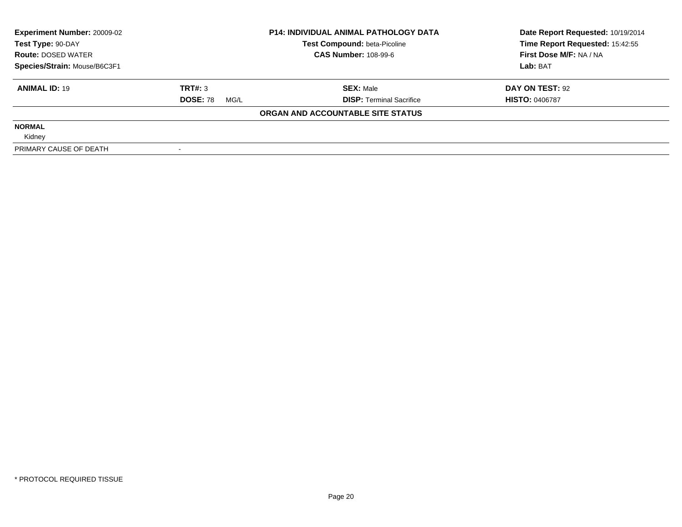| <b>Experiment Number: 20009-02</b> | <b>P14: INDIVIDUAL ANIMAL PATHOLOGY DATA</b> |                                   | Date Report Requested: 10/19/2014 |
|------------------------------------|----------------------------------------------|-----------------------------------|-----------------------------------|
| Test Type: 90-DAY                  |                                              | Test Compound: beta-Picoline      | Time Report Requested: 15:42:55   |
| <b>Route: DOSED WATER</b>          |                                              | <b>CAS Number: 108-99-6</b>       | First Dose M/F: NA / NA           |
| Species/Strain: Mouse/B6C3F1       |                                              |                                   | Lab: BAT                          |
| <b>ANIMAL ID: 19</b>               | TRT#: 3                                      | <b>SEX: Male</b>                  | DAY ON TEST: 92                   |
|                                    | <b>DOSE: 78</b><br>MG/L                      | <b>DISP:</b> Terminal Sacrifice   | <b>HISTO: 0406787</b>             |
|                                    |                                              | ORGAN AND ACCOUNTABLE SITE STATUS |                                   |
| <b>NORMAL</b>                      |                                              |                                   |                                   |
| Kidney                             |                                              |                                   |                                   |
| PRIMARY CAUSE OF DEATH             |                                              |                                   |                                   |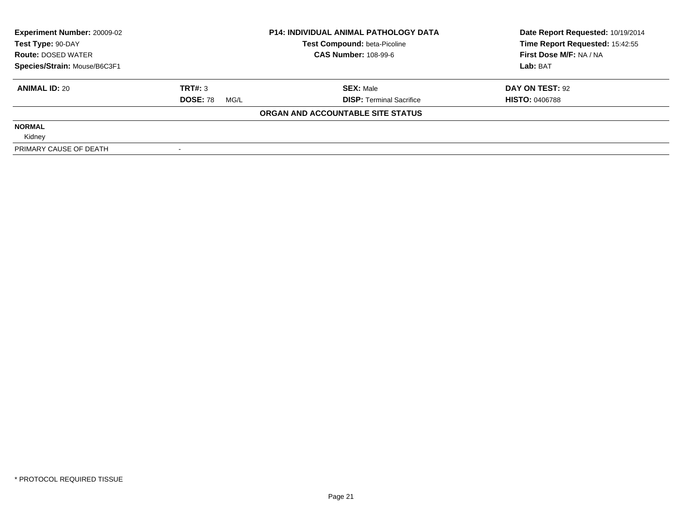| <b>Experiment Number: 20009-02</b> | <b>P14: INDIVIDUAL ANIMAL PATHOLOGY DATA</b> |                                   | Date Report Requested: 10/19/2014 |
|------------------------------------|----------------------------------------------|-----------------------------------|-----------------------------------|
| Test Type: 90-DAY                  |                                              | Test Compound: beta-Picoline      | Time Report Requested: 15:42:55   |
| <b>Route: DOSED WATER</b>          |                                              | <b>CAS Number: 108-99-6</b>       | First Dose M/F: NA / NA           |
| Species/Strain: Mouse/B6C3F1       |                                              |                                   | Lab: BAT                          |
| <b>ANIMAL ID: 20</b>               | TRT#: 3                                      | <b>SEX: Male</b>                  | DAY ON TEST: 92                   |
|                                    | <b>DOSE: 78</b><br>MG/L                      | <b>DISP:</b> Terminal Sacrifice   | <b>HISTO: 0406788</b>             |
|                                    |                                              | ORGAN AND ACCOUNTABLE SITE STATUS |                                   |
| <b>NORMAL</b>                      |                                              |                                   |                                   |
| Kidney                             |                                              |                                   |                                   |
| PRIMARY CAUSE OF DEATH             |                                              |                                   |                                   |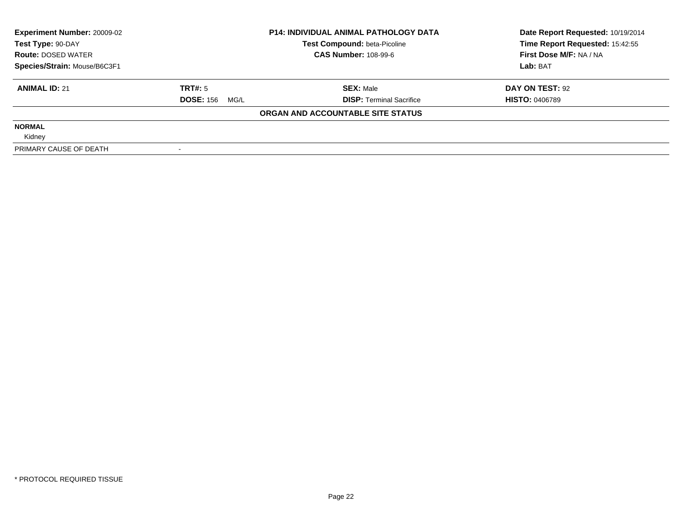| <b>Experiment Number: 20009-02</b><br>Test Type: 90-DAY |                       | <b>P14: INDIVIDUAL ANIMAL PATHOLOGY DATA</b><br>Test Compound: beta-Picoline | Date Report Requested: 10/19/2014<br>Time Report Requested: 15:42:55 |
|---------------------------------------------------------|-----------------------|------------------------------------------------------------------------------|----------------------------------------------------------------------|
| <b>Route: DOSED WATER</b>                               |                       | <b>CAS Number: 108-99-6</b>                                                  | First Dose M/F: NA / NA                                              |
| Species/Strain: Mouse/B6C3F1                            |                       |                                                                              | Lab: BAT                                                             |
| <b>ANIMAL ID: 21</b>                                    | TRT#: 5               | <b>SEX: Male</b>                                                             | DAY ON TEST: 92                                                      |
|                                                         | <b>DOSE: 156 MG/L</b> | <b>DISP:</b> Terminal Sacrifice                                              | <b>HISTO: 0406789</b>                                                |
|                                                         |                       | ORGAN AND ACCOUNTABLE SITE STATUS                                            |                                                                      |
| <b>NORMAL</b>                                           |                       |                                                                              |                                                                      |
| Kidney                                                  |                       |                                                                              |                                                                      |
| PRIMARY CAUSE OF DEATH                                  |                       |                                                                              |                                                                      |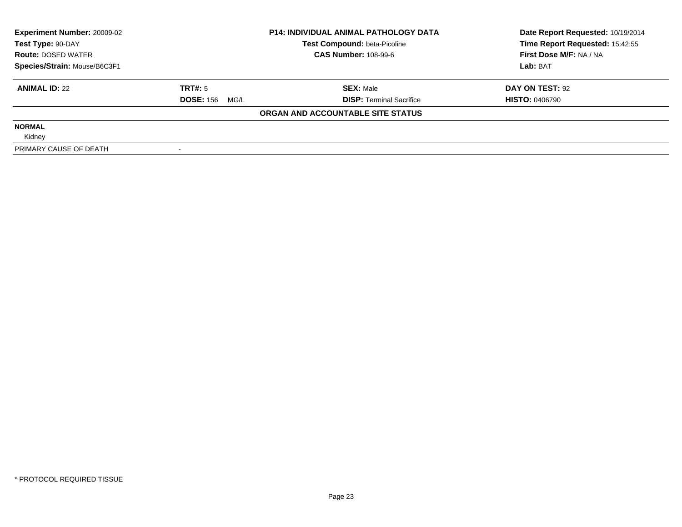| <b>Experiment Number: 20009-02</b> | <b>P14: INDIVIDUAL ANIMAL PATHOLOGY DATA</b> |                                     | Date Report Requested: 10/19/2014 |
|------------------------------------|----------------------------------------------|-------------------------------------|-----------------------------------|
| Test Type: 90-DAY                  |                                              | <b>Test Compound: beta-Picoline</b> | Time Report Requested: 15:42:55   |
| <b>Route: DOSED WATER</b>          |                                              | <b>CAS Number: 108-99-6</b>         | First Dose M/F: NA / NA           |
| Species/Strain: Mouse/B6C3F1       |                                              |                                     | Lab: BAT                          |
| <b>ANIMAL ID: 22</b>               | TRT#: 5                                      | <b>SEX: Male</b>                    | DAY ON TEST: 92                   |
|                                    | <b>DOSE: 156 MG/L</b>                        | <b>DISP:</b> Terminal Sacrifice     | <b>HISTO: 0406790</b>             |
|                                    |                                              | ORGAN AND ACCOUNTABLE SITE STATUS   |                                   |
| <b>NORMAL</b>                      |                                              |                                     |                                   |
| Kidney                             |                                              |                                     |                                   |
| PRIMARY CAUSE OF DEATH             |                                              |                                     |                                   |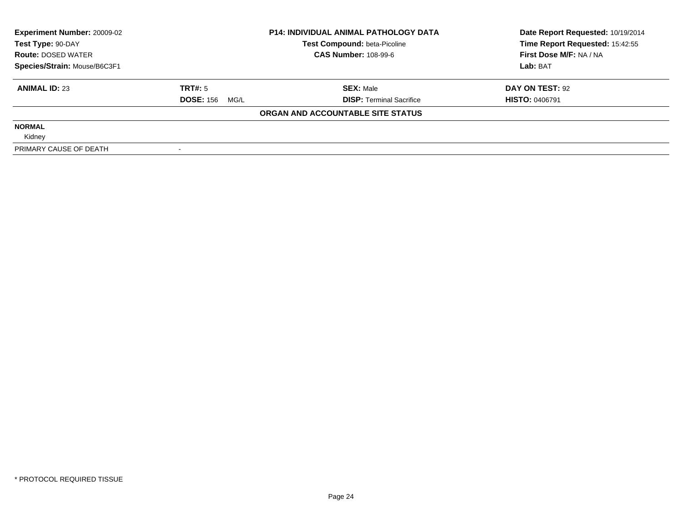| <b>Experiment Number: 20009-02</b><br>Test Type: 90-DAY |                          | <b>P14: INDIVIDUAL ANIMAL PATHOLOGY DATA</b><br>Test Compound: beta-Picoline | Date Report Requested: 10/19/2014<br>Time Report Requested: 15:42:55 |
|---------------------------------------------------------|--------------------------|------------------------------------------------------------------------------|----------------------------------------------------------------------|
| <b>Route: DOSED WATER</b>                               |                          | <b>CAS Number: 108-99-6</b>                                                  | First Dose M/F: NA / NA                                              |
| Species/Strain: Mouse/B6C3F1                            |                          |                                                                              | Lab: BAT                                                             |
| <b>ANIMAL ID: 23</b>                                    | TRT#: 5                  | <b>SEX: Male</b>                                                             | DAY ON TEST: 92                                                      |
|                                                         | <b>DOSE: 156</b><br>MG/L | <b>DISP:</b> Terminal Sacrifice                                              | <b>HISTO: 0406791</b>                                                |
|                                                         |                          | ORGAN AND ACCOUNTABLE SITE STATUS                                            |                                                                      |
| <b>NORMAL</b>                                           |                          |                                                                              |                                                                      |
| Kidney                                                  |                          |                                                                              |                                                                      |
| PRIMARY CAUSE OF DEATH                                  |                          |                                                                              |                                                                      |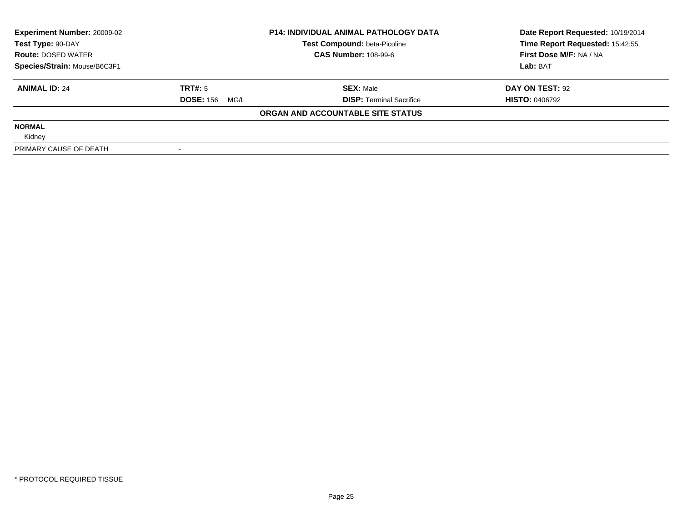| <b>Experiment Number: 20009-02</b> |                       | <b>P14: INDIVIDUAL ANIMAL PATHOLOGY DATA</b> | Date Report Requested: 10/19/2014 |
|------------------------------------|-----------------------|----------------------------------------------|-----------------------------------|
| Test Type: 90-DAY                  |                       | <b>Test Compound: beta-Picoline</b>          | Time Report Requested: 15:42:55   |
| <b>Route: DOSED WATER</b>          |                       | <b>CAS Number: 108-99-6</b>                  | First Dose M/F: NA / NA           |
| Species/Strain: Mouse/B6C3F1       |                       |                                              | Lab: BAT                          |
| <b>ANIMAL ID: 24</b>               | TRT#: 5               | <b>SEX: Male</b>                             | DAY ON TEST: 92                   |
|                                    | <b>DOSE: 156 MG/L</b> | <b>DISP: Terminal Sacrifice</b>              | <b>HISTO: 0406792</b>             |
|                                    |                       | ORGAN AND ACCOUNTABLE SITE STATUS            |                                   |
| <b>NORMAL</b>                      |                       |                                              |                                   |
| Kidney                             |                       |                                              |                                   |
| PRIMARY CAUSE OF DEATH             |                       |                                              |                                   |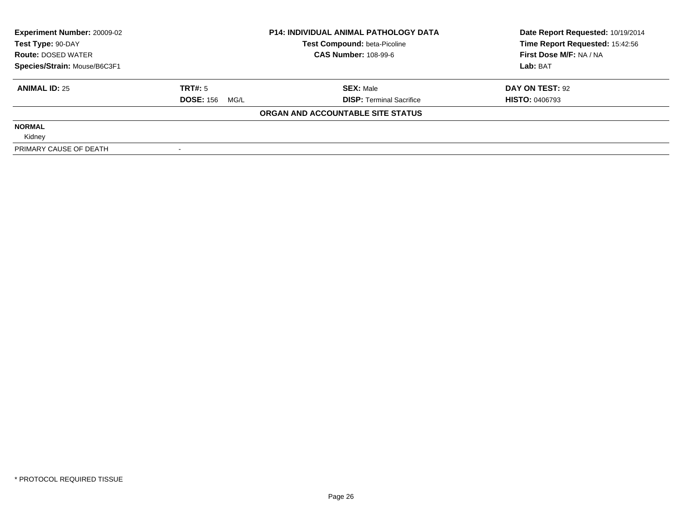| <b>Experiment Number: 20009-02</b><br>Test Type: 90-DAY |                          | <b>P14: INDIVIDUAL ANIMAL PATHOLOGY DATA</b><br>Test Compound: beta-Picoline | Date Report Requested: 10/19/2014<br>Time Report Requested: 15:42:56 |
|---------------------------------------------------------|--------------------------|------------------------------------------------------------------------------|----------------------------------------------------------------------|
| <b>Route: DOSED WATER</b>                               |                          | <b>CAS Number: 108-99-6</b>                                                  | First Dose M/F: NA / NA                                              |
| Species/Strain: Mouse/B6C3F1                            |                          |                                                                              | Lab: BAT                                                             |
| <b>ANIMAL ID: 25</b>                                    | TRT#: 5                  | <b>SEX: Male</b>                                                             | DAY ON TEST: 92                                                      |
|                                                         | <b>DOSE: 156</b><br>MG/L | <b>DISP:</b> Terminal Sacrifice                                              | <b>HISTO: 0406793</b>                                                |
|                                                         |                          | ORGAN AND ACCOUNTABLE SITE STATUS                                            |                                                                      |
| <b>NORMAL</b>                                           |                          |                                                                              |                                                                      |
| Kidney                                                  |                          |                                                                              |                                                                      |
| PRIMARY CAUSE OF DEATH                                  |                          |                                                                              |                                                                      |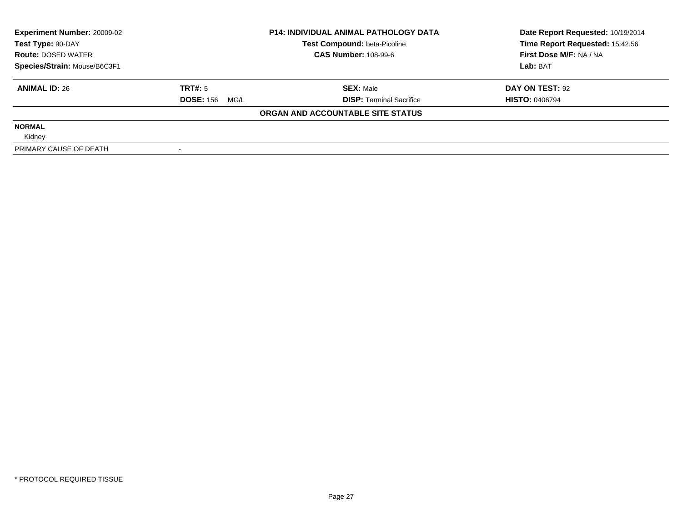| <b>Experiment Number: 20009-02</b><br>Test Type: 90-DAY |                          | <b>P14: INDIVIDUAL ANIMAL PATHOLOGY DATA</b><br>Test Compound: beta-Picoline | Date Report Requested: 10/19/2014<br>Time Report Requested: 15:42:56 |
|---------------------------------------------------------|--------------------------|------------------------------------------------------------------------------|----------------------------------------------------------------------|
| <b>Route: DOSED WATER</b>                               |                          | <b>CAS Number: 108-99-6</b>                                                  | First Dose M/F: NA / NA                                              |
| Species/Strain: Mouse/B6C3F1                            |                          |                                                                              | Lab: BAT                                                             |
| <b>ANIMAL ID: 26</b>                                    | TRT#: 5                  | <b>SEX: Male</b>                                                             | DAY ON TEST: 92                                                      |
|                                                         | <b>DOSE: 156</b><br>MG/L | <b>DISP:</b> Terminal Sacrifice                                              | <b>HISTO: 0406794</b>                                                |
|                                                         |                          | ORGAN AND ACCOUNTABLE SITE STATUS                                            |                                                                      |
| <b>NORMAL</b>                                           |                          |                                                                              |                                                                      |
| Kidney                                                  |                          |                                                                              |                                                                      |
| PRIMARY CAUSE OF DEATH                                  |                          |                                                                              |                                                                      |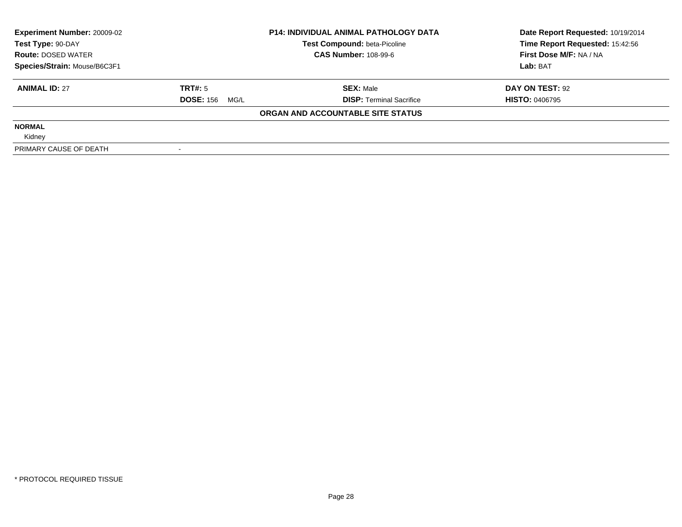| <b>Experiment Number: 20009-02</b> |                       | <b>P14: INDIVIDUAL ANIMAL PATHOLOGY DATA</b> | Date Report Requested: 10/19/2014 |
|------------------------------------|-----------------------|----------------------------------------------|-----------------------------------|
| Test Type: 90-DAY                  |                       | <b>Test Compound: beta-Picoline</b>          | Time Report Requested: 15:42:56   |
| <b>Route: DOSED WATER</b>          |                       | <b>CAS Number: 108-99-6</b>                  | First Dose M/F: NA / NA           |
| Species/Strain: Mouse/B6C3F1       |                       |                                              | Lab: BAT                          |
| <b>ANIMAL ID: 27</b>               | TRT#: 5               | <b>SEX: Male</b>                             | DAY ON TEST: 92                   |
|                                    | <b>DOSE: 156 MG/L</b> | <b>DISP: Terminal Sacrifice</b>              | <b>HISTO: 0406795</b>             |
|                                    |                       | ORGAN AND ACCOUNTABLE SITE STATUS            |                                   |
| <b>NORMAL</b>                      |                       |                                              |                                   |
| Kidney                             |                       |                                              |                                   |
| PRIMARY CAUSE OF DEATH             |                       |                                              |                                   |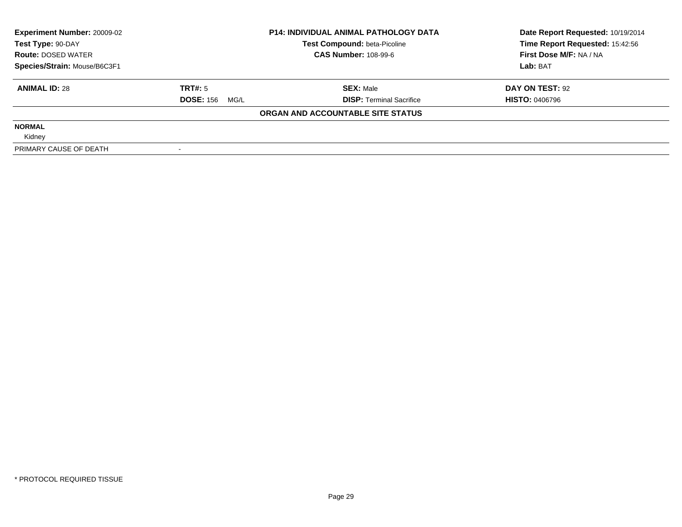| <b>Experiment Number: 20009-02</b><br>Test Type: 90-DAY |                       | <b>P14: INDIVIDUAL ANIMAL PATHOLOGY DATA</b><br>Test Compound: beta-Picoline | Date Report Requested: 10/19/2014<br>Time Report Requested: 15:42:56 |
|---------------------------------------------------------|-----------------------|------------------------------------------------------------------------------|----------------------------------------------------------------------|
| <b>Route: DOSED WATER</b>                               |                       | <b>CAS Number: 108-99-6</b>                                                  | First Dose M/F: NA / NA                                              |
| Species/Strain: Mouse/B6C3F1                            |                       |                                                                              | Lab: BAT                                                             |
| <b>ANIMAL ID: 28</b>                                    | TRT#: 5               | <b>SEX: Male</b>                                                             | DAY ON TEST: 92                                                      |
|                                                         | <b>DOSE: 156 MG/L</b> | <b>DISP:</b> Terminal Sacrifice                                              | <b>HISTO: 0406796</b>                                                |
|                                                         |                       | ORGAN AND ACCOUNTABLE SITE STATUS                                            |                                                                      |
| <b>NORMAL</b>                                           |                       |                                                                              |                                                                      |
| Kidney                                                  |                       |                                                                              |                                                                      |
| PRIMARY CAUSE OF DEATH                                  |                       |                                                                              |                                                                      |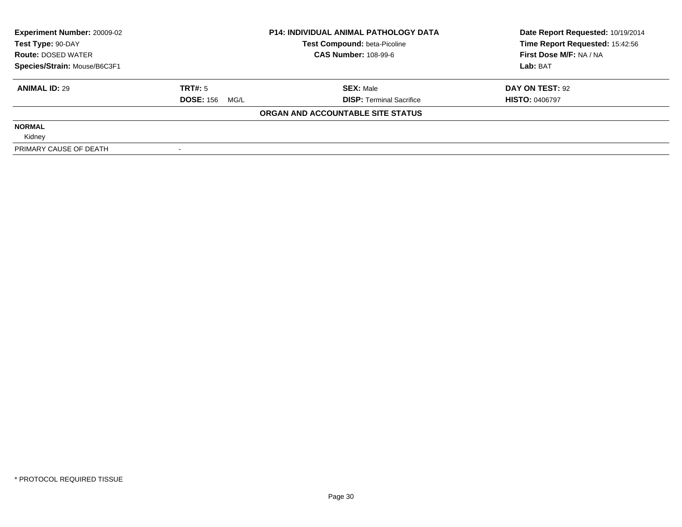| <b>Experiment Number: 20009-02</b><br>Test Type: 90-DAY |                          | <b>P14: INDIVIDUAL ANIMAL PATHOLOGY DATA</b><br>Test Compound: beta-Picoline | Date Report Requested: 10/19/2014<br>Time Report Requested: 15:42:56 |
|---------------------------------------------------------|--------------------------|------------------------------------------------------------------------------|----------------------------------------------------------------------|
| <b>Route: DOSED WATER</b>                               |                          | <b>CAS Number: 108-99-6</b>                                                  | First Dose M/F: NA / NA                                              |
| Species/Strain: Mouse/B6C3F1                            |                          |                                                                              | Lab: BAT                                                             |
| <b>ANIMAL ID: 29</b>                                    | TRT#: 5                  | <b>SEX: Male</b>                                                             | DAY ON TEST: 92                                                      |
|                                                         | <b>DOSE: 156</b><br>MG/L | <b>DISP:</b> Terminal Sacrifice                                              | <b>HISTO: 0406797</b>                                                |
|                                                         |                          | ORGAN AND ACCOUNTABLE SITE STATUS                                            |                                                                      |
| <b>NORMAL</b>                                           |                          |                                                                              |                                                                      |
| Kidney                                                  |                          |                                                                              |                                                                      |
| PRIMARY CAUSE OF DEATH                                  |                          |                                                                              |                                                                      |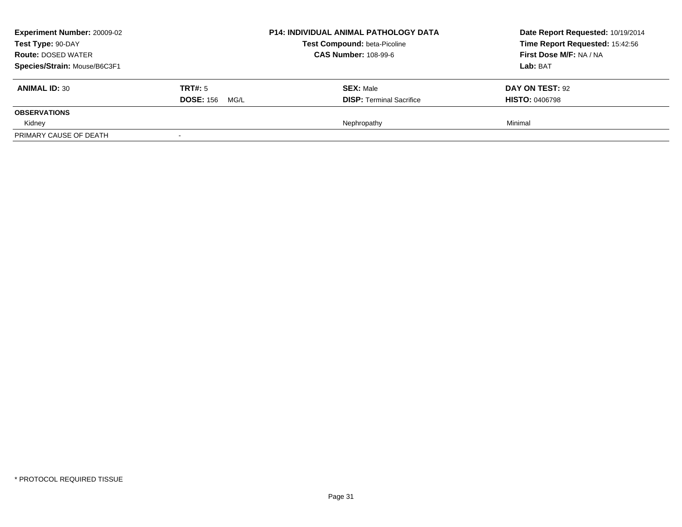| <b>Experiment Number: 20009-02</b><br>Test Type: 90-DAY<br><b>Route: DOSED WATER</b><br>Species/Strain: Mouse/B6C3F1 |                                  | <b>P14: INDIVIDUAL ANIMAL PATHOLOGY DATA</b><br><b>Test Compound: beta-Picoline</b><br><b>CAS Number: 108-99-6</b> | Date Report Requested: 10/19/2014<br>Time Report Requested: 15:42:56<br>First Dose M/F: NA / NA<br><b>Lab: BAT</b> |
|----------------------------------------------------------------------------------------------------------------------|----------------------------------|--------------------------------------------------------------------------------------------------------------------|--------------------------------------------------------------------------------------------------------------------|
| <b>ANIMAL ID: 30</b>                                                                                                 | TRT#: 5<br><b>DOSE: 156 MG/L</b> | <b>SEX: Male</b><br><b>DISP: Terminal Sacrifice</b>                                                                | DAY ON TEST: 92<br><b>HISTO: 0406798</b>                                                                           |
| <b>OBSERVATIONS</b>                                                                                                  |                                  |                                                                                                                    |                                                                                                                    |
| Kidney<br>PRIMARY CAUSE OF DEATH                                                                                     |                                  | Nephropathy                                                                                                        | Minimal                                                                                                            |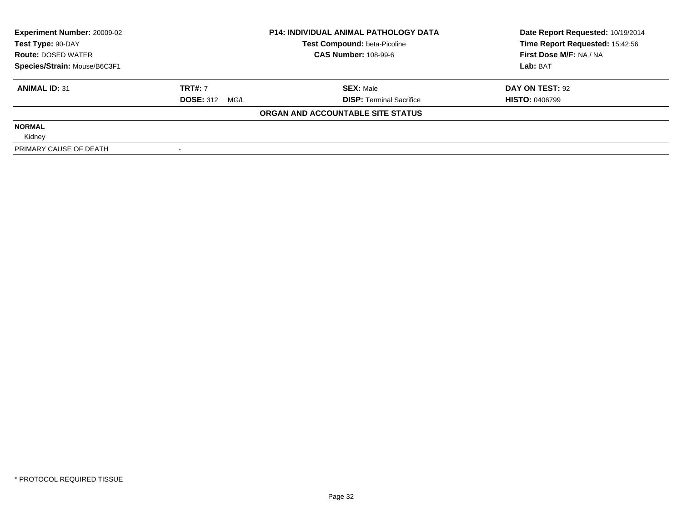| <b>Experiment Number: 20009-02</b> |                       | <b>P14: INDIVIDUAL ANIMAL PATHOLOGY DATA</b> | Date Report Requested: 10/19/2014 |
|------------------------------------|-----------------------|----------------------------------------------|-----------------------------------|
| Test Type: 90-DAY                  |                       | <b>Test Compound: beta-Picoline</b>          | Time Report Requested: 15:42:56   |
| <b>Route: DOSED WATER</b>          |                       | <b>CAS Number: 108-99-6</b>                  | First Dose M/F: NA / NA           |
| Species/Strain: Mouse/B6C3F1       |                       |                                              | Lab: BAT                          |
| <b>ANIMAL ID: 31</b>               | <b>TRT#: 7</b>        | <b>SEX: Male</b>                             | DAY ON TEST: 92                   |
|                                    | <b>DOSE: 312 MG/L</b> | <b>DISP: Terminal Sacrifice</b>              | <b>HISTO: 0406799</b>             |
|                                    |                       | ORGAN AND ACCOUNTABLE SITE STATUS            |                                   |
| <b>NORMAL</b>                      |                       |                                              |                                   |
| Kidney                             |                       |                                              |                                   |
| PRIMARY CAUSE OF DEATH             |                       |                                              |                                   |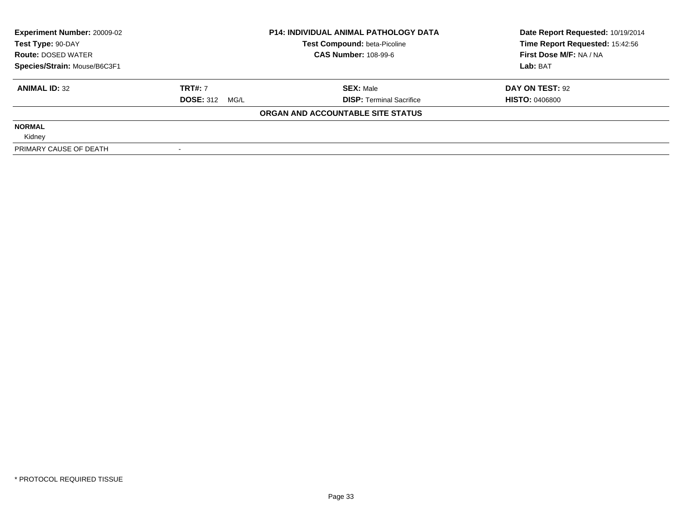| <b>Experiment Number: 20009-02</b> |                       | <b>P14: INDIVIDUAL ANIMAL PATHOLOGY DATA</b> | Date Report Requested: 10/19/2014 |
|------------------------------------|-----------------------|----------------------------------------------|-----------------------------------|
| Test Type: 90-DAY                  |                       | <b>Test Compound: beta-Picoline</b>          | Time Report Requested: 15:42:56   |
| <b>Route: DOSED WATER</b>          |                       | <b>CAS Number: 108-99-6</b>                  | First Dose M/F: NA / NA           |
| Species/Strain: Mouse/B6C3F1       |                       |                                              | Lab: BAT                          |
| <b>ANIMAL ID: 32</b>               | <b>TRT#: 7</b>        | <b>SEX: Male</b>                             | DAY ON TEST: 92                   |
|                                    | <b>DOSE: 312 MG/L</b> | <b>DISP:</b> Terminal Sacrifice              | <b>HISTO: 0406800</b>             |
|                                    |                       | ORGAN AND ACCOUNTABLE SITE STATUS            |                                   |
| <b>NORMAL</b>                      |                       |                                              |                                   |
| Kidney                             |                       |                                              |                                   |
| PRIMARY CAUSE OF DEATH             |                       |                                              |                                   |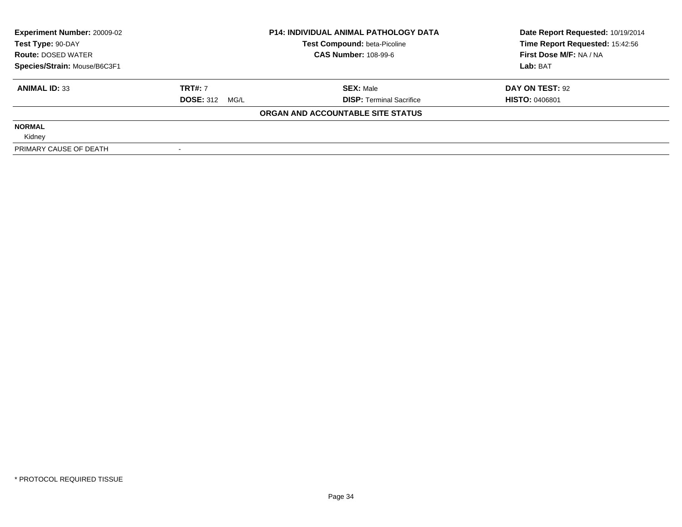| <b>Experiment Number: 20009-02</b> |                       | <b>P14: INDIVIDUAL ANIMAL PATHOLOGY DATA</b> | Date Report Requested: 10/19/2014 |
|------------------------------------|-----------------------|----------------------------------------------|-----------------------------------|
| Test Type: 90-DAY                  |                       | <b>Test Compound: beta-Picoline</b>          | Time Report Requested: 15:42:56   |
| <b>Route: DOSED WATER</b>          |                       | <b>CAS Number: 108-99-6</b>                  | First Dose M/F: NA / NA           |
| Species/Strain: Mouse/B6C3F1       |                       |                                              | Lab: BAT                          |
| <b>ANIMAL ID: 33</b>               | <b>TRT#: 7</b>        | <b>SEX: Male</b>                             | DAY ON TEST: 92                   |
|                                    | <b>DOSE: 312 MG/L</b> | <b>DISP:</b> Terminal Sacrifice              | <b>HISTO: 0406801</b>             |
|                                    |                       | ORGAN AND ACCOUNTABLE SITE STATUS            |                                   |
| <b>NORMAL</b>                      |                       |                                              |                                   |
| Kidney                             |                       |                                              |                                   |
| PRIMARY CAUSE OF DEATH             |                       |                                              |                                   |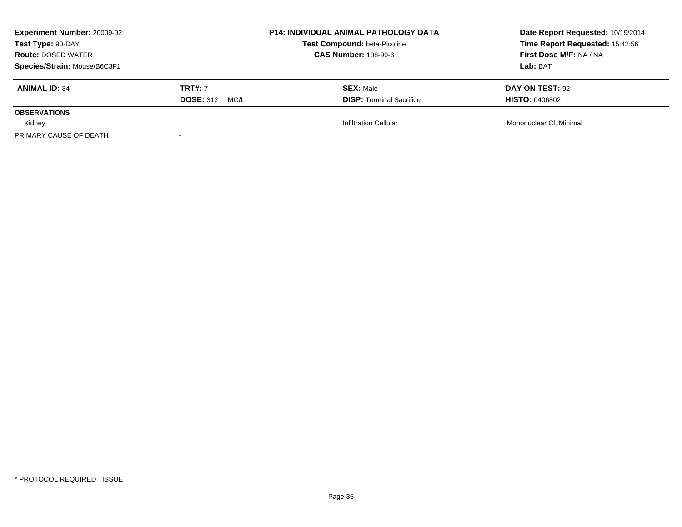| <b>Experiment Number: 20009-02</b><br>Test Type: 90-DAY<br><b>Route: DOSED WATER</b><br>Species/Strain: Mouse/B6C3F1 |                                            | <b>P14: INDIVIDUAL ANIMAL PATHOLOGY DATA</b><br><b>Test Compound: beta-Picoline</b><br><b>CAS Number: 108-99-6</b> | Date Report Requested: 10/19/2014<br>Time Report Requested: 15:42:56<br>First Dose M/F: NA / NA<br>Lab: BAT |
|----------------------------------------------------------------------------------------------------------------------|--------------------------------------------|--------------------------------------------------------------------------------------------------------------------|-------------------------------------------------------------------------------------------------------------|
| <b>ANIMAL ID: 34</b>                                                                                                 | <b>TRT#: 7</b><br><b>DOSE: 312</b><br>MG/L | <b>SEX: Male</b><br><b>DISP:</b> Terminal Sacrifice                                                                | <b>DAY ON TEST: 92</b><br><b>HISTO: 0406802</b>                                                             |
| <b>OBSERVATIONS</b>                                                                                                  |                                            |                                                                                                                    |                                                                                                             |
| Kidney<br>PRIMARY CAUSE OF DEATH                                                                                     |                                            | <b>Infiltration Cellular</b>                                                                                       | Mononuclear CI, Minimal                                                                                     |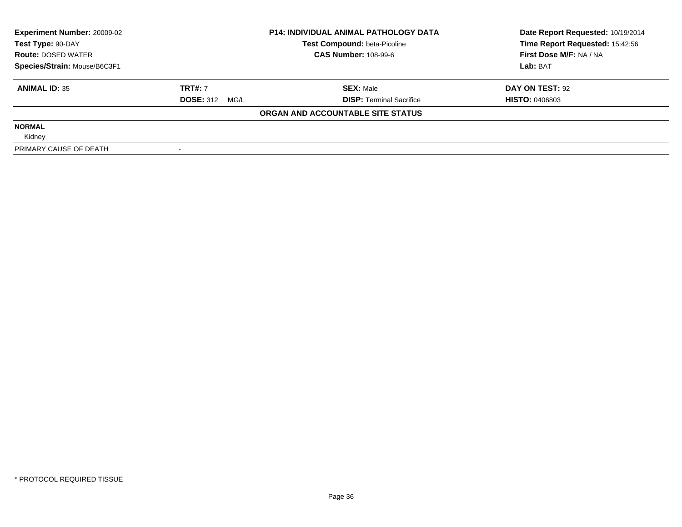| <b>Experiment Number: 20009-02</b> | <b>P14: INDIVIDUAL ANIMAL PATHOLOGY DATA</b><br><b>Test Compound: beta-Picoline</b> |                                   | Date Report Requested: 10/19/2014<br>Time Report Requested: 15:42:56 |
|------------------------------------|-------------------------------------------------------------------------------------|-----------------------------------|----------------------------------------------------------------------|
| Test Type: 90-DAY                  |                                                                                     |                                   |                                                                      |
| <b>Route: DOSED WATER</b>          |                                                                                     | <b>CAS Number: 108-99-6</b>       | First Dose M/F: NA / NA<br>Lab: BAT                                  |
| Species/Strain: Mouse/B6C3F1       |                                                                                     |                                   |                                                                      |
| <b>ANIMAL ID: 35</b>               | <b>TRT#: 7</b>                                                                      | <b>SEX: Male</b>                  | DAY ON TEST: 92                                                      |
|                                    | <b>DOSE: 312 MG/L</b>                                                               | <b>DISP:</b> Terminal Sacrifice   | <b>HISTO: 0406803</b>                                                |
|                                    |                                                                                     | ORGAN AND ACCOUNTABLE SITE STATUS |                                                                      |
| <b>NORMAL</b>                      |                                                                                     |                                   |                                                                      |
| Kidney                             |                                                                                     |                                   |                                                                      |
| PRIMARY CAUSE OF DEATH             |                                                                                     |                                   |                                                                      |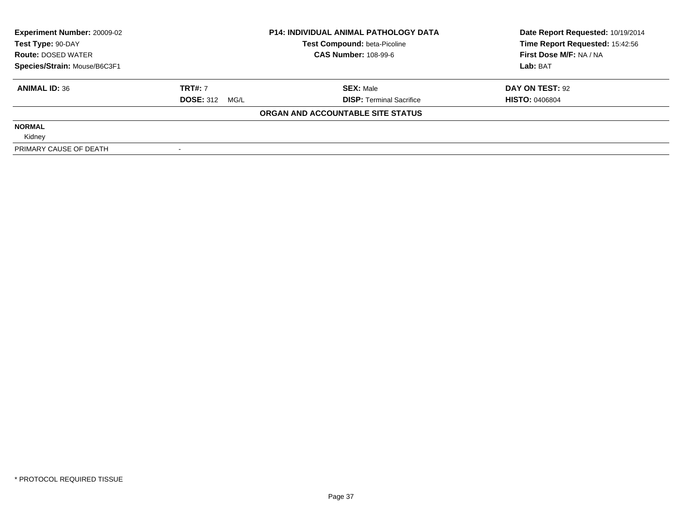| <b>Experiment Number: 20009-02</b> | <b>P14: INDIVIDUAL ANIMAL PATHOLOGY DATA</b> |                                     | Date Report Requested: 10/19/2014 |
|------------------------------------|----------------------------------------------|-------------------------------------|-----------------------------------|
| Test Type: 90-DAY                  |                                              | <b>Test Compound: beta-Picoline</b> | Time Report Requested: 15:42:56   |
| <b>Route: DOSED WATER</b>          |                                              | <b>CAS Number: 108-99-6</b>         | First Dose M/F: NA / NA           |
| Species/Strain: Mouse/B6C3F1       |                                              |                                     | Lab: BAT                          |
| <b>ANIMAL ID: 36</b>               | <b>TRT#: 7</b>                               | <b>SEX: Male</b>                    | DAY ON TEST: 92                   |
|                                    | <b>DOSE: 312 MG/L</b>                        | <b>DISP:</b> Terminal Sacrifice     | <b>HISTO: 0406804</b>             |
|                                    |                                              | ORGAN AND ACCOUNTABLE SITE STATUS   |                                   |
| <b>NORMAL</b>                      |                                              |                                     |                                   |
| Kidney                             |                                              |                                     |                                   |
| PRIMARY CAUSE OF DEATH             |                                              |                                     |                                   |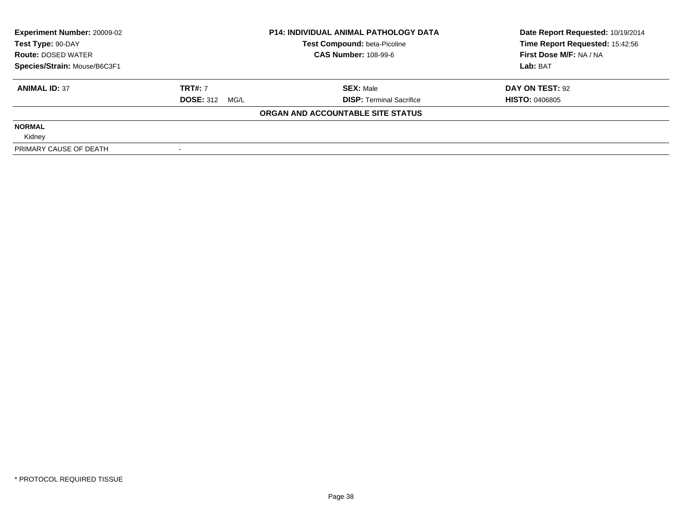| <b>Experiment Number: 20009-02</b> | <b>P14: INDIVIDUAL ANIMAL PATHOLOGY DATA</b> |                                     | Date Report Requested: 10/19/2014 |
|------------------------------------|----------------------------------------------|-------------------------------------|-----------------------------------|
| Test Type: 90-DAY                  |                                              | <b>Test Compound: beta-Picoline</b> | Time Report Requested: 15:42:56   |
| <b>Route: DOSED WATER</b>          |                                              | <b>CAS Number: 108-99-6</b>         | First Dose M/F: NA / NA           |
| Species/Strain: Mouse/B6C3F1       |                                              |                                     | Lab: BAT                          |
| <b>ANIMAL ID: 37</b>               | <b>TRT#: 7</b>                               | <b>SEX:</b> Male                    | DAY ON TEST: 92                   |
|                                    | <b>DOSE: 312 MG/L</b>                        | <b>DISP: Terminal Sacrifice</b>     | <b>HISTO: 0406805</b>             |
|                                    |                                              | ORGAN AND ACCOUNTABLE SITE STATUS   |                                   |
| <b>NORMAL</b>                      |                                              |                                     |                                   |
| Kidney                             |                                              |                                     |                                   |
| PRIMARY CAUSE OF DEATH             |                                              |                                     |                                   |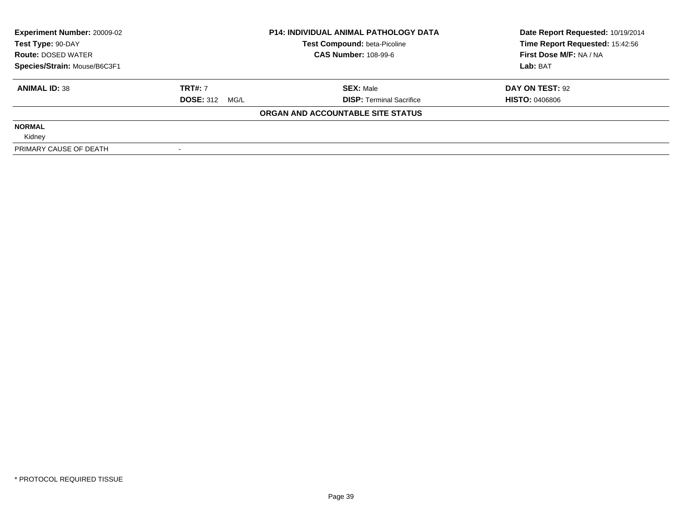| <b>Experiment Number: 20009-02</b> | <b>P14: INDIVIDUAL ANIMAL PATHOLOGY DATA</b> |                                     | Date Report Requested: 10/19/2014 |
|------------------------------------|----------------------------------------------|-------------------------------------|-----------------------------------|
| Test Type: 90-DAY                  |                                              | <b>Test Compound: beta-Picoline</b> | Time Report Requested: 15:42:56   |
| <b>Route: DOSED WATER</b>          |                                              | <b>CAS Number: 108-99-6</b>         | First Dose M/F: NA / NA           |
| Species/Strain: Mouse/B6C3F1       |                                              |                                     | Lab: BAT                          |
| <b>ANIMAL ID: 38</b>               | <b>TRT#: 7</b>                               | <b>SEX: Male</b>                    | DAY ON TEST: 92                   |
|                                    | <b>DOSE: 312 MG/L</b>                        | <b>DISP:</b> Terminal Sacrifice     | <b>HISTO: 0406806</b>             |
|                                    |                                              | ORGAN AND ACCOUNTABLE SITE STATUS   |                                   |
| <b>NORMAL</b>                      |                                              |                                     |                                   |
| Kidney                             |                                              |                                     |                                   |
| PRIMARY CAUSE OF DEATH             |                                              |                                     |                                   |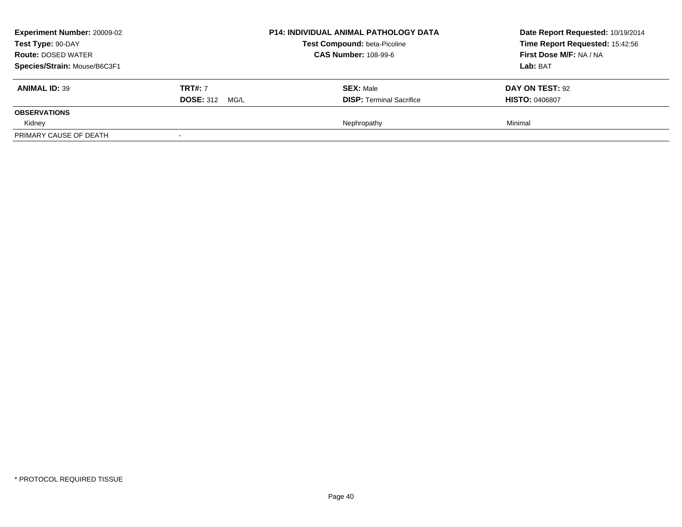| <b>Experiment Number: 20009-02</b><br>Test Type: 90-DAY<br><b>Route: DOSED WATER</b><br>Species/Strain: Mouse/B6C3F1 |                                         | <b>P14: INDIVIDUAL ANIMAL PATHOLOGY DATA</b><br><b>Test Compound: beta-Picoline</b><br><b>CAS Number: 108-99-6</b> | Date Report Requested: 10/19/2014<br>Time Report Requested: 15:42:56<br>First Dose M/F: NA / NA<br>Lab: BAT |
|----------------------------------------------------------------------------------------------------------------------|-----------------------------------------|--------------------------------------------------------------------------------------------------------------------|-------------------------------------------------------------------------------------------------------------|
| <b>ANIMAL ID: 39</b>                                                                                                 | <b>TRT#: 7</b><br><b>DOSE: 312 MG/L</b> | <b>SEX: Male</b><br><b>DISP: Terminal Sacrifice</b>                                                                | DAY ON TEST: 92<br><b>HISTO: 0406807</b>                                                                    |
| <b>OBSERVATIONS</b>                                                                                                  |                                         |                                                                                                                    |                                                                                                             |
| Kidney                                                                                                               |                                         | Nephropathy                                                                                                        | Minimal                                                                                                     |
| PRIMARY CAUSE OF DEATH                                                                                               |                                         |                                                                                                                    |                                                                                                             |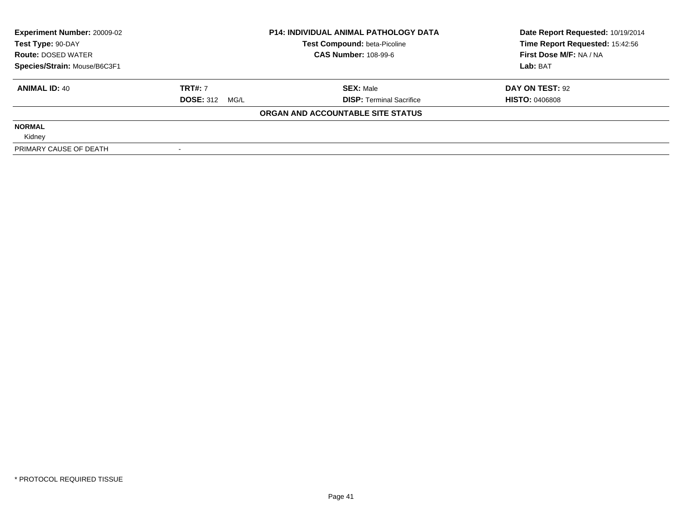| <b>Experiment Number: 20009-02</b> | <b>P14: INDIVIDUAL ANIMAL PATHOLOGY DATA</b> |                                     | Date Report Requested: 10/19/2014 |
|------------------------------------|----------------------------------------------|-------------------------------------|-----------------------------------|
| Test Type: 90-DAY                  |                                              | <b>Test Compound: beta-Picoline</b> | Time Report Requested: 15:42:56   |
| <b>Route: DOSED WATER</b>          |                                              | <b>CAS Number: 108-99-6</b>         | First Dose M/F: NA / NA           |
| Species/Strain: Mouse/B6C3F1       |                                              |                                     | Lab: BAT                          |
| <b>ANIMAL ID: 40</b>               | <b>TRT#: 7</b>                               | <b>SEX: Male</b>                    | DAY ON TEST: 92                   |
|                                    | <b>DOSE: 312 MG/L</b>                        | <b>DISP:</b> Terminal Sacrifice     | <b>HISTO: 0406808</b>             |
|                                    |                                              | ORGAN AND ACCOUNTABLE SITE STATUS   |                                   |
| <b>NORMAL</b>                      |                                              |                                     |                                   |
| Kidney                             |                                              |                                     |                                   |
| PRIMARY CAUSE OF DEATH             |                                              |                                     |                                   |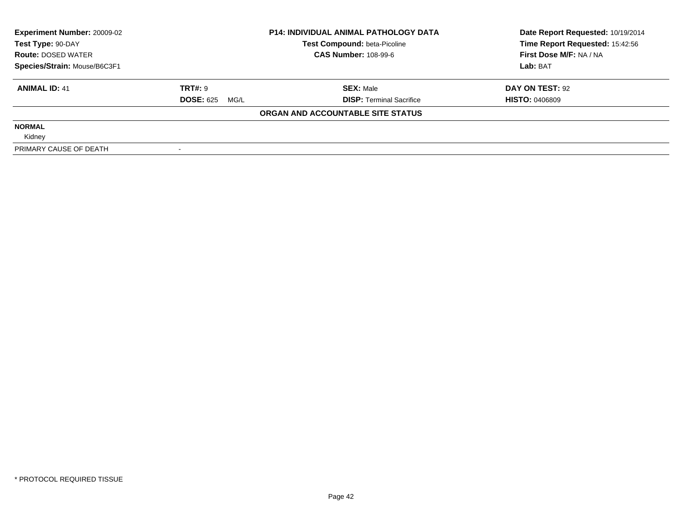| <b>Experiment Number: 20009-02</b><br>Test Type: 90-DAY |                          | <b>P14: INDIVIDUAL ANIMAL PATHOLOGY DATA</b><br>Test Compound: beta-Picoline | Date Report Requested: 10/19/2014<br>Time Report Requested: 15:42:56 |
|---------------------------------------------------------|--------------------------|------------------------------------------------------------------------------|----------------------------------------------------------------------|
| <b>Route: DOSED WATER</b>                               |                          | <b>CAS Number: 108-99-6</b>                                                  | First Dose M/F: NA / NA                                              |
| Species/Strain: Mouse/B6C3F1                            |                          |                                                                              | Lab: BAT                                                             |
| <b>ANIMAL ID: 41</b>                                    | TRT#: 9                  | <b>SEX: Male</b>                                                             | DAY ON TEST: 92                                                      |
|                                                         | <b>DOSE: 625</b><br>MG/L | <b>DISP:</b> Terminal Sacrifice                                              | <b>HISTO: 0406809</b>                                                |
|                                                         |                          | ORGAN AND ACCOUNTABLE SITE STATUS                                            |                                                                      |
| <b>NORMAL</b>                                           |                          |                                                                              |                                                                      |
| Kidney                                                  |                          |                                                                              |                                                                      |
| PRIMARY CAUSE OF DEATH                                  |                          |                                                                              |                                                                      |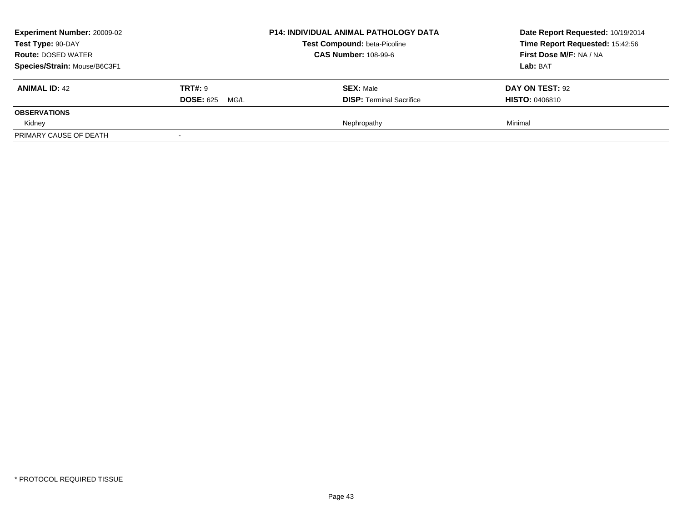| <b>Experiment Number: 20009-02</b><br>Test Type: 90-DAY<br><b>Route: DOSED WATER</b><br>Species/Strain: Mouse/B6C3F1 |                                         | <b>P14: INDIVIDUAL ANIMAL PATHOLOGY DATA</b><br><b>Test Compound: beta-Picoline</b><br><b>CAS Number: 108-99-6</b> | Date Report Requested: 10/19/2014<br>Time Report Requested: 15:42:56<br>First Dose M/F: NA / NA<br>Lab: BAT |
|----------------------------------------------------------------------------------------------------------------------|-----------------------------------------|--------------------------------------------------------------------------------------------------------------------|-------------------------------------------------------------------------------------------------------------|
| <b>ANIMAL ID: 42</b>                                                                                                 | <b>TRT#: 9</b><br><b>DOSE: 625 MG/L</b> | <b>SEX: Male</b><br><b>DISP: Terminal Sacrifice</b>                                                                | DAY ON TEST: 92<br><b>HISTO: 0406810</b>                                                                    |
| <b>OBSERVATIONS</b>                                                                                                  |                                         |                                                                                                                    |                                                                                                             |
| Kidney                                                                                                               |                                         | Nephropathy                                                                                                        | Minimal                                                                                                     |
| PRIMARY CAUSE OF DEATH                                                                                               | $\overline{\phantom{a}}$                |                                                                                                                    |                                                                                                             |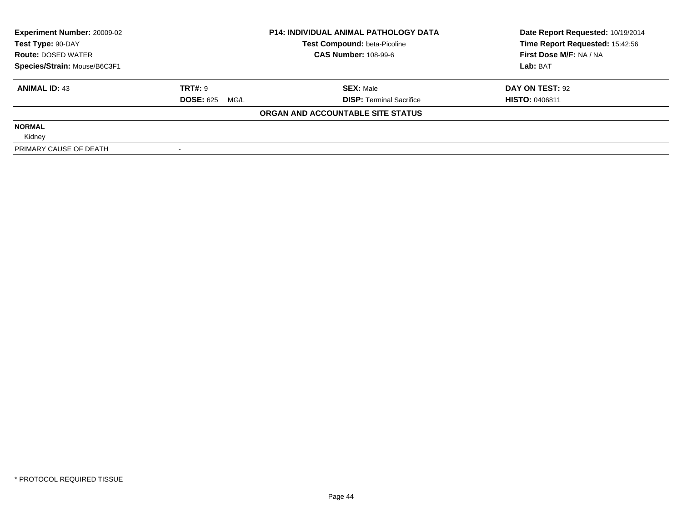| <b>Experiment Number: 20009-02</b><br>Test Type: 90-DAY |                          | <b>P14: INDIVIDUAL ANIMAL PATHOLOGY DATA</b><br>Test Compound: beta-Picoline | Date Report Requested: 10/19/2014<br>Time Report Requested: 15:42:56 |
|---------------------------------------------------------|--------------------------|------------------------------------------------------------------------------|----------------------------------------------------------------------|
| <b>Route: DOSED WATER</b>                               |                          | <b>CAS Number: 108-99-6</b>                                                  | First Dose M/F: NA / NA                                              |
| Species/Strain: Mouse/B6C3F1                            |                          |                                                                              | Lab: BAT                                                             |
| <b>ANIMAL ID: 43</b>                                    | TRT#: 9                  | <b>SEX: Male</b>                                                             | DAY ON TEST: 92                                                      |
|                                                         | <b>DOSE: 625</b><br>MG/L | <b>DISP:</b> Terminal Sacrifice                                              | <b>HISTO: 0406811</b>                                                |
|                                                         |                          | ORGAN AND ACCOUNTABLE SITE STATUS                                            |                                                                      |
| <b>NORMAL</b>                                           |                          |                                                                              |                                                                      |
| Kidney                                                  |                          |                                                                              |                                                                      |
| PRIMARY CAUSE OF DEATH                                  |                          |                                                                              |                                                                      |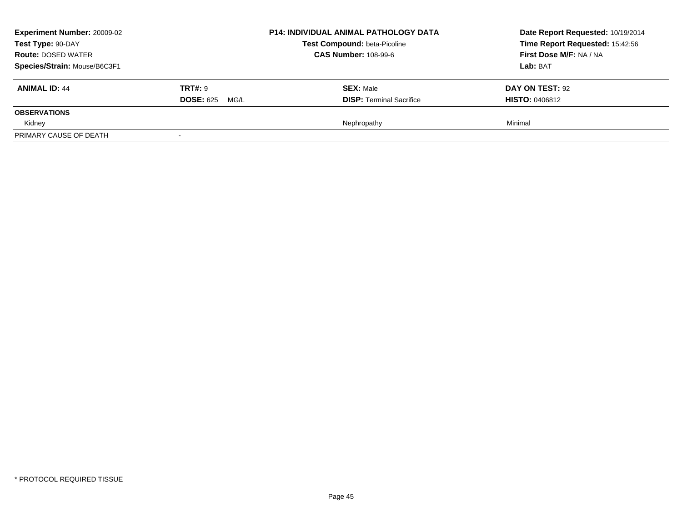| <b>Experiment Number: 20009-02</b><br>Test Type: 90-DAY<br><b>Route: DOSED WATER</b><br>Species/Strain: Mouse/B6C3F1 |                                         | <b>P14: INDIVIDUAL ANIMAL PATHOLOGY DATA</b><br><b>Test Compound: beta-Picoline</b><br><b>CAS Number: 108-99-6</b> | Date Report Requested: 10/19/2014<br>Time Report Requested: 15:42:56<br>First Dose M/F: NA / NA<br>Lab: BAT |
|----------------------------------------------------------------------------------------------------------------------|-----------------------------------------|--------------------------------------------------------------------------------------------------------------------|-------------------------------------------------------------------------------------------------------------|
| <b>ANIMAL ID: 44</b>                                                                                                 | <b>TRT#: 9</b><br><b>DOSE: 625 MG/L</b> | <b>SEX: Male</b><br><b>DISP: Terminal Sacrifice</b>                                                                | DAY ON TEST: 92<br><b>HISTO: 0406812</b>                                                                    |
| <b>OBSERVATIONS</b>                                                                                                  |                                         |                                                                                                                    |                                                                                                             |
| Kidney                                                                                                               |                                         | Nephropathy                                                                                                        | Minimal                                                                                                     |
| PRIMARY CAUSE OF DEATH                                                                                               | $\overline{\phantom{a}}$                |                                                                                                                    |                                                                                                             |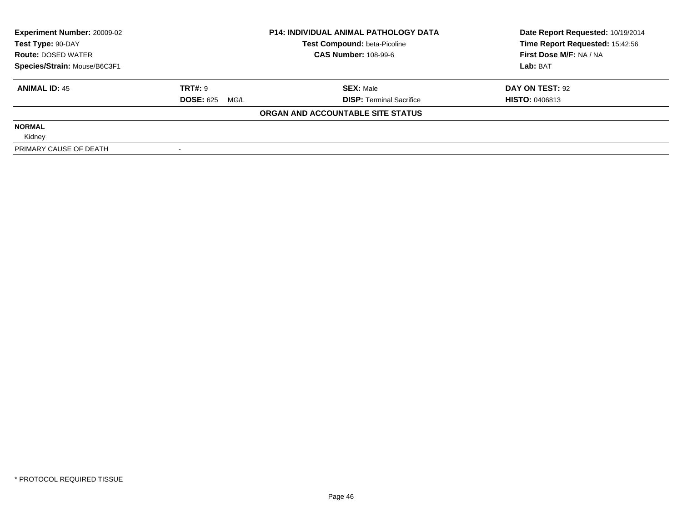| <b>Experiment Number: 20009-02</b> |                          | <b>P14: INDIVIDUAL ANIMAL PATHOLOGY DATA</b> | Date Report Requested: 10/19/2014 |
|------------------------------------|--------------------------|----------------------------------------------|-----------------------------------|
| Test Type: 90-DAY                  |                          | <b>Test Compound: beta-Picoline</b>          | Time Report Requested: 15:42:56   |
| <b>Route: DOSED WATER</b>          |                          | <b>CAS Number: 108-99-6</b>                  | First Dose M/F: NA / NA           |
| Species/Strain: Mouse/B6C3F1       |                          |                                              | Lab: BAT                          |
| <b>ANIMAL ID: 45</b>               | TRT#: 9                  | <b>SEX: Male</b>                             | DAY ON TEST: 92                   |
|                                    | <b>DOSE: 625</b><br>MG/L | <b>DISP:</b> Terminal Sacrifice              | <b>HISTO: 0406813</b>             |
|                                    |                          | ORGAN AND ACCOUNTABLE SITE STATUS            |                                   |
| <b>NORMAL</b>                      |                          |                                              |                                   |
| Kidney                             |                          |                                              |                                   |
| PRIMARY CAUSE OF DEATH             |                          |                                              |                                   |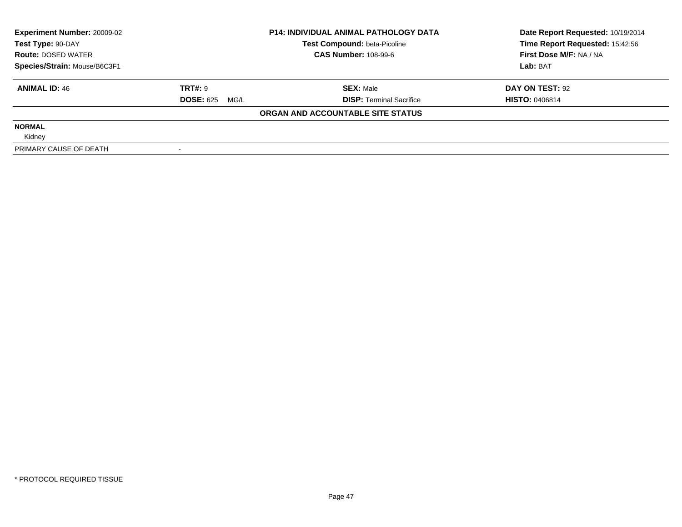| <b>Experiment Number: 20009-02</b><br>Test Type: 90-DAY |                          | <b>P14: INDIVIDUAL ANIMAL PATHOLOGY DATA</b><br>Test Compound: beta-Picoline | Date Report Requested: 10/19/2014<br>Time Report Requested: 15:42:56 |
|---------------------------------------------------------|--------------------------|------------------------------------------------------------------------------|----------------------------------------------------------------------|
| <b>Route: DOSED WATER</b>                               |                          | <b>CAS Number: 108-99-6</b>                                                  | First Dose M/F: NA / NA                                              |
| Species/Strain: Mouse/B6C3F1                            |                          |                                                                              | Lab: BAT                                                             |
| <b>ANIMAL ID: 46</b>                                    | TRT#: 9                  | <b>SEX: Male</b>                                                             | DAY ON TEST: 92                                                      |
|                                                         | <b>DOSE: 625</b><br>MG/L | <b>DISP:</b> Terminal Sacrifice                                              | <b>HISTO: 0406814</b>                                                |
|                                                         |                          | ORGAN AND ACCOUNTABLE SITE STATUS                                            |                                                                      |
| <b>NORMAL</b>                                           |                          |                                                                              |                                                                      |
| Kidney                                                  |                          |                                                                              |                                                                      |
| PRIMARY CAUSE OF DEATH                                  |                          |                                                                              |                                                                      |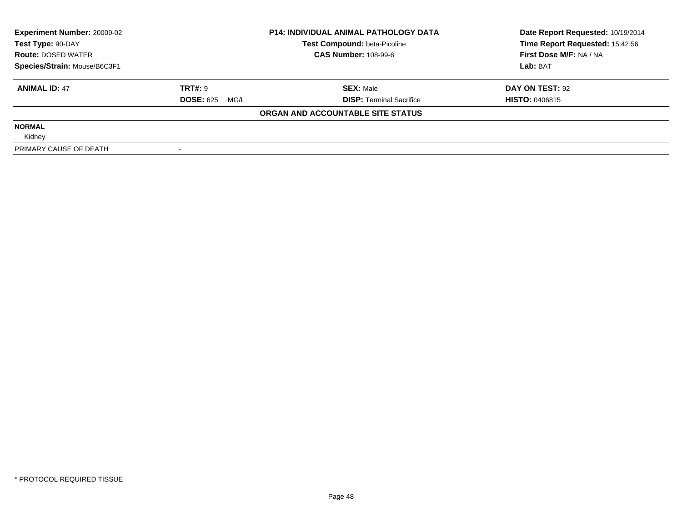| <b>Experiment Number: 20009-02</b> | <b>P14: INDIVIDUAL ANIMAL PATHOLOGY DATA</b> |                                     | Date Report Requested: 10/19/2014 |
|------------------------------------|----------------------------------------------|-------------------------------------|-----------------------------------|
| Test Type: 90-DAY                  |                                              | <b>Test Compound: beta-Picoline</b> | Time Report Requested: 15:42:56   |
| <b>Route: DOSED WATER</b>          |                                              | <b>CAS Number: 108-99-6</b>         | First Dose M/F: NA / NA           |
| Species/Strain: Mouse/B6C3F1       |                                              |                                     | Lab: BAT                          |
| <b>ANIMAL ID: 47</b>               | <b>TRT#: 9</b>                               | <b>SEX: Male</b>                    | DAY ON TEST: 92                   |
|                                    | <b>DOSE: 625 MG/L</b>                        | <b>DISP:</b> Terminal Sacrifice     | <b>HISTO: 0406815</b>             |
|                                    |                                              | ORGAN AND ACCOUNTABLE SITE STATUS   |                                   |
| <b>NORMAL</b>                      |                                              |                                     |                                   |
| Kidney                             |                                              |                                     |                                   |
| PRIMARY CAUSE OF DEATH             |                                              |                                     |                                   |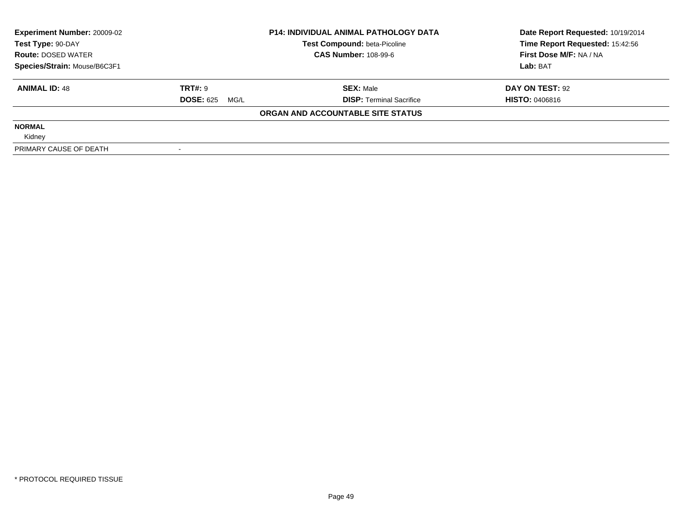| <b>Experiment Number: 20009-02</b><br>Test Type: 90-DAY<br><b>Route: DOSED WATER</b> |                          | <b>P14: INDIVIDUAL ANIMAL PATHOLOGY DATA</b><br>Test Compound: beta-Picoline | Date Report Requested: 10/19/2014<br>Time Report Requested: 15:42:56 |
|--------------------------------------------------------------------------------------|--------------------------|------------------------------------------------------------------------------|----------------------------------------------------------------------|
|                                                                                      |                          | <b>CAS Number: 108-99-6</b>                                                  | First Dose M/F: NA / NA                                              |
| Species/Strain: Mouse/B6C3F1                                                         |                          |                                                                              | Lab: BAT                                                             |
| <b>ANIMAL ID: 48</b>                                                                 | <b>TRT#: 9</b>           | <b>SEX: Male</b>                                                             | DAY ON TEST: 92                                                      |
|                                                                                      | <b>DOSE: 625</b><br>MG/L | <b>DISP:</b> Terminal Sacrifice                                              | <b>HISTO: 0406816</b>                                                |
|                                                                                      |                          | ORGAN AND ACCOUNTABLE SITE STATUS                                            |                                                                      |
| <b>NORMAL</b>                                                                        |                          |                                                                              |                                                                      |
| Kidney                                                                               |                          |                                                                              |                                                                      |
| PRIMARY CAUSE OF DEATH                                                               |                          |                                                                              |                                                                      |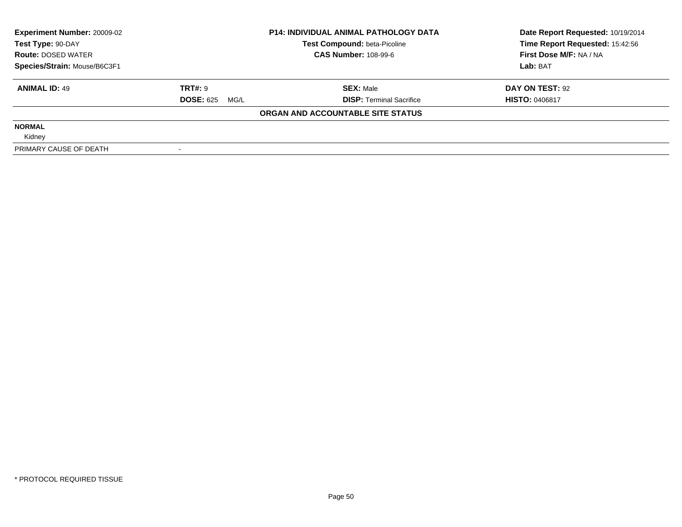| <b>Experiment Number: 20009-02</b> |                       | <b>P14: INDIVIDUAL ANIMAL PATHOLOGY DATA</b> | Date Report Requested: 10/19/2014 |  |
|------------------------------------|-----------------------|----------------------------------------------|-----------------------------------|--|
| Test Type: 90-DAY                  |                       | <b>Test Compound: beta-Picoline</b>          | Time Report Requested: 15:42:56   |  |
| <b>Route: DOSED WATER</b>          |                       | <b>CAS Number: 108-99-6</b>                  | First Dose M/F: NA / NA           |  |
| Species/Strain: Mouse/B6C3F1       |                       |                                              | Lab: BAT                          |  |
| <b>ANIMAL ID: 49</b>               | <b>TRT#: 9</b>        | <b>SEX: Male</b>                             | DAY ON TEST: 92                   |  |
|                                    | <b>DOSE: 625 MG/L</b> | <b>DISP:</b> Terminal Sacrifice              | <b>HISTO: 0406817</b>             |  |
|                                    |                       | ORGAN AND ACCOUNTABLE SITE STATUS            |                                   |  |
| <b>NORMAL</b>                      |                       |                                              |                                   |  |
| Kidney                             |                       |                                              |                                   |  |
| PRIMARY CAUSE OF DEATH             |                       |                                              |                                   |  |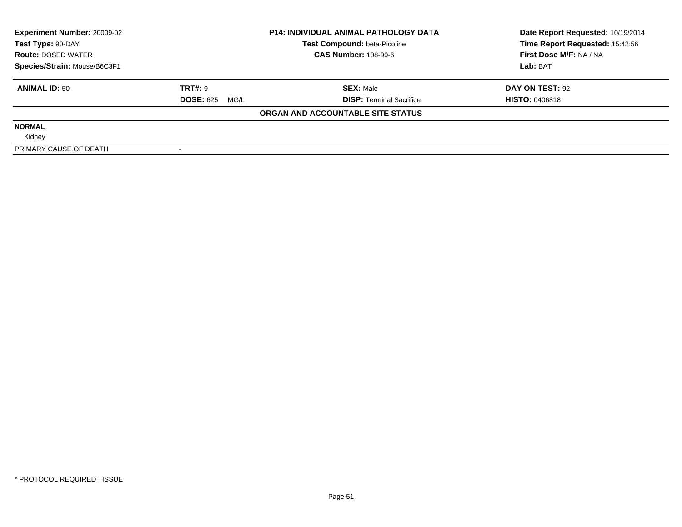| <b>Experiment Number: 20009-02</b><br>Test Type: 90-DAY<br><b>Route: DOSED WATER</b> |                          | <b>P14: INDIVIDUAL ANIMAL PATHOLOGY DATA</b><br>Test Compound: beta-Picoline | Date Report Requested: 10/19/2014<br>Time Report Requested: 15:42:56 |
|--------------------------------------------------------------------------------------|--------------------------|------------------------------------------------------------------------------|----------------------------------------------------------------------|
|                                                                                      |                          | <b>CAS Number: 108-99-6</b>                                                  | First Dose M/F: NA / NA                                              |
| Species/Strain: Mouse/B6C3F1                                                         |                          |                                                                              | Lab: BAT                                                             |
| <b>ANIMAL ID: 50</b>                                                                 | <b>TRT#: 9</b>           | <b>SEX: Male</b>                                                             | DAY ON TEST: 92                                                      |
|                                                                                      | <b>DOSE: 625</b><br>MG/L | <b>DISP:</b> Terminal Sacrifice                                              | <b>HISTO: 0406818</b>                                                |
|                                                                                      |                          | ORGAN AND ACCOUNTABLE SITE STATUS                                            |                                                                      |
| <b>NORMAL</b>                                                                        |                          |                                                                              |                                                                      |
| Kidney                                                                               |                          |                                                                              |                                                                      |
| PRIMARY CAUSE OF DEATH                                                               |                          |                                                                              |                                                                      |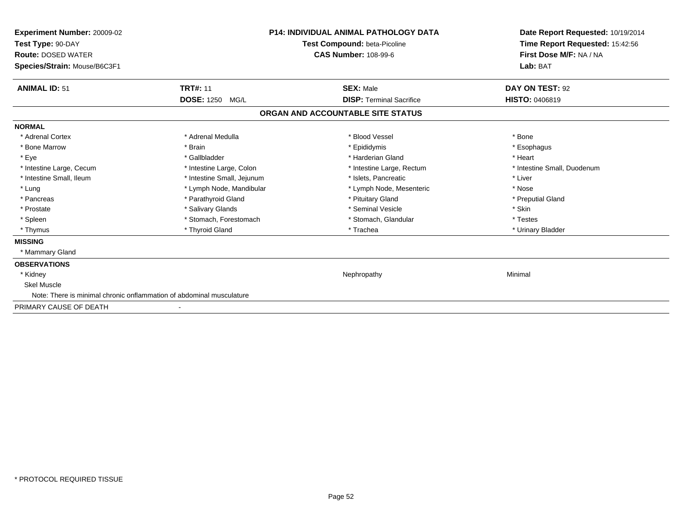| Experiment Number: 20009-02<br>Test Type: 90-DAY<br><b>Route: DOSED WATER</b><br>Species/Strain: Mouse/B6C3F1 | <b>P14: INDIVIDUAL ANIMAL PATHOLOGY DATA</b><br>Test Compound: beta-Picoline<br><b>CAS Number: 108-99-6</b> |                                   | Date Report Requested: 10/19/2014<br>Time Report Requested: 15:42:56<br>First Dose M/F: NA / NA<br>Lab: BAT |
|---------------------------------------------------------------------------------------------------------------|-------------------------------------------------------------------------------------------------------------|-----------------------------------|-------------------------------------------------------------------------------------------------------------|
| <b>ANIMAL ID: 51</b>                                                                                          | <b>TRT#: 11</b>                                                                                             | <b>SEX: Male</b>                  | DAY ON TEST: 92                                                                                             |
|                                                                                                               | DOSE: 1250 MG/L                                                                                             | <b>DISP: Terminal Sacrifice</b>   | <b>HISTO: 0406819</b>                                                                                       |
|                                                                                                               |                                                                                                             | ORGAN AND ACCOUNTABLE SITE STATUS |                                                                                                             |
| <b>NORMAL</b>                                                                                                 |                                                                                                             |                                   |                                                                                                             |
| * Adrenal Cortex                                                                                              | * Adrenal Medulla                                                                                           | * Blood Vessel                    | * Bone                                                                                                      |
| * Bone Marrow                                                                                                 | * Brain                                                                                                     | * Epididymis                      | * Esophagus                                                                                                 |
| * Eye                                                                                                         | * Gallbladder                                                                                               | * Harderian Gland                 | * Heart                                                                                                     |
| * Intestine Large, Cecum                                                                                      | * Intestine Large, Colon                                                                                    | * Intestine Large, Rectum         | * Intestine Small, Duodenum                                                                                 |
| * Intestine Small. Ileum                                                                                      | * Intestine Small, Jejunum                                                                                  | * Islets. Pancreatic              | * Liver                                                                                                     |
| * Lung                                                                                                        | * Lymph Node, Mandibular                                                                                    | * Lymph Node, Mesenteric          | * Nose                                                                                                      |
| * Pancreas                                                                                                    | * Parathyroid Gland                                                                                         | * Pituitary Gland                 | * Preputial Gland                                                                                           |
| * Prostate                                                                                                    | * Salivary Glands                                                                                           | * Seminal Vesicle                 | * Skin                                                                                                      |
| * Spleen                                                                                                      | * Stomach, Forestomach                                                                                      | * Stomach, Glandular              | * Testes                                                                                                    |
| * Thymus                                                                                                      | * Thyroid Gland                                                                                             | * Trachea                         | * Urinary Bladder                                                                                           |
| <b>MISSING</b>                                                                                                |                                                                                                             |                                   |                                                                                                             |
| * Mammary Gland                                                                                               |                                                                                                             |                                   |                                                                                                             |
| <b>OBSERVATIONS</b>                                                                                           |                                                                                                             |                                   |                                                                                                             |
| * Kidney                                                                                                      |                                                                                                             | Nephropathy                       | Minimal                                                                                                     |
| <b>Skel Muscle</b>                                                                                            |                                                                                                             |                                   |                                                                                                             |
| Note: There is minimal chronic onflammation of abdominal musculature                                          |                                                                                                             |                                   |                                                                                                             |
| PRIMARY CAUSE OF DEATH                                                                                        |                                                                                                             |                                   |                                                                                                             |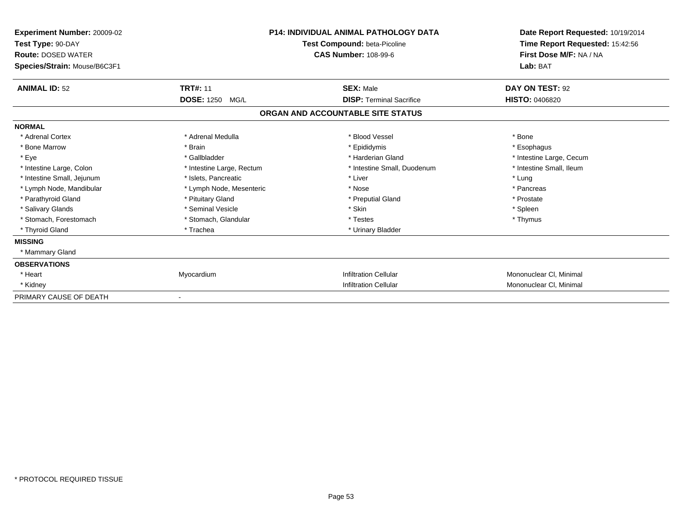| Experiment Number: 20009-02<br>Test Type: 90-DAY<br><b>Route: DOSED WATER</b><br>Species/Strain: Mouse/B6C3F1 | <b>P14: INDIVIDUAL ANIMAL PATHOLOGY DATA</b><br>Test Compound: beta-Picoline<br><b>CAS Number: 108-99-6</b> |                                   | Date Report Requested: 10/19/2014<br>Time Report Requested: 15:42:56<br>First Dose M/F: NA / NA<br>Lab: BAT |
|---------------------------------------------------------------------------------------------------------------|-------------------------------------------------------------------------------------------------------------|-----------------------------------|-------------------------------------------------------------------------------------------------------------|
| <b>ANIMAL ID: 52</b>                                                                                          | <b>TRT#: 11</b>                                                                                             | <b>SEX: Male</b>                  | DAY ON TEST: 92                                                                                             |
|                                                                                                               | <b>DOSE: 1250</b><br>MG/L                                                                                   | <b>DISP: Terminal Sacrifice</b>   | <b>HISTO: 0406820</b>                                                                                       |
|                                                                                                               |                                                                                                             | ORGAN AND ACCOUNTABLE SITE STATUS |                                                                                                             |
| <b>NORMAL</b>                                                                                                 |                                                                                                             |                                   |                                                                                                             |
| * Adrenal Cortex                                                                                              | * Adrenal Medulla                                                                                           | * Blood Vessel                    | * Bone                                                                                                      |
| * Bone Marrow                                                                                                 | * Brain                                                                                                     | * Epididymis                      | * Esophagus                                                                                                 |
| * Eye                                                                                                         | * Gallbladder                                                                                               | * Harderian Gland                 | * Intestine Large, Cecum                                                                                    |
| * Intestine Large, Colon                                                                                      | * Intestine Large, Rectum                                                                                   | * Intestine Small, Duodenum       | * Intestine Small, Ileum                                                                                    |
| * Intestine Small, Jejunum                                                                                    | * Islets, Pancreatic                                                                                        | * Liver                           | * Lung                                                                                                      |
| * Lymph Node, Mandibular                                                                                      | * Lymph Node, Mesenteric                                                                                    | * Nose                            | * Pancreas                                                                                                  |
| * Parathyroid Gland                                                                                           | * Pituitary Gland                                                                                           | * Preputial Gland                 | * Prostate                                                                                                  |
| * Salivary Glands                                                                                             | * Seminal Vesicle                                                                                           | * Skin                            | * Spleen                                                                                                    |
| * Stomach, Forestomach                                                                                        | * Stomach, Glandular                                                                                        | * Testes                          | * Thymus                                                                                                    |
| * Thyroid Gland                                                                                               | * Trachea                                                                                                   | * Urinary Bladder                 |                                                                                                             |
| <b>MISSING</b>                                                                                                |                                                                                                             |                                   |                                                                                                             |
| * Mammary Gland                                                                                               |                                                                                                             |                                   |                                                                                                             |
| <b>OBSERVATIONS</b>                                                                                           |                                                                                                             |                                   |                                                                                                             |
| * Heart                                                                                                       | Myocardium                                                                                                  | <b>Infiltration Cellular</b>      | Mononuclear CI, Minimal                                                                                     |
| * Kidney                                                                                                      |                                                                                                             | <b>Infiltration Cellular</b>      | Mononuclear CI, Minimal                                                                                     |
| PRIMARY CAUSE OF DEATH                                                                                        |                                                                                                             |                                   |                                                                                                             |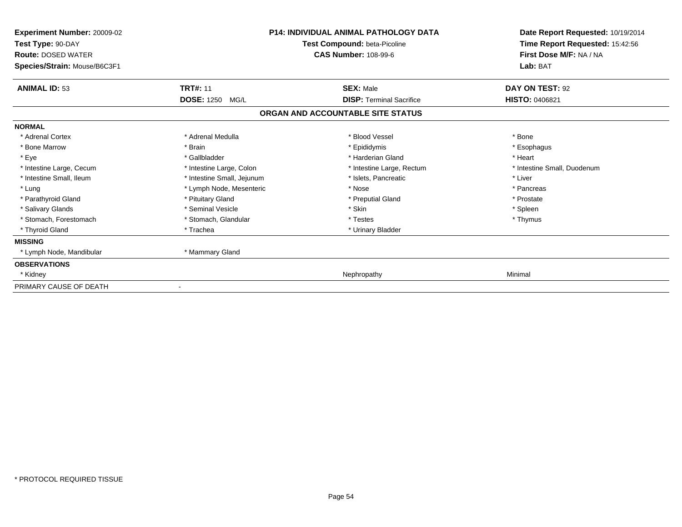| <b>Experiment Number: 20009-02</b><br>Test Type: 90-DAY<br><b>Route: DOSED WATER</b><br>Species/Strain: Mouse/B6C3F1 | <b>P14: INDIVIDUAL ANIMAL PATHOLOGY DATA</b><br>Test Compound: beta-Picoline<br><b>CAS Number: 108-99-6</b> |                                   | Date Report Requested: 10/19/2014<br>Time Report Requested: 15:42:56<br>First Dose M/F: NA / NA<br>Lab: BAT |
|----------------------------------------------------------------------------------------------------------------------|-------------------------------------------------------------------------------------------------------------|-----------------------------------|-------------------------------------------------------------------------------------------------------------|
| <b>ANIMAL ID: 53</b>                                                                                                 | <b>TRT#: 11</b>                                                                                             | <b>SEX: Male</b>                  | DAY ON TEST: 92                                                                                             |
|                                                                                                                      | <b>DOSE: 1250</b><br>MG/L                                                                                   | <b>DISP: Terminal Sacrifice</b>   | <b>HISTO: 0406821</b>                                                                                       |
|                                                                                                                      |                                                                                                             | ORGAN AND ACCOUNTABLE SITE STATUS |                                                                                                             |
| <b>NORMAL</b>                                                                                                        |                                                                                                             |                                   |                                                                                                             |
| * Adrenal Cortex                                                                                                     | * Adrenal Medulla                                                                                           | * Blood Vessel                    | * Bone                                                                                                      |
| * Bone Marrow                                                                                                        | * Brain                                                                                                     | * Epididymis                      | * Esophagus                                                                                                 |
| * Eye                                                                                                                | * Gallbladder                                                                                               | * Harderian Gland                 | * Heart                                                                                                     |
| * Intestine Large, Cecum                                                                                             | * Intestine Large, Colon                                                                                    | * Intestine Large, Rectum         | * Intestine Small, Duodenum                                                                                 |
| * Intestine Small, Ileum                                                                                             | * Intestine Small, Jejunum                                                                                  | * Islets, Pancreatic              | * Liver                                                                                                     |
| * Lung                                                                                                               | * Lymph Node, Mesenteric                                                                                    | * Nose                            | * Pancreas                                                                                                  |
| * Parathyroid Gland                                                                                                  | * Pituitary Gland                                                                                           | * Preputial Gland                 | * Prostate                                                                                                  |
| * Salivary Glands                                                                                                    | * Seminal Vesicle                                                                                           | * Skin                            | * Spleen                                                                                                    |
| * Stomach, Forestomach                                                                                               | * Stomach, Glandular                                                                                        | * Testes                          | * Thymus                                                                                                    |
| * Thyroid Gland                                                                                                      | * Trachea                                                                                                   | * Urinary Bladder                 |                                                                                                             |
| <b>MISSING</b>                                                                                                       |                                                                                                             |                                   |                                                                                                             |
| * Lymph Node, Mandibular                                                                                             | * Mammary Gland                                                                                             |                                   |                                                                                                             |
| <b>OBSERVATIONS</b>                                                                                                  |                                                                                                             |                                   |                                                                                                             |
| * Kidney                                                                                                             |                                                                                                             | Nephropathy                       | Minimal                                                                                                     |
| PRIMARY CAUSE OF DEATH                                                                                               |                                                                                                             |                                   |                                                                                                             |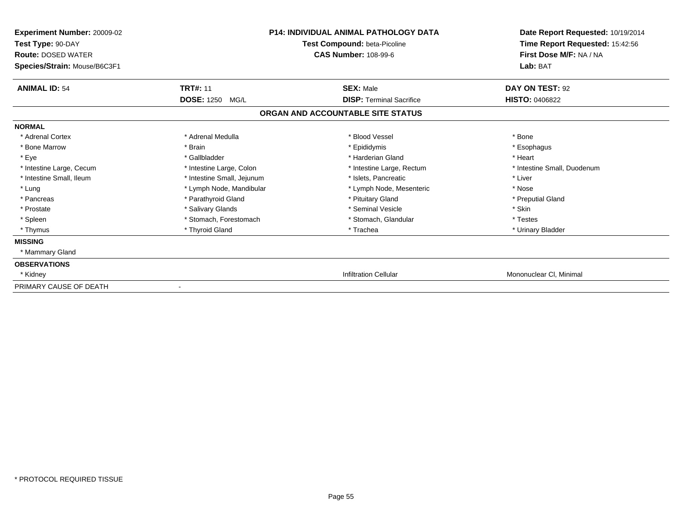| <b>Experiment Number: 20009-02</b><br>Test Type: 90-DAY<br><b>Route: DOSED WATER</b><br>Species/Strain: Mouse/B6C3F1 |                            | <b>P14: INDIVIDUAL ANIMAL PATHOLOGY DATA</b><br>Test Compound: beta-Picoline<br><b>CAS Number: 108-99-6</b> | Date Report Requested: 10/19/2014<br>Time Report Requested: 15:42:56<br>First Dose M/F: NA / NA<br>Lab: BAT |
|----------------------------------------------------------------------------------------------------------------------|----------------------------|-------------------------------------------------------------------------------------------------------------|-------------------------------------------------------------------------------------------------------------|
| <b>ANIMAL ID: 54</b>                                                                                                 | <b>TRT#: 11</b>            | <b>SEX: Male</b>                                                                                            | DAY ON TEST: 92                                                                                             |
|                                                                                                                      | <b>DOSE: 1250</b><br>MG/L  | <b>DISP: Terminal Sacrifice</b>                                                                             | <b>HISTO: 0406822</b>                                                                                       |
|                                                                                                                      |                            | ORGAN AND ACCOUNTABLE SITE STATUS                                                                           |                                                                                                             |
| <b>NORMAL</b>                                                                                                        |                            |                                                                                                             |                                                                                                             |
| * Adrenal Cortex                                                                                                     | * Adrenal Medulla          | * Blood Vessel                                                                                              | * Bone                                                                                                      |
| * Bone Marrow                                                                                                        | * Brain                    | * Epididymis                                                                                                | * Esophagus                                                                                                 |
| * Eye                                                                                                                | * Gallbladder              | * Harderian Gland                                                                                           | * Heart                                                                                                     |
| * Intestine Large, Cecum                                                                                             | * Intestine Large, Colon   | * Intestine Large, Rectum                                                                                   | * Intestine Small, Duodenum                                                                                 |
| * Intestine Small, Ileum                                                                                             | * Intestine Small, Jejunum | * Islets, Pancreatic                                                                                        | * Liver                                                                                                     |
| * Lung                                                                                                               | * Lymph Node, Mandibular   | * Lymph Node, Mesenteric                                                                                    | * Nose                                                                                                      |
| * Pancreas                                                                                                           | * Parathyroid Gland        | * Pituitary Gland                                                                                           | * Preputial Gland                                                                                           |
| * Prostate                                                                                                           | * Salivary Glands          | * Seminal Vesicle                                                                                           | * Skin                                                                                                      |
| * Spleen                                                                                                             | * Stomach, Forestomach     | * Stomach, Glandular                                                                                        | * Testes                                                                                                    |
| * Thymus                                                                                                             | * Thyroid Gland            | * Trachea                                                                                                   | * Urinary Bladder                                                                                           |
| <b>MISSING</b>                                                                                                       |                            |                                                                                                             |                                                                                                             |
| * Mammary Gland                                                                                                      |                            |                                                                                                             |                                                                                                             |
| <b>OBSERVATIONS</b>                                                                                                  |                            |                                                                                                             |                                                                                                             |
| * Kidney                                                                                                             |                            | <b>Infiltration Cellular</b>                                                                                | Mononuclear CI, Minimal                                                                                     |
| PRIMARY CAUSE OF DEATH                                                                                               |                            |                                                                                                             |                                                                                                             |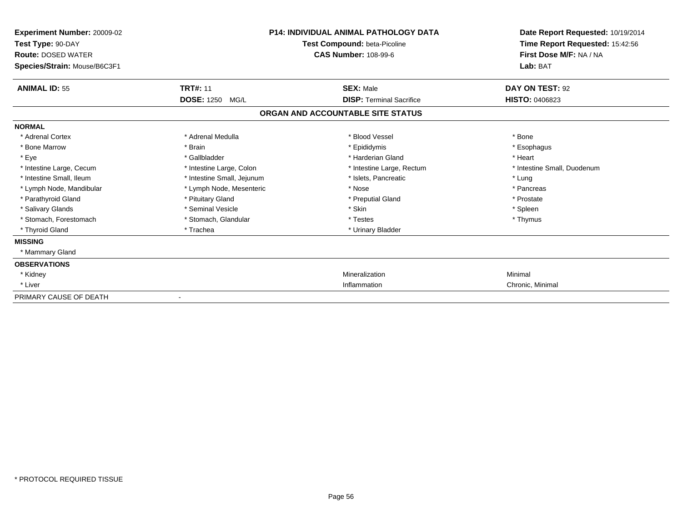| Experiment Number: 20009-02<br>Test Type: 90-DAY<br><b>Route: DOSED WATER</b><br>Species/Strain: Mouse/B6C3F1 | <b>P14: INDIVIDUAL ANIMAL PATHOLOGY DATA</b><br>Test Compound: beta-Picoline<br><b>CAS Number: 108-99-6</b> |                                   | Date Report Requested: 10/19/2014<br>Time Report Requested: 15:42:56<br>First Dose M/F: NA / NA<br>Lab: BAT |  |
|---------------------------------------------------------------------------------------------------------------|-------------------------------------------------------------------------------------------------------------|-----------------------------------|-------------------------------------------------------------------------------------------------------------|--|
| <b>ANIMAL ID: 55</b>                                                                                          | <b>TRT#: 11</b>                                                                                             | <b>SEX: Male</b>                  | DAY ON TEST: 92                                                                                             |  |
|                                                                                                               | <b>DOSE: 1250</b><br>MG/L                                                                                   | <b>DISP: Terminal Sacrifice</b>   | <b>HISTO: 0406823</b>                                                                                       |  |
|                                                                                                               |                                                                                                             | ORGAN AND ACCOUNTABLE SITE STATUS |                                                                                                             |  |
| <b>NORMAL</b>                                                                                                 |                                                                                                             |                                   |                                                                                                             |  |
| * Adrenal Cortex                                                                                              | * Adrenal Medulla                                                                                           | * Blood Vessel                    | * Bone                                                                                                      |  |
| * Bone Marrow                                                                                                 | * Brain                                                                                                     | * Epididymis                      | * Esophagus                                                                                                 |  |
| * Eye                                                                                                         | * Gallbladder                                                                                               | * Harderian Gland                 | * Heart                                                                                                     |  |
| * Intestine Large, Cecum                                                                                      | * Intestine Large, Colon                                                                                    | * Intestine Large, Rectum         | * Intestine Small, Duodenum                                                                                 |  |
| * Intestine Small, Ileum                                                                                      | * Intestine Small, Jejunum                                                                                  | * Islets, Pancreatic              | * Lung                                                                                                      |  |
| * Lymph Node, Mandibular                                                                                      | * Lymph Node, Mesenteric                                                                                    | * Nose                            | * Pancreas                                                                                                  |  |
| * Parathyroid Gland                                                                                           | * Pituitary Gland                                                                                           | * Preputial Gland                 | * Prostate                                                                                                  |  |
| * Salivary Glands                                                                                             | * Seminal Vesicle                                                                                           | * Skin                            | * Spleen                                                                                                    |  |
| * Stomach, Forestomach                                                                                        | * Stomach, Glandular                                                                                        | * Testes                          | * Thymus                                                                                                    |  |
| * Thyroid Gland                                                                                               | * Trachea                                                                                                   | * Urinary Bladder                 |                                                                                                             |  |
| <b>MISSING</b>                                                                                                |                                                                                                             |                                   |                                                                                                             |  |
| * Mammary Gland                                                                                               |                                                                                                             |                                   |                                                                                                             |  |
| <b>OBSERVATIONS</b>                                                                                           |                                                                                                             |                                   |                                                                                                             |  |
| * Kidney                                                                                                      |                                                                                                             | Mineralization                    | Minimal                                                                                                     |  |
| * Liver                                                                                                       |                                                                                                             | Inflammation                      | Chronic, Minimal                                                                                            |  |
| PRIMARY CAUSE OF DEATH                                                                                        |                                                                                                             |                                   |                                                                                                             |  |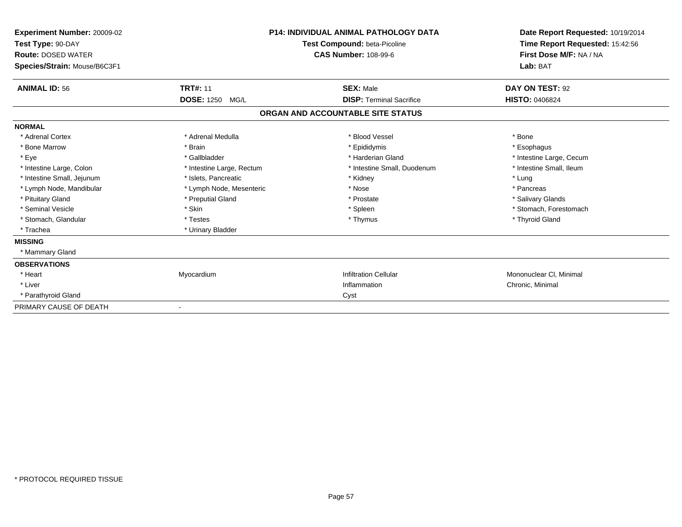| Experiment Number: 20009-02<br>Test Type: 90-DAY<br><b>Route: DOSED WATER</b><br>Species/Strain: Mouse/B6C3F1 |                           | <b>P14: INDIVIDUAL ANIMAL PATHOLOGY DATA</b><br><b>Test Compound: beta-Picoline</b><br><b>CAS Number: 108-99-6</b> | Date Report Requested: 10/19/2014<br>Time Report Requested: 15:42:56<br>First Dose M/F: NA / NA<br>Lab: BAT |
|---------------------------------------------------------------------------------------------------------------|---------------------------|--------------------------------------------------------------------------------------------------------------------|-------------------------------------------------------------------------------------------------------------|
| <b>ANIMAL ID: 56</b>                                                                                          | <b>TRT#: 11</b>           | <b>SEX: Male</b>                                                                                                   | DAY ON TEST: 92                                                                                             |
|                                                                                                               | DOSE: 1250 MG/L           | <b>DISP: Terminal Sacrifice</b>                                                                                    | HISTO: 0406824                                                                                              |
|                                                                                                               |                           | ORGAN AND ACCOUNTABLE SITE STATUS                                                                                  |                                                                                                             |
| <b>NORMAL</b>                                                                                                 |                           |                                                                                                                    |                                                                                                             |
| * Adrenal Cortex                                                                                              | * Adrenal Medulla         | * Blood Vessel                                                                                                     | * Bone                                                                                                      |
| * Bone Marrow                                                                                                 | * Brain                   | * Epididymis                                                                                                       | * Esophagus                                                                                                 |
| * Eye                                                                                                         | * Gallbladder             | * Harderian Gland                                                                                                  | * Intestine Large, Cecum                                                                                    |
| * Intestine Large, Colon                                                                                      | * Intestine Large, Rectum | * Intestine Small, Duodenum                                                                                        | * Intestine Small, Ileum                                                                                    |
| * Intestine Small, Jejunum                                                                                    | * Islets, Pancreatic      | * Kidney                                                                                                           | * Lung                                                                                                      |
| * Lymph Node, Mandibular                                                                                      | * Lymph Node, Mesenteric  | * Nose                                                                                                             | * Pancreas                                                                                                  |
| * Pituitary Gland                                                                                             | * Preputial Gland         | * Prostate                                                                                                         | * Salivary Glands                                                                                           |
| * Seminal Vesicle                                                                                             | * Skin                    | * Spleen                                                                                                           | * Stomach, Forestomach                                                                                      |
| * Stomach, Glandular                                                                                          | * Testes                  | * Thymus                                                                                                           | * Thyroid Gland                                                                                             |
| * Trachea                                                                                                     | * Urinary Bladder         |                                                                                                                    |                                                                                                             |
| <b>MISSING</b>                                                                                                |                           |                                                                                                                    |                                                                                                             |
| * Mammary Gland                                                                                               |                           |                                                                                                                    |                                                                                                             |
| <b>OBSERVATIONS</b>                                                                                           |                           |                                                                                                                    |                                                                                                             |
| * Heart                                                                                                       | Myocardium                | <b>Infiltration Cellular</b>                                                                                       | Mononuclear CI, Minimal                                                                                     |
| * Liver                                                                                                       |                           | Inflammation                                                                                                       | Chronic, Minimal                                                                                            |
| * Parathyroid Gland                                                                                           |                           | Cyst                                                                                                               |                                                                                                             |
| PRIMARY CAUSE OF DEATH                                                                                        |                           |                                                                                                                    |                                                                                                             |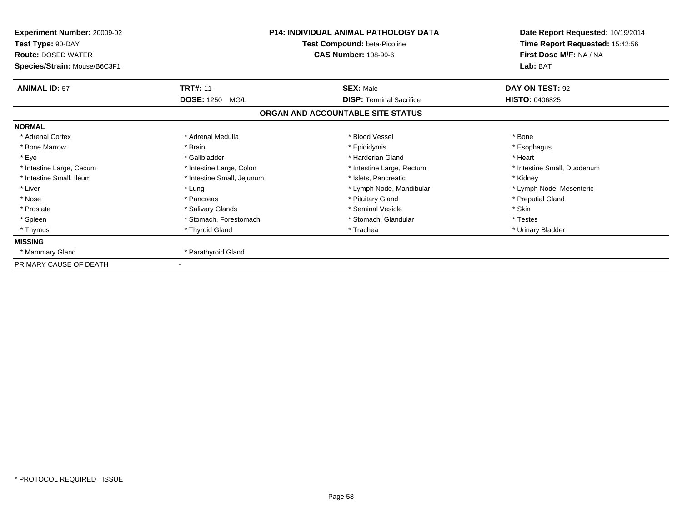| Experiment Number: 20009-02<br>Test Type: 90-DAY<br><b>Route: DOSED WATER</b><br>Species/Strain: Mouse/B6C3F1 | <b>P14: INDIVIDUAL ANIMAL PATHOLOGY DATA</b><br>Test Compound: beta-Picoline<br><b>CAS Number: 108-99-6</b> |                                   | Date Report Requested: 10/19/2014<br>Time Report Requested: 15:42:56<br>First Dose M/F: NA / NA<br>Lab: BAT |
|---------------------------------------------------------------------------------------------------------------|-------------------------------------------------------------------------------------------------------------|-----------------------------------|-------------------------------------------------------------------------------------------------------------|
| <b>ANIMAL ID: 57</b>                                                                                          | <b>TRT#: 11</b>                                                                                             | <b>SEX: Male</b>                  | DAY ON TEST: 92                                                                                             |
|                                                                                                               | <b>DOSE: 1250</b><br>MG/L                                                                                   | <b>DISP: Terminal Sacrifice</b>   | <b>HISTO: 0406825</b>                                                                                       |
|                                                                                                               |                                                                                                             | ORGAN AND ACCOUNTABLE SITE STATUS |                                                                                                             |
| <b>NORMAL</b>                                                                                                 |                                                                                                             |                                   |                                                                                                             |
| * Adrenal Cortex                                                                                              | * Adrenal Medulla                                                                                           | * Blood Vessel                    | * Bone                                                                                                      |
| * Bone Marrow                                                                                                 | * Brain                                                                                                     | * Epididymis                      | * Esophagus                                                                                                 |
| * Eye                                                                                                         | * Gallbladder                                                                                               | * Harderian Gland                 | * Heart                                                                                                     |
| * Intestine Large, Cecum                                                                                      | * Intestine Large, Colon                                                                                    | * Intestine Large, Rectum         | * Intestine Small, Duodenum                                                                                 |
| * Intestine Small, Ileum                                                                                      | * Intestine Small, Jejunum                                                                                  | * Islets, Pancreatic              | * Kidney                                                                                                    |
| * Liver                                                                                                       | * Lung                                                                                                      | * Lymph Node, Mandibular          | * Lymph Node, Mesenteric                                                                                    |
| * Nose                                                                                                        | * Pancreas                                                                                                  | * Pituitary Gland                 | * Preputial Gland                                                                                           |
| * Prostate                                                                                                    | * Salivary Glands                                                                                           | * Seminal Vesicle                 | * Skin                                                                                                      |
| * Spleen                                                                                                      | * Stomach, Forestomach                                                                                      | * Stomach, Glandular              | * Testes                                                                                                    |
| * Thymus                                                                                                      | * Thyroid Gland                                                                                             | * Trachea                         | * Urinary Bladder                                                                                           |
| <b>MISSING</b>                                                                                                |                                                                                                             |                                   |                                                                                                             |
| * Mammary Gland                                                                                               | * Parathyroid Gland                                                                                         |                                   |                                                                                                             |
| PRIMARY CAUSE OF DEATH                                                                                        |                                                                                                             |                                   |                                                                                                             |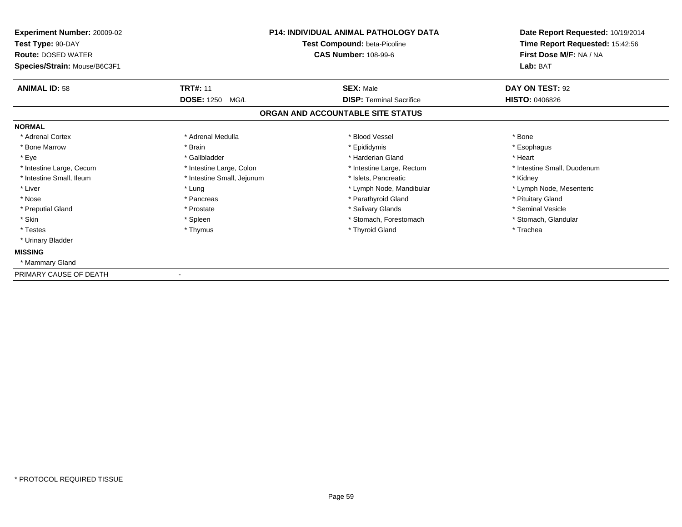| <b>Experiment Number: 20009-02</b><br>Test Type: 90-DAY<br><b>Route: DOSED WATER</b><br>Species/Strain: Mouse/B6C3F1 | <b>P14: INDIVIDUAL ANIMAL PATHOLOGY DATA</b><br>Test Compound: beta-Picoline<br><b>CAS Number: 108-99-6</b> |                                   | Date Report Requested: 10/19/2014<br>Time Report Requested: 15:42:56<br>First Dose M/F: NA / NA<br>Lab: BAT |
|----------------------------------------------------------------------------------------------------------------------|-------------------------------------------------------------------------------------------------------------|-----------------------------------|-------------------------------------------------------------------------------------------------------------|
| <b>ANIMAL ID: 58</b>                                                                                                 | <b>TRT#: 11</b>                                                                                             | <b>SEX: Male</b>                  | DAY ON TEST: 92                                                                                             |
|                                                                                                                      | <b>DOSE: 1250 MG/L</b>                                                                                      | <b>DISP: Terminal Sacrifice</b>   | <b>HISTO: 0406826</b>                                                                                       |
|                                                                                                                      |                                                                                                             | ORGAN AND ACCOUNTABLE SITE STATUS |                                                                                                             |
| <b>NORMAL</b>                                                                                                        |                                                                                                             |                                   |                                                                                                             |
| * Adrenal Cortex                                                                                                     | * Adrenal Medulla                                                                                           | * Blood Vessel                    | * Bone                                                                                                      |
| * Bone Marrow                                                                                                        | * Brain                                                                                                     | * Epididymis                      | * Esophagus                                                                                                 |
| * Eye                                                                                                                | * Gallbladder                                                                                               | * Harderian Gland                 | * Heart                                                                                                     |
| * Intestine Large, Cecum                                                                                             | * Intestine Large, Colon                                                                                    | * Intestine Large, Rectum         | * Intestine Small, Duodenum                                                                                 |
| * Intestine Small, Ileum                                                                                             | * Intestine Small, Jejunum                                                                                  | * Islets, Pancreatic              | * Kidney                                                                                                    |
| * Liver                                                                                                              | * Lung                                                                                                      | * Lymph Node, Mandibular          | * Lymph Node, Mesenteric                                                                                    |
| * Nose                                                                                                               | * Pancreas                                                                                                  | * Parathyroid Gland               | * Pituitary Gland                                                                                           |
| * Preputial Gland                                                                                                    | * Prostate                                                                                                  | * Salivary Glands                 | * Seminal Vesicle                                                                                           |
| * Skin                                                                                                               | * Spleen                                                                                                    | * Stomach. Forestomach            | * Stomach, Glandular                                                                                        |
| * Testes                                                                                                             | * Thymus                                                                                                    | * Thyroid Gland                   | * Trachea                                                                                                   |
| * Urinary Bladder                                                                                                    |                                                                                                             |                                   |                                                                                                             |
| <b>MISSING</b>                                                                                                       |                                                                                                             |                                   |                                                                                                             |
| * Mammary Gland                                                                                                      |                                                                                                             |                                   |                                                                                                             |
| PRIMARY CAUSE OF DEATH                                                                                               |                                                                                                             |                                   |                                                                                                             |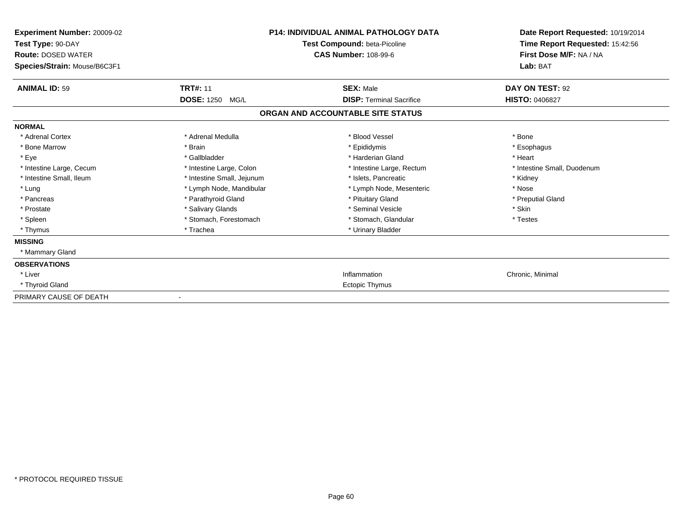| <b>Experiment Number: 20009-02</b><br>Test Type: 90-DAY<br><b>Route: DOSED WATER</b><br>Species/Strain: Mouse/B6C3F1 |                            | <b>P14: INDIVIDUAL ANIMAL PATHOLOGY DATA</b><br>Test Compound: beta-Picoline<br><b>CAS Number: 108-99-6</b> | Date Report Requested: 10/19/2014<br>Time Report Requested: 15:42:56<br>First Dose M/F: NA / NA<br>Lab: BAT |
|----------------------------------------------------------------------------------------------------------------------|----------------------------|-------------------------------------------------------------------------------------------------------------|-------------------------------------------------------------------------------------------------------------|
| <b>ANIMAL ID: 59</b>                                                                                                 | <b>TRT#: 11</b>            | <b>SEX: Male</b>                                                                                            | DAY ON TEST: 92                                                                                             |
|                                                                                                                      | <b>DOSE: 1250</b><br>MG/L  | <b>DISP:</b> Terminal Sacrifice                                                                             | <b>HISTO: 0406827</b>                                                                                       |
|                                                                                                                      |                            | ORGAN AND ACCOUNTABLE SITE STATUS                                                                           |                                                                                                             |
| <b>NORMAL</b>                                                                                                        |                            |                                                                                                             |                                                                                                             |
| * Adrenal Cortex                                                                                                     | * Adrenal Medulla          | * Blood Vessel                                                                                              | * Bone                                                                                                      |
| * Bone Marrow                                                                                                        | * Brain                    | * Epididymis                                                                                                | * Esophagus                                                                                                 |
| * Eye                                                                                                                | * Gallbladder              | * Harderian Gland                                                                                           | * Heart                                                                                                     |
| * Intestine Large, Cecum                                                                                             | * Intestine Large, Colon   | * Intestine Large, Rectum                                                                                   | * Intestine Small, Duodenum                                                                                 |
| * Intestine Small, Ileum                                                                                             | * Intestine Small, Jejunum | * Islets, Pancreatic                                                                                        | * Kidney                                                                                                    |
| * Lung                                                                                                               | * Lymph Node, Mandibular   | * Lymph Node, Mesenteric                                                                                    | * Nose                                                                                                      |
| * Pancreas                                                                                                           | * Parathyroid Gland        | * Pituitary Gland                                                                                           | * Preputial Gland                                                                                           |
| * Prostate                                                                                                           | * Salivary Glands          | * Seminal Vesicle                                                                                           | * Skin                                                                                                      |
| * Spleen                                                                                                             | * Stomach, Forestomach     | * Stomach, Glandular                                                                                        | * Testes                                                                                                    |
| * Thymus                                                                                                             | * Trachea                  | * Urinary Bladder                                                                                           |                                                                                                             |
| <b>MISSING</b>                                                                                                       |                            |                                                                                                             |                                                                                                             |
| * Mammary Gland                                                                                                      |                            |                                                                                                             |                                                                                                             |
| <b>OBSERVATIONS</b>                                                                                                  |                            |                                                                                                             |                                                                                                             |
| * Liver                                                                                                              |                            | Inflammation                                                                                                | Chronic, Minimal                                                                                            |
| * Thyroid Gland                                                                                                      |                            | Ectopic Thymus                                                                                              |                                                                                                             |
| PRIMARY CAUSE OF DEATH                                                                                               | $\overline{\phantom{a}}$   |                                                                                                             |                                                                                                             |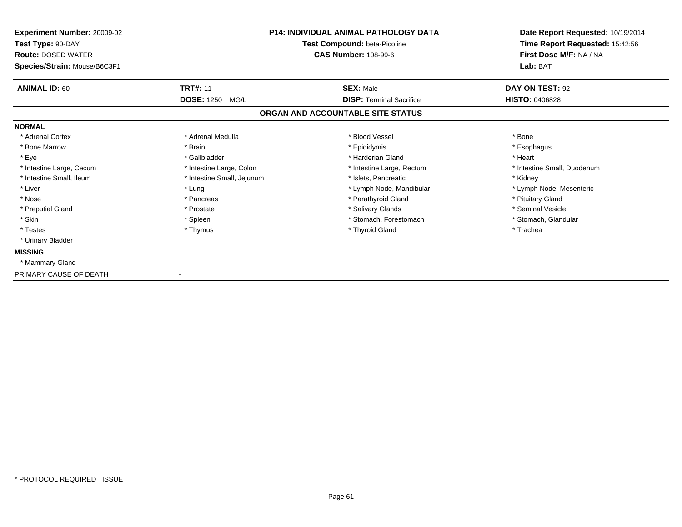| <b>Experiment Number: 20009-02</b><br>Test Type: 90-DAY<br><b>Route: DOSED WATER</b><br>Species/Strain: Mouse/B6C3F1 |                            | <b>P14: INDIVIDUAL ANIMAL PATHOLOGY DATA</b><br>Test Compound: beta-Picoline<br><b>CAS Number: 108-99-6</b> | Date Report Requested: 10/19/2014<br>Time Report Requested: 15:42:56<br>First Dose M/F: NA / NA<br>Lab: BAT |
|----------------------------------------------------------------------------------------------------------------------|----------------------------|-------------------------------------------------------------------------------------------------------------|-------------------------------------------------------------------------------------------------------------|
| <b>ANIMAL ID: 60</b>                                                                                                 | <b>TRT#: 11</b>            | <b>SEX: Male</b>                                                                                            | DAY ON TEST: 92                                                                                             |
|                                                                                                                      | <b>DOSE: 1250 MG/L</b>     | <b>DISP: Terminal Sacrifice</b>                                                                             | <b>HISTO: 0406828</b>                                                                                       |
|                                                                                                                      |                            | ORGAN AND ACCOUNTABLE SITE STATUS                                                                           |                                                                                                             |
| <b>NORMAL</b>                                                                                                        |                            |                                                                                                             |                                                                                                             |
| * Adrenal Cortex                                                                                                     | * Adrenal Medulla          | * Blood Vessel                                                                                              | * Bone                                                                                                      |
| * Bone Marrow                                                                                                        | * Brain                    | * Epididymis                                                                                                | * Esophagus                                                                                                 |
| * Eye                                                                                                                | * Gallbladder              | * Harderian Gland                                                                                           | * Heart                                                                                                     |
| * Intestine Large, Cecum                                                                                             | * Intestine Large, Colon   | * Intestine Large, Rectum                                                                                   | * Intestine Small, Duodenum                                                                                 |
| * Intestine Small, Ileum                                                                                             | * Intestine Small, Jejunum | * Islets, Pancreatic                                                                                        | * Kidney                                                                                                    |
| * Liver                                                                                                              | * Lung                     | * Lymph Node, Mandibular                                                                                    | * Lymph Node, Mesenteric                                                                                    |
| * Nose                                                                                                               | * Pancreas                 | * Parathyroid Gland                                                                                         | * Pituitary Gland                                                                                           |
| * Preputial Gland                                                                                                    | * Prostate                 | * Salivary Glands                                                                                           | * Seminal Vesicle                                                                                           |
| * Skin                                                                                                               | * Spleen                   | * Stomach, Forestomach                                                                                      | * Stomach, Glandular                                                                                        |
| * Testes                                                                                                             | * Thymus                   | * Thyroid Gland                                                                                             | * Trachea                                                                                                   |
| * Urinary Bladder                                                                                                    |                            |                                                                                                             |                                                                                                             |
| <b>MISSING</b>                                                                                                       |                            |                                                                                                             |                                                                                                             |
| * Mammary Gland                                                                                                      |                            |                                                                                                             |                                                                                                             |
| PRIMARY CAUSE OF DEATH                                                                                               |                            |                                                                                                             |                                                                                                             |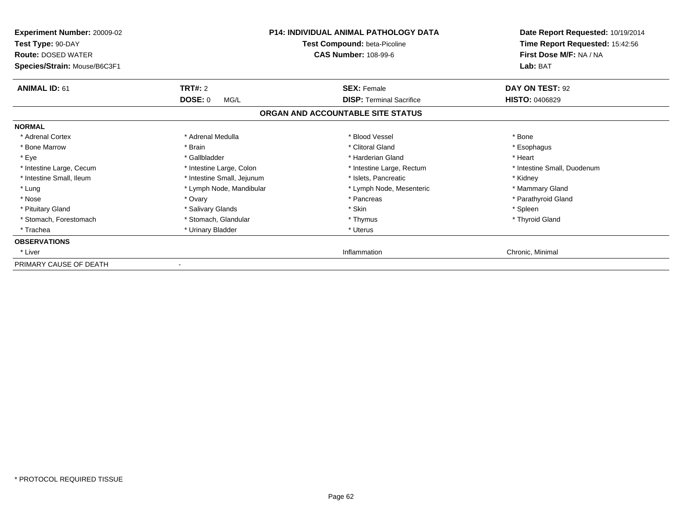| Experiment Number: 20009-02<br>Test Type: 90-DAY<br><b>Route: DOSED WATER</b><br>Species/Strain: Mouse/B6C3F1 |                            | <b>P14: INDIVIDUAL ANIMAL PATHOLOGY DATA</b><br>Test Compound: beta-Picoline<br><b>CAS Number: 108-99-6</b> | Date Report Requested: 10/19/2014<br>Time Report Requested: 15:42:56<br>First Dose M/F: NA / NA<br>Lab: BAT |
|---------------------------------------------------------------------------------------------------------------|----------------------------|-------------------------------------------------------------------------------------------------------------|-------------------------------------------------------------------------------------------------------------|
| <b>ANIMAL ID: 61</b>                                                                                          | <b>TRT#: 2</b>             | <b>SEX: Female</b>                                                                                          | DAY ON TEST: 92                                                                                             |
|                                                                                                               | DOSE: 0<br>MG/L            | <b>DISP: Terminal Sacrifice</b>                                                                             | <b>HISTO: 0406829</b>                                                                                       |
|                                                                                                               |                            | ORGAN AND ACCOUNTABLE SITE STATUS                                                                           |                                                                                                             |
| <b>NORMAL</b>                                                                                                 |                            |                                                                                                             |                                                                                                             |
| * Adrenal Cortex                                                                                              | * Adrenal Medulla          | * Blood Vessel                                                                                              | * Bone                                                                                                      |
| * Bone Marrow                                                                                                 | * Brain                    | * Clitoral Gland                                                                                            | * Esophagus                                                                                                 |
| * Eye                                                                                                         | * Gallbladder              | * Harderian Gland                                                                                           | * Heart                                                                                                     |
| * Intestine Large, Cecum                                                                                      | * Intestine Large, Colon   | * Intestine Large, Rectum                                                                                   | * Intestine Small, Duodenum                                                                                 |
| * Intestine Small, Ileum                                                                                      | * Intestine Small, Jejunum | * Islets. Pancreatic                                                                                        | * Kidney                                                                                                    |
| * Lung                                                                                                        | * Lymph Node, Mandibular   | * Lymph Node, Mesenteric                                                                                    | * Mammary Gland                                                                                             |
| * Nose                                                                                                        | * Ovary                    | * Pancreas                                                                                                  | * Parathyroid Gland                                                                                         |
| * Pituitary Gland                                                                                             | * Salivary Glands          | * Skin                                                                                                      | * Spleen                                                                                                    |
| * Stomach, Forestomach                                                                                        | * Stomach, Glandular       | * Thymus                                                                                                    | * Thyroid Gland                                                                                             |
| * Trachea                                                                                                     | * Urinary Bladder          | * Uterus                                                                                                    |                                                                                                             |
| <b>OBSERVATIONS</b>                                                                                           |                            |                                                                                                             |                                                                                                             |
| * Liver                                                                                                       |                            | Inflammation                                                                                                | Chronic, Minimal                                                                                            |
| PRIMARY CAUSE OF DEATH                                                                                        |                            |                                                                                                             |                                                                                                             |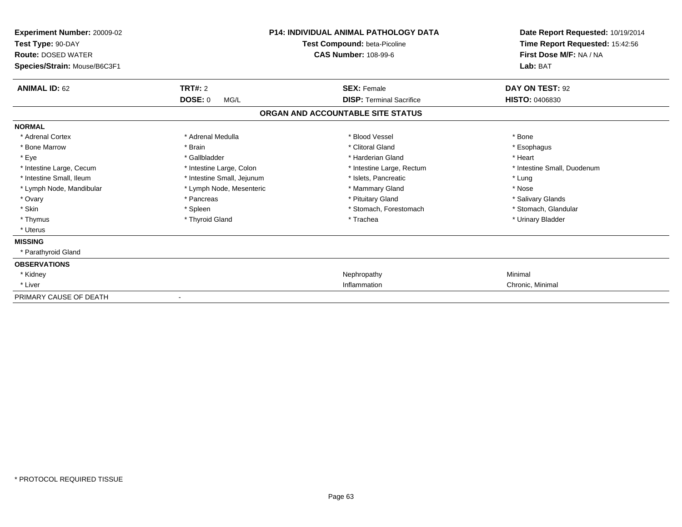| Experiment Number: 20009-02<br>Test Type: 90-DAY<br><b>Route: DOSED WATER</b><br>Species/Strain: Mouse/B6C3F1 |                            | <b>P14: INDIVIDUAL ANIMAL PATHOLOGY DATA</b><br>Test Compound: beta-Picoline<br><b>CAS Number: 108-99-6</b> | Date Report Requested: 10/19/2014<br>Time Report Requested: 15:42:56<br>First Dose M/F: NA / NA<br>Lab: BAT |
|---------------------------------------------------------------------------------------------------------------|----------------------------|-------------------------------------------------------------------------------------------------------------|-------------------------------------------------------------------------------------------------------------|
| <b>ANIMAL ID: 62</b>                                                                                          | <b>TRT#: 2</b>             | <b>SEX: Female</b>                                                                                          | DAY ON TEST: 92                                                                                             |
|                                                                                                               | <b>DOSE: 0</b><br>MG/L     | <b>DISP:</b> Terminal Sacrifice                                                                             | <b>HISTO: 0406830</b>                                                                                       |
|                                                                                                               |                            | ORGAN AND ACCOUNTABLE SITE STATUS                                                                           |                                                                                                             |
| <b>NORMAL</b>                                                                                                 |                            |                                                                                                             |                                                                                                             |
| * Adrenal Cortex                                                                                              | * Adrenal Medulla          | * Blood Vessel                                                                                              | * Bone                                                                                                      |
| * Bone Marrow                                                                                                 | * Brain                    | * Clitoral Gland                                                                                            | * Esophagus                                                                                                 |
| * Eye                                                                                                         | * Gallbladder              | * Harderian Gland                                                                                           | * Heart                                                                                                     |
| * Intestine Large, Cecum                                                                                      | * Intestine Large, Colon   | * Intestine Large, Rectum                                                                                   | * Intestine Small, Duodenum                                                                                 |
| * Intestine Small, Ileum                                                                                      | * Intestine Small, Jejunum | * Islets, Pancreatic                                                                                        | * Lung                                                                                                      |
| * Lymph Node, Mandibular                                                                                      | * Lymph Node, Mesenteric   | * Mammary Gland                                                                                             | * Nose                                                                                                      |
| * Ovary                                                                                                       | * Pancreas                 | * Pituitary Gland                                                                                           | * Salivary Glands                                                                                           |
| * Skin                                                                                                        | * Spleen                   | * Stomach, Forestomach                                                                                      | * Stomach, Glandular                                                                                        |
| * Thymus                                                                                                      | * Thyroid Gland            | * Trachea                                                                                                   | * Urinary Bladder                                                                                           |
| * Uterus                                                                                                      |                            |                                                                                                             |                                                                                                             |
| <b>MISSING</b>                                                                                                |                            |                                                                                                             |                                                                                                             |
| * Parathyroid Gland                                                                                           |                            |                                                                                                             |                                                                                                             |
| <b>OBSERVATIONS</b>                                                                                           |                            |                                                                                                             |                                                                                                             |
| * Kidney                                                                                                      |                            | Nephropathy                                                                                                 | Minimal                                                                                                     |
| * Liver                                                                                                       |                            | Inflammation                                                                                                | Chronic, Minimal                                                                                            |
| PRIMARY CAUSE OF DEATH                                                                                        |                            |                                                                                                             |                                                                                                             |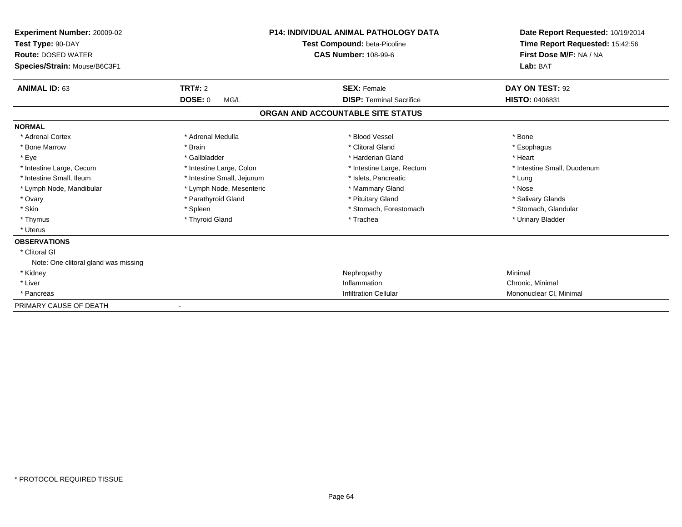| <b>Experiment Number: 20009-02</b><br>Test Type: 90-DAY<br><b>Route: DOSED WATER</b><br>Species/Strain: Mouse/B6C3F1 |                            | P14: INDIVIDUAL ANIMAL PATHOLOGY DATA<br>Test Compound: beta-Picoline<br><b>CAS Number: 108-99-6</b> | Date Report Requested: 10/19/2014<br>Time Report Requested: 15:42:56<br>First Dose M/F: NA / NA<br>Lab: BAT |
|----------------------------------------------------------------------------------------------------------------------|----------------------------|------------------------------------------------------------------------------------------------------|-------------------------------------------------------------------------------------------------------------|
| <b>ANIMAL ID: 63</b>                                                                                                 | <b>TRT#: 2</b>             | <b>SEX: Female</b>                                                                                   | DAY ON TEST: 92                                                                                             |
|                                                                                                                      | <b>DOSE: 0</b><br>MG/L     | <b>DISP: Terminal Sacrifice</b>                                                                      | <b>HISTO: 0406831</b>                                                                                       |
|                                                                                                                      |                            | ORGAN AND ACCOUNTABLE SITE STATUS                                                                    |                                                                                                             |
| <b>NORMAL</b>                                                                                                        |                            |                                                                                                      |                                                                                                             |
| * Adrenal Cortex                                                                                                     | * Adrenal Medulla          | * Blood Vessel                                                                                       | * Bone                                                                                                      |
| * Bone Marrow                                                                                                        | * Brain                    | * Clitoral Gland                                                                                     | * Esophagus                                                                                                 |
| * Eye                                                                                                                | * Gallbladder              | * Harderian Gland                                                                                    | * Heart                                                                                                     |
| * Intestine Large, Cecum                                                                                             | * Intestine Large, Colon   | * Intestine Large, Rectum                                                                            | * Intestine Small, Duodenum                                                                                 |
| * Intestine Small, Ileum                                                                                             | * Intestine Small, Jejunum | * Islets, Pancreatic                                                                                 | * Lung                                                                                                      |
| * Lymph Node, Mandibular                                                                                             | * Lymph Node, Mesenteric   | * Mammary Gland                                                                                      | * Nose                                                                                                      |
| * Ovary                                                                                                              | * Parathyroid Gland        | * Pituitary Gland                                                                                    | * Salivary Glands                                                                                           |
| * Skin                                                                                                               | * Spleen                   | * Stomach, Forestomach                                                                               | * Stomach, Glandular                                                                                        |
| * Thymus                                                                                                             | * Thyroid Gland            | * Trachea                                                                                            | * Urinary Bladder                                                                                           |
| * Uterus                                                                                                             |                            |                                                                                                      |                                                                                                             |
| <b>OBSERVATIONS</b>                                                                                                  |                            |                                                                                                      |                                                                                                             |
| * Clitoral GI                                                                                                        |                            |                                                                                                      |                                                                                                             |
| Note: One clitoral gland was missing                                                                                 |                            |                                                                                                      |                                                                                                             |
| * Kidney                                                                                                             |                            | Nephropathy                                                                                          | Minimal                                                                                                     |
| * Liver                                                                                                              |                            | Inflammation                                                                                         | Chronic, Minimal                                                                                            |
| * Pancreas                                                                                                           |                            | <b>Infiltration Cellular</b>                                                                         | Mononuclear CI, Minimal                                                                                     |
| PRIMARY CAUSE OF DEATH                                                                                               |                            |                                                                                                      |                                                                                                             |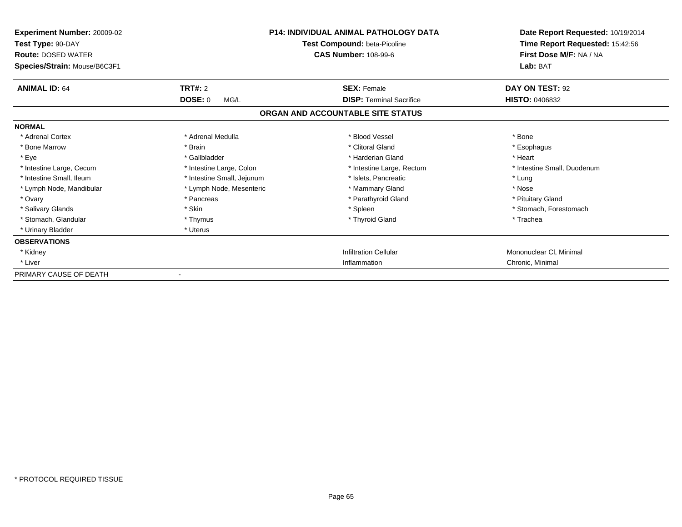| Experiment Number: 20009-02<br>Test Type: 90-DAY<br><b>Route: DOSED WATER</b><br>Species/Strain: Mouse/B6C3F1 |                            | <b>P14: INDIVIDUAL ANIMAL PATHOLOGY DATA</b><br>Test Compound: beta-Picoline<br><b>CAS Number: 108-99-6</b> | Date Report Requested: 10/19/2014<br>Time Report Requested: 15:42:56<br>First Dose M/F: NA / NA<br>Lab: BAT |
|---------------------------------------------------------------------------------------------------------------|----------------------------|-------------------------------------------------------------------------------------------------------------|-------------------------------------------------------------------------------------------------------------|
| <b>ANIMAL ID: 64</b>                                                                                          | <b>TRT#: 2</b>             | <b>SEX: Female</b>                                                                                          | DAY ON TEST: 92                                                                                             |
|                                                                                                               | <b>DOSE: 0</b><br>MG/L     | <b>DISP: Terminal Sacrifice</b><br>ORGAN AND ACCOUNTABLE SITE STATUS                                        | <b>HISTO: 0406832</b>                                                                                       |
| <b>NORMAL</b>                                                                                                 |                            |                                                                                                             |                                                                                                             |
| * Adrenal Cortex                                                                                              | * Adrenal Medulla          | * Blood Vessel                                                                                              | * Bone                                                                                                      |
| * Bone Marrow                                                                                                 | * Brain                    | * Clitoral Gland                                                                                            | * Esophagus                                                                                                 |
| * Eye                                                                                                         | * Gallbladder              | * Harderian Gland                                                                                           | * Heart                                                                                                     |
| * Intestine Large, Cecum                                                                                      | * Intestine Large, Colon   | * Intestine Large, Rectum                                                                                   | * Intestine Small, Duodenum                                                                                 |
| * Intestine Small, Ileum                                                                                      | * Intestine Small, Jejunum | * Islets, Pancreatic                                                                                        | * Lung                                                                                                      |
| * Lymph Node, Mandibular                                                                                      | * Lymph Node, Mesenteric   | * Mammary Gland                                                                                             | * Nose                                                                                                      |
| * Ovary                                                                                                       | * Pancreas                 | * Parathyroid Gland                                                                                         | * Pituitary Gland                                                                                           |
| * Salivary Glands                                                                                             | * Skin                     | * Spleen                                                                                                    | * Stomach, Forestomach                                                                                      |
| * Stomach, Glandular                                                                                          | * Thymus                   | * Thyroid Gland                                                                                             | * Trachea                                                                                                   |
| * Urinary Bladder                                                                                             | * Uterus                   |                                                                                                             |                                                                                                             |
| <b>OBSERVATIONS</b>                                                                                           |                            |                                                                                                             |                                                                                                             |
| * Kidney                                                                                                      |                            | <b>Infiltration Cellular</b>                                                                                | Mononuclear CI, Minimal                                                                                     |
| * Liver                                                                                                       |                            | Inflammation                                                                                                | Chronic, Minimal                                                                                            |
| PRIMARY CAUSE OF DEATH                                                                                        |                            |                                                                                                             |                                                                                                             |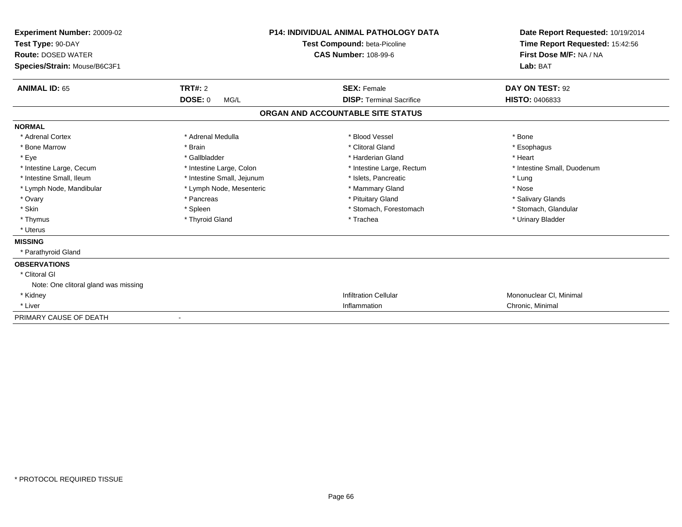| Experiment Number: 20009-02<br>Test Type: 90-DAY<br><b>Route: DOSED WATER</b> |                            | <b>P14: INDIVIDUAL ANIMAL PATHOLOGY DATA</b><br>Test Compound: beta-Picoline<br><b>CAS Number: 108-99-6</b> | Date Report Requested: 10/19/2014<br>Time Report Requested: 15:42:56<br>First Dose M/F: NA / NA |
|-------------------------------------------------------------------------------|----------------------------|-------------------------------------------------------------------------------------------------------------|-------------------------------------------------------------------------------------------------|
| Species/Strain: Mouse/B6C3F1                                                  |                            |                                                                                                             | Lab: BAT                                                                                        |
| <b>ANIMAL ID: 65</b>                                                          | TRT#: 2                    | <b>SEX: Female</b>                                                                                          | DAY ON TEST: 92                                                                                 |
|                                                                               | <b>DOSE: 0</b><br>MG/L     | <b>DISP: Terminal Sacrifice</b>                                                                             | HISTO: 0406833                                                                                  |
|                                                                               |                            | ORGAN AND ACCOUNTABLE SITE STATUS                                                                           |                                                                                                 |
| <b>NORMAL</b>                                                                 |                            |                                                                                                             |                                                                                                 |
| * Adrenal Cortex                                                              | * Adrenal Medulla          | * Blood Vessel                                                                                              | * Bone                                                                                          |
| * Bone Marrow                                                                 | * Brain                    | * Clitoral Gland                                                                                            | * Esophagus                                                                                     |
| * Eye                                                                         | * Gallbladder              | * Harderian Gland                                                                                           | * Heart                                                                                         |
| * Intestine Large, Cecum                                                      | * Intestine Large, Colon   | * Intestine Large, Rectum                                                                                   | * Intestine Small, Duodenum                                                                     |
| * Intestine Small, Ileum                                                      | * Intestine Small, Jejunum | * Islets, Pancreatic                                                                                        | * Lung                                                                                          |
| * Lymph Node, Mandibular                                                      | * Lymph Node, Mesenteric   | * Mammary Gland                                                                                             | * Nose                                                                                          |
| * Ovary                                                                       | * Pancreas                 | * Pituitary Gland                                                                                           | * Salivary Glands                                                                               |
| * Skin                                                                        | * Spleen                   | * Stomach, Forestomach                                                                                      | * Stomach, Glandular                                                                            |
| * Thymus                                                                      | * Thyroid Gland            | * Trachea                                                                                                   | * Urinary Bladder                                                                               |
| * Uterus                                                                      |                            |                                                                                                             |                                                                                                 |
| <b>MISSING</b>                                                                |                            |                                                                                                             |                                                                                                 |
| * Parathyroid Gland                                                           |                            |                                                                                                             |                                                                                                 |
| <b>OBSERVATIONS</b>                                                           |                            |                                                                                                             |                                                                                                 |
| * Clitoral GI                                                                 |                            |                                                                                                             |                                                                                                 |
| Note: One clitoral gland was missing                                          |                            |                                                                                                             |                                                                                                 |
| * Kidney                                                                      |                            | <b>Infiltration Cellular</b>                                                                                | Mononuclear CI, Minimal                                                                         |
| * Liver                                                                       |                            | Inflammation                                                                                                | Chronic, Minimal                                                                                |
| PRIMARY CAUSE OF DEATH                                                        |                            |                                                                                                             |                                                                                                 |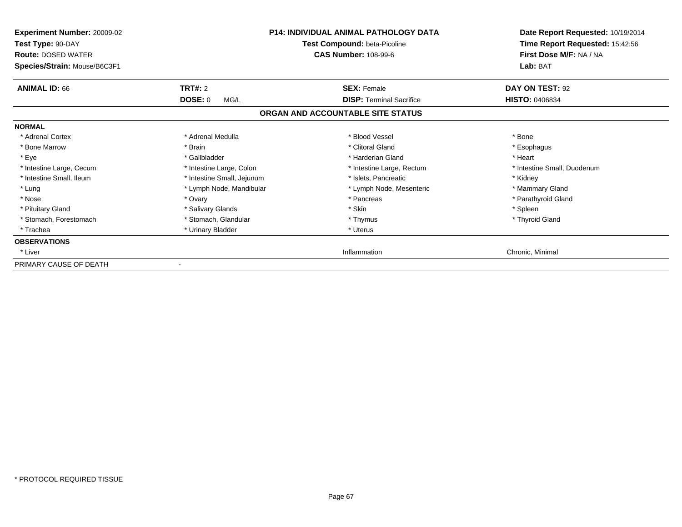| Experiment Number: 20009-02<br>Test Type: 90-DAY<br><b>Route: DOSED WATER</b><br>Species/Strain: Mouse/B6C3F1 |                            | <b>P14: INDIVIDUAL ANIMAL PATHOLOGY DATA</b><br>Test Compound: beta-Picoline<br><b>CAS Number: 108-99-6</b> | Date Report Requested: 10/19/2014<br>Time Report Requested: 15:42:56<br>First Dose M/F: NA / NA<br>Lab: BAT |
|---------------------------------------------------------------------------------------------------------------|----------------------------|-------------------------------------------------------------------------------------------------------------|-------------------------------------------------------------------------------------------------------------|
| <b>ANIMAL ID: 66</b>                                                                                          | <b>TRT#: 2</b>             | <b>SEX: Female</b>                                                                                          | DAY ON TEST: 92                                                                                             |
|                                                                                                               | DOSE: 0<br>MG/L            | <b>DISP: Terminal Sacrifice</b>                                                                             | <b>HISTO: 0406834</b>                                                                                       |
|                                                                                                               |                            | ORGAN AND ACCOUNTABLE SITE STATUS                                                                           |                                                                                                             |
| <b>NORMAL</b>                                                                                                 |                            |                                                                                                             |                                                                                                             |
| * Adrenal Cortex                                                                                              | * Adrenal Medulla          | * Blood Vessel                                                                                              | * Bone                                                                                                      |
| * Bone Marrow                                                                                                 | * Brain                    | * Clitoral Gland                                                                                            | * Esophagus                                                                                                 |
| * Eye                                                                                                         | * Gallbladder              | * Harderian Gland                                                                                           | * Heart                                                                                                     |
| * Intestine Large, Cecum                                                                                      | * Intestine Large, Colon   | * Intestine Large, Rectum                                                                                   | * Intestine Small, Duodenum                                                                                 |
| * Intestine Small, Ileum                                                                                      | * Intestine Small, Jejunum | * Islets. Pancreatic                                                                                        | * Kidney                                                                                                    |
| * Lung                                                                                                        | * Lymph Node, Mandibular   | * Lymph Node, Mesenteric                                                                                    | * Mammary Gland                                                                                             |
| * Nose                                                                                                        | * Ovary                    | * Pancreas                                                                                                  | * Parathyroid Gland                                                                                         |
| * Pituitary Gland                                                                                             | * Salivary Glands          | * Skin                                                                                                      | * Spleen                                                                                                    |
| * Stomach, Forestomach                                                                                        | * Stomach, Glandular       | * Thymus                                                                                                    | * Thyroid Gland                                                                                             |
| * Trachea                                                                                                     | * Urinary Bladder          | * Uterus                                                                                                    |                                                                                                             |
| <b>OBSERVATIONS</b>                                                                                           |                            |                                                                                                             |                                                                                                             |
| * Liver                                                                                                       |                            | Inflammation                                                                                                | Chronic, Minimal                                                                                            |
| PRIMARY CAUSE OF DEATH                                                                                        |                            |                                                                                                             |                                                                                                             |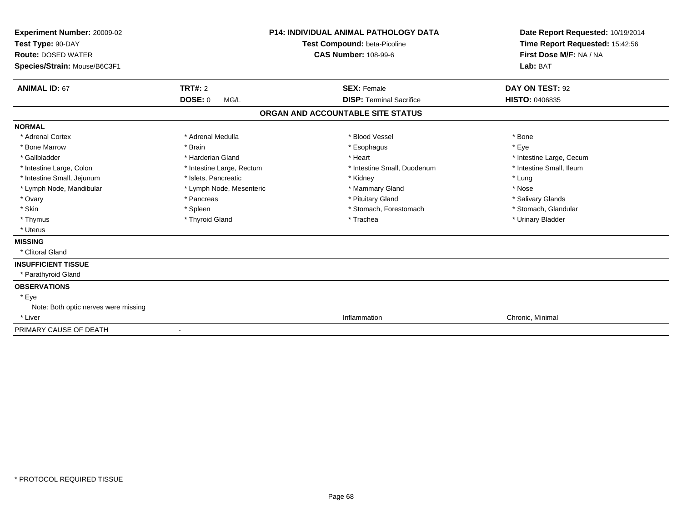| Experiment Number: 20009-02<br>Test Type: 90-DAY<br><b>Route: DOSED WATER</b><br>Species/Strain: Mouse/B6C3F1 |                           | <b>P14: INDIVIDUAL ANIMAL PATHOLOGY DATA</b><br>Test Compound: beta-Picoline<br><b>CAS Number: 108-99-6</b> | Date Report Requested: 10/19/2014<br>Time Report Requested: 15:42:56<br>First Dose M/F: NA / NA<br>Lab: BAT |
|---------------------------------------------------------------------------------------------------------------|---------------------------|-------------------------------------------------------------------------------------------------------------|-------------------------------------------------------------------------------------------------------------|
| <b>ANIMAL ID: 67</b>                                                                                          | <b>TRT#: 2</b>            | <b>SEX: Female</b>                                                                                          | DAY ON TEST: 92                                                                                             |
|                                                                                                               | <b>DOSE: 0</b><br>MG/L    | <b>DISP: Terminal Sacrifice</b>                                                                             | <b>HISTO: 0406835</b>                                                                                       |
|                                                                                                               |                           | ORGAN AND ACCOUNTABLE SITE STATUS                                                                           |                                                                                                             |
| <b>NORMAL</b>                                                                                                 |                           |                                                                                                             |                                                                                                             |
| * Adrenal Cortex                                                                                              | * Adrenal Medulla         | * Blood Vessel                                                                                              | * Bone                                                                                                      |
| * Bone Marrow                                                                                                 | * Brain                   | * Esophagus                                                                                                 | * Eve                                                                                                       |
| * Gallbladder                                                                                                 | * Harderian Gland         | * Heart                                                                                                     | * Intestine Large, Cecum                                                                                    |
| * Intestine Large, Colon                                                                                      | * Intestine Large, Rectum | * Intestine Small, Duodenum                                                                                 | * Intestine Small, Ileum                                                                                    |
| * Intestine Small, Jejunum                                                                                    | * Islets, Pancreatic      | * Kidney                                                                                                    | * Lung                                                                                                      |
| * Lymph Node, Mandibular                                                                                      | * Lymph Node, Mesenteric  | * Mammary Gland                                                                                             | * Nose                                                                                                      |
| * Ovary                                                                                                       | * Pancreas                | * Pituitary Gland                                                                                           | * Salivary Glands                                                                                           |
| * Skin                                                                                                        | * Spleen                  | * Stomach, Forestomach                                                                                      | * Stomach, Glandular                                                                                        |
| * Thymus                                                                                                      | * Thyroid Gland           | * Trachea                                                                                                   | * Urinary Bladder                                                                                           |
| * Uterus                                                                                                      |                           |                                                                                                             |                                                                                                             |
| <b>MISSING</b>                                                                                                |                           |                                                                                                             |                                                                                                             |
| * Clitoral Gland                                                                                              |                           |                                                                                                             |                                                                                                             |
| <b>INSUFFICIENT TISSUE</b>                                                                                    |                           |                                                                                                             |                                                                                                             |
| * Parathyroid Gland                                                                                           |                           |                                                                                                             |                                                                                                             |
| <b>OBSERVATIONS</b>                                                                                           |                           |                                                                                                             |                                                                                                             |
| * Eye                                                                                                         |                           |                                                                                                             |                                                                                                             |
| Note: Both optic nerves were missing                                                                          |                           |                                                                                                             |                                                                                                             |
| * Liver                                                                                                       |                           | Inflammation                                                                                                | Chronic, Minimal                                                                                            |
| PRIMARY CAUSE OF DEATH                                                                                        |                           |                                                                                                             |                                                                                                             |
|                                                                                                               |                           |                                                                                                             |                                                                                                             |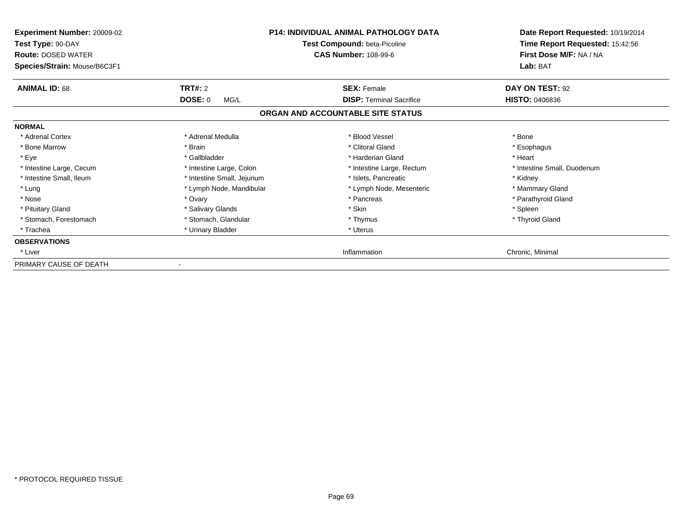| Experiment Number: 20009-02<br>Test Type: 90-DAY<br><b>Route: DOSED WATER</b><br>Species/Strain: Mouse/B6C3F1 |                            | <b>P14: INDIVIDUAL ANIMAL PATHOLOGY DATA</b><br>Test Compound: beta-Picoline<br><b>CAS Number: 108-99-6</b> | Date Report Requested: 10/19/2014<br>Time Report Requested: 15:42:56<br>First Dose M/F: NA / NA<br>Lab: BAT |
|---------------------------------------------------------------------------------------------------------------|----------------------------|-------------------------------------------------------------------------------------------------------------|-------------------------------------------------------------------------------------------------------------|
| <b>ANIMAL ID: 68</b>                                                                                          | TRT#: 2                    | <b>SEX: Female</b>                                                                                          | DAY ON TEST: 92                                                                                             |
|                                                                                                               | <b>DOSE: 0</b><br>MG/L     | <b>DISP: Terminal Sacrifice</b>                                                                             | <b>HISTO: 0406836</b>                                                                                       |
|                                                                                                               |                            | ORGAN AND ACCOUNTABLE SITE STATUS                                                                           |                                                                                                             |
| <b>NORMAL</b>                                                                                                 |                            |                                                                                                             |                                                                                                             |
| * Adrenal Cortex                                                                                              | * Adrenal Medulla          | * Blood Vessel                                                                                              | * Bone                                                                                                      |
| * Bone Marrow                                                                                                 | * Brain                    | * Clitoral Gland                                                                                            | * Esophagus                                                                                                 |
| * Eye                                                                                                         | * Gallbladder              | * Harderian Gland                                                                                           | * Heart                                                                                                     |
| * Intestine Large, Cecum                                                                                      | * Intestine Large, Colon   | * Intestine Large, Rectum                                                                                   | * Intestine Small, Duodenum                                                                                 |
| * Intestine Small, Ileum                                                                                      | * Intestine Small, Jejunum | * Islets. Pancreatic                                                                                        | * Kidney                                                                                                    |
| * Lung                                                                                                        | * Lymph Node, Mandibular   | * Lymph Node, Mesenteric                                                                                    | * Mammary Gland                                                                                             |
| * Nose                                                                                                        | * Ovary                    | * Pancreas                                                                                                  | * Parathyroid Gland                                                                                         |
| * Pituitary Gland                                                                                             | * Salivary Glands          | * Skin                                                                                                      | * Spleen                                                                                                    |
| * Stomach, Forestomach                                                                                        | * Stomach, Glandular       | * Thymus                                                                                                    | * Thyroid Gland                                                                                             |
| * Trachea                                                                                                     | * Urinary Bladder          | * Uterus                                                                                                    |                                                                                                             |
| <b>OBSERVATIONS</b>                                                                                           |                            |                                                                                                             |                                                                                                             |
| * Liver                                                                                                       |                            | Inflammation                                                                                                | Chronic, Minimal                                                                                            |
| PRIMARY CAUSE OF DEATH                                                                                        |                            |                                                                                                             |                                                                                                             |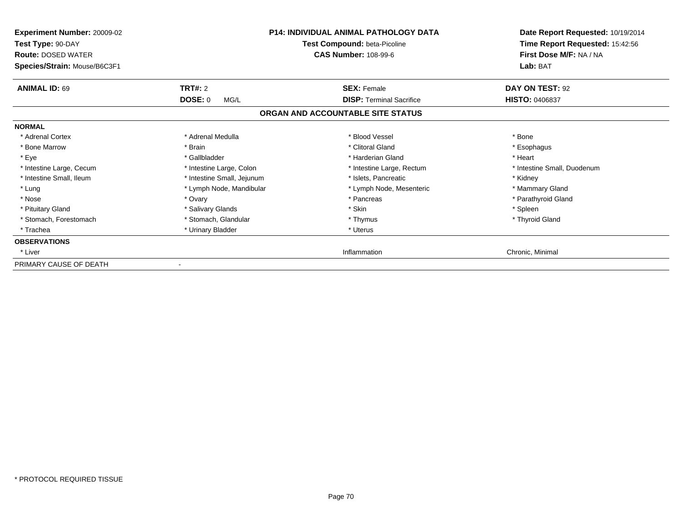| Experiment Number: 20009-02<br>Test Type: 90-DAY<br><b>Route: DOSED WATER</b><br>Species/Strain: Mouse/B6C3F1 |                            | <b>P14: INDIVIDUAL ANIMAL PATHOLOGY DATA</b><br>Test Compound: beta-Picoline<br><b>CAS Number: 108-99-6</b> | Date Report Requested: 10/19/2014<br>Time Report Requested: 15:42:56<br>First Dose M/F: NA / NA<br>Lab: BAT |
|---------------------------------------------------------------------------------------------------------------|----------------------------|-------------------------------------------------------------------------------------------------------------|-------------------------------------------------------------------------------------------------------------|
| <b>ANIMAL ID: 69</b>                                                                                          | <b>TRT#: 2</b>             | <b>SEX: Female</b>                                                                                          | DAY ON TEST: 92                                                                                             |
|                                                                                                               | DOSE: 0<br>MG/L            | <b>DISP: Terminal Sacrifice</b>                                                                             | <b>HISTO: 0406837</b>                                                                                       |
|                                                                                                               |                            | ORGAN AND ACCOUNTABLE SITE STATUS                                                                           |                                                                                                             |
| <b>NORMAL</b>                                                                                                 |                            |                                                                                                             |                                                                                                             |
| * Adrenal Cortex                                                                                              | * Adrenal Medulla          | * Blood Vessel                                                                                              | * Bone                                                                                                      |
| * Bone Marrow                                                                                                 | * Brain                    | * Clitoral Gland                                                                                            | * Esophagus                                                                                                 |
| * Eye                                                                                                         | * Gallbladder              | * Harderian Gland                                                                                           | * Heart                                                                                                     |
| * Intestine Large, Cecum                                                                                      | * Intestine Large, Colon   | * Intestine Large, Rectum                                                                                   | * Intestine Small, Duodenum                                                                                 |
| * Intestine Small, Ileum                                                                                      | * Intestine Small, Jejunum | * Islets. Pancreatic                                                                                        | * Kidney                                                                                                    |
| * Lung                                                                                                        | * Lymph Node, Mandibular   | * Lymph Node, Mesenteric                                                                                    | * Mammary Gland                                                                                             |
| * Nose                                                                                                        | * Ovary                    | * Pancreas                                                                                                  | * Parathyroid Gland                                                                                         |
| * Pituitary Gland                                                                                             | * Salivary Glands          | * Skin                                                                                                      | * Spleen                                                                                                    |
| * Stomach, Forestomach                                                                                        | * Stomach, Glandular       | * Thymus                                                                                                    | * Thyroid Gland                                                                                             |
| * Trachea                                                                                                     | * Urinary Bladder          | * Uterus                                                                                                    |                                                                                                             |
| <b>OBSERVATIONS</b>                                                                                           |                            |                                                                                                             |                                                                                                             |
| * Liver                                                                                                       |                            | Inflammation                                                                                                | Chronic, Minimal                                                                                            |
| PRIMARY CAUSE OF DEATH                                                                                        |                            |                                                                                                             |                                                                                                             |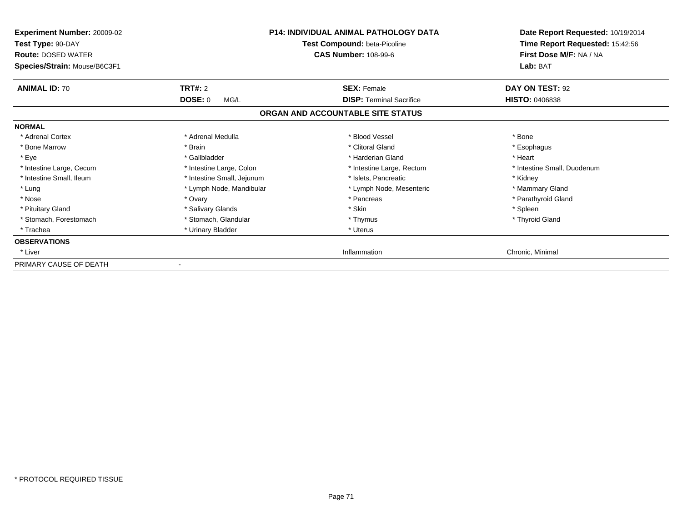| Experiment Number: 20009-02<br>Test Type: 90-DAY<br><b>Route: DOSED WATER</b><br>Species/Strain: Mouse/B6C3F1 |                            | <b>P14: INDIVIDUAL ANIMAL PATHOLOGY DATA</b><br>Test Compound: beta-Picoline<br><b>CAS Number: 108-99-6</b> | Date Report Requested: 10/19/2014<br>Time Report Requested: 15:42:56<br>First Dose M/F: NA / NA<br>Lab: BAT |
|---------------------------------------------------------------------------------------------------------------|----------------------------|-------------------------------------------------------------------------------------------------------------|-------------------------------------------------------------------------------------------------------------|
| <b>ANIMAL ID: 70</b>                                                                                          | <b>TRT#: 2</b>             | <b>SEX: Female</b>                                                                                          | DAY ON TEST: 92                                                                                             |
|                                                                                                               | DOSE: 0<br>MG/L            | <b>DISP: Terminal Sacrifice</b>                                                                             | <b>HISTO: 0406838</b>                                                                                       |
|                                                                                                               |                            | ORGAN AND ACCOUNTABLE SITE STATUS                                                                           |                                                                                                             |
| <b>NORMAL</b>                                                                                                 |                            |                                                                                                             |                                                                                                             |
| * Adrenal Cortex                                                                                              | * Adrenal Medulla          | * Blood Vessel                                                                                              | * Bone                                                                                                      |
| * Bone Marrow                                                                                                 | * Brain                    | * Clitoral Gland                                                                                            | * Esophagus                                                                                                 |
| * Eye                                                                                                         | * Gallbladder              | * Harderian Gland                                                                                           | * Heart                                                                                                     |
| * Intestine Large, Cecum                                                                                      | * Intestine Large, Colon   | * Intestine Large, Rectum                                                                                   | * Intestine Small, Duodenum                                                                                 |
| * Intestine Small, Ileum                                                                                      | * Intestine Small, Jejunum | * Islets. Pancreatic                                                                                        | * Kidney                                                                                                    |
| * Lung                                                                                                        | * Lymph Node, Mandibular   | * Lymph Node, Mesenteric                                                                                    | * Mammary Gland                                                                                             |
| * Nose                                                                                                        | * Ovary                    | * Pancreas                                                                                                  | * Parathyroid Gland                                                                                         |
| * Pituitary Gland                                                                                             | * Salivary Glands          | * Skin                                                                                                      | * Spleen                                                                                                    |
| * Stomach, Forestomach                                                                                        | * Stomach, Glandular       | * Thymus                                                                                                    | * Thyroid Gland                                                                                             |
| * Trachea                                                                                                     | * Urinary Bladder          | * Uterus                                                                                                    |                                                                                                             |
| <b>OBSERVATIONS</b>                                                                                           |                            |                                                                                                             |                                                                                                             |
| * Liver                                                                                                       |                            | Inflammation                                                                                                | Chronic, Minimal                                                                                            |
| PRIMARY CAUSE OF DEATH                                                                                        |                            |                                                                                                             |                                                                                                             |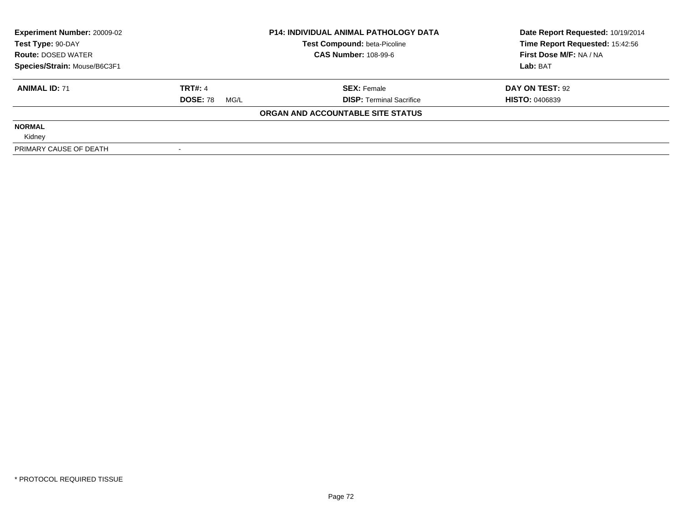| <b>Experiment Number: 20009-02</b><br>Test Type: 90-DAY<br><b>Route: DOSED WATER</b> |                         | <b>P14: INDIVIDUAL ANIMAL PATHOLOGY DATA</b> | Date Report Requested: 10/19/2014 |  |
|--------------------------------------------------------------------------------------|-------------------------|----------------------------------------------|-----------------------------------|--|
|                                                                                      |                         | Test Compound: beta-Picoline                 | Time Report Requested: 15:42:56   |  |
|                                                                                      |                         | <b>CAS Number: 108-99-6</b>                  | First Dose M/F: NA / NA           |  |
| Species/Strain: Mouse/B6C3F1                                                         |                         |                                              | Lab: BAT                          |  |
| <b>ANIMAL ID: 71</b>                                                                 | <b>TRT#: 4</b>          | <b>SEX: Female</b>                           | DAY ON TEST: 92                   |  |
|                                                                                      | <b>DOSE: 78</b><br>MG/L | <b>DISP:</b> Terminal Sacrifice              | <b>HISTO: 0406839</b>             |  |
|                                                                                      |                         | ORGAN AND ACCOUNTABLE SITE STATUS            |                                   |  |
| <b>NORMAL</b>                                                                        |                         |                                              |                                   |  |
| Kidney                                                                               |                         |                                              |                                   |  |
| PRIMARY CAUSE OF DEATH                                                               |                         |                                              |                                   |  |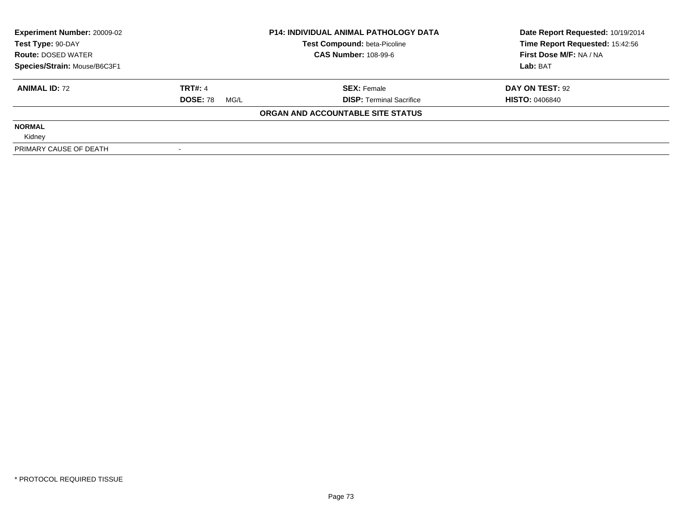| <b>Experiment Number: 20009-02</b> | <b>P14: INDIVIDUAL ANIMAL PATHOLOGY DATA</b> |                                     | Date Report Requested: 10/19/2014 |
|------------------------------------|----------------------------------------------|-------------------------------------|-----------------------------------|
| Test Type: 90-DAY                  |                                              | <b>Test Compound: beta-Picoline</b> | Time Report Requested: 15:42:56   |
| <b>Route: DOSED WATER</b>          |                                              | <b>CAS Number: 108-99-6</b>         | First Dose M/F: NA / NA           |
| Species/Strain: Mouse/B6C3F1       |                                              |                                     | Lab: BAT                          |
| <b>ANIMAL ID: 72</b>               | <b>TRT#: 4</b>                               | <b>SEX: Female</b>                  | DAY ON TEST: 92                   |
|                                    | <b>DOSE: 78</b><br>MG/L                      | <b>DISP:</b> Terminal Sacrifice     | <b>HISTO: 0406840</b>             |
|                                    |                                              | ORGAN AND ACCOUNTABLE SITE STATUS   |                                   |
| <b>NORMAL</b>                      |                                              |                                     |                                   |
| Kidney                             |                                              |                                     |                                   |
| PRIMARY CAUSE OF DEATH             |                                              |                                     |                                   |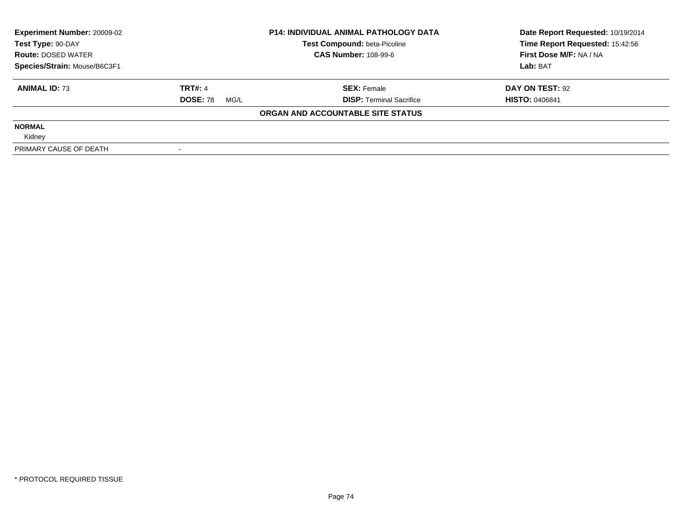| <b>Experiment Number: 20009-02</b> | <b>P14: INDIVIDUAL ANIMAL PATHOLOGY DATA</b> |                                     | Date Report Requested: 10/19/2014 |
|------------------------------------|----------------------------------------------|-------------------------------------|-----------------------------------|
| Test Type: 90-DAY                  |                                              | <b>Test Compound: beta-Picoline</b> | Time Report Requested: 15:42:56   |
| <b>Route: DOSED WATER</b>          |                                              | <b>CAS Number: 108-99-6</b>         | First Dose M/F: NA / NA           |
| Species/Strain: Mouse/B6C3F1       |                                              |                                     | Lab: BAT                          |
| <b>ANIMAL ID: 73</b>               | <b>TRT#: 4</b>                               | <b>SEX: Female</b>                  | DAY ON TEST: 92                   |
|                                    | <b>DOSE: 78</b><br>MG/L                      | <b>DISP: Terminal Sacrifice</b>     | <b>HISTO: 0406841</b>             |
|                                    |                                              | ORGAN AND ACCOUNTABLE SITE STATUS   |                                   |
| <b>NORMAL</b>                      |                                              |                                     |                                   |
| Kidney                             |                                              |                                     |                                   |
| PRIMARY CAUSE OF DEATH             |                                              |                                     |                                   |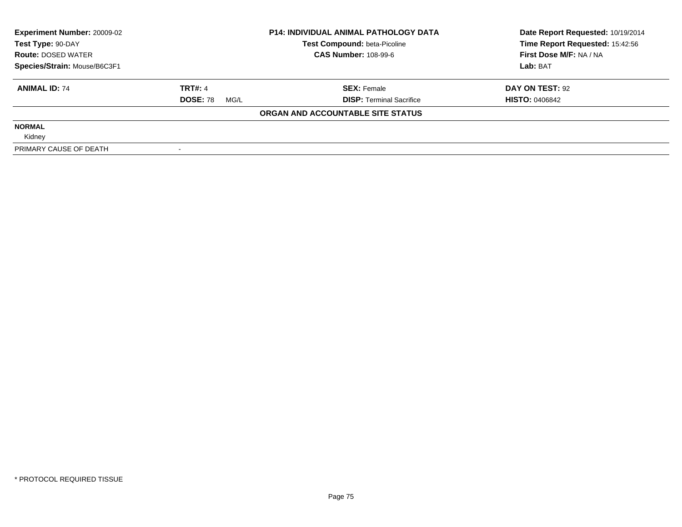| <b>Experiment Number: 20009-02</b> | <b>P14: INDIVIDUAL ANIMAL PATHOLOGY DATA</b> |                                     | Date Report Requested: 10/19/2014 |
|------------------------------------|----------------------------------------------|-------------------------------------|-----------------------------------|
| Test Type: 90-DAY                  |                                              | <b>Test Compound: beta-Picoline</b> | Time Report Requested: 15:42:56   |
| <b>Route: DOSED WATER</b>          |                                              | <b>CAS Number: 108-99-6</b>         | First Dose M/F: NA / NA           |
| Species/Strain: Mouse/B6C3F1       |                                              |                                     | Lab: BAT                          |
| <b>ANIMAL ID: 74</b>               | <b>TRT#: 4</b>                               | <b>SEX: Female</b>                  | DAY ON TEST: 92                   |
|                                    | <b>DOSE: 78</b><br>MG/L                      | <b>DISP: Terminal Sacrifice</b>     | <b>HISTO: 0406842</b>             |
|                                    |                                              | ORGAN AND ACCOUNTABLE SITE STATUS   |                                   |
| <b>NORMAL</b>                      |                                              |                                     |                                   |
| Kidney                             |                                              |                                     |                                   |
| PRIMARY CAUSE OF DEATH             |                                              |                                     |                                   |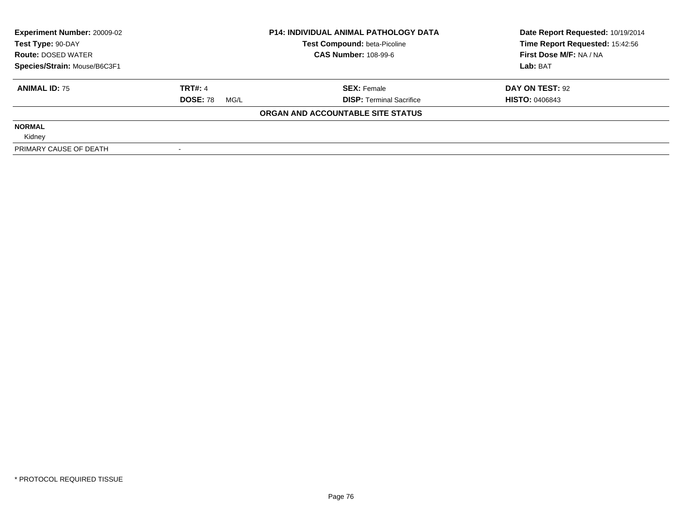| <b>Experiment Number: 20009-02</b> | <b>P14: INDIVIDUAL ANIMAL PATHOLOGY DATA</b> |                                     | Date Report Requested: 10/19/2014 |
|------------------------------------|----------------------------------------------|-------------------------------------|-----------------------------------|
| Test Type: 90-DAY                  |                                              | <b>Test Compound: beta-Picoline</b> | Time Report Requested: 15:42:56   |
| <b>Route: DOSED WATER</b>          |                                              | <b>CAS Number: 108-99-6</b>         | First Dose M/F: NA / NA           |
| Species/Strain: Mouse/B6C3F1       |                                              |                                     | Lab: BAT                          |
| <b>ANIMAL ID: 75</b>               | <b>TRT#: 4</b>                               | <b>SEX: Female</b>                  | DAY ON TEST: 92                   |
|                                    | <b>DOSE: 78</b><br>MG/L                      | <b>DISP: Terminal Sacrifice</b>     | <b>HISTO: 0406843</b>             |
|                                    |                                              | ORGAN AND ACCOUNTABLE SITE STATUS   |                                   |
| <b>NORMAL</b>                      |                                              |                                     |                                   |
| Kidney                             |                                              |                                     |                                   |
| PRIMARY CAUSE OF DEATH             |                                              |                                     |                                   |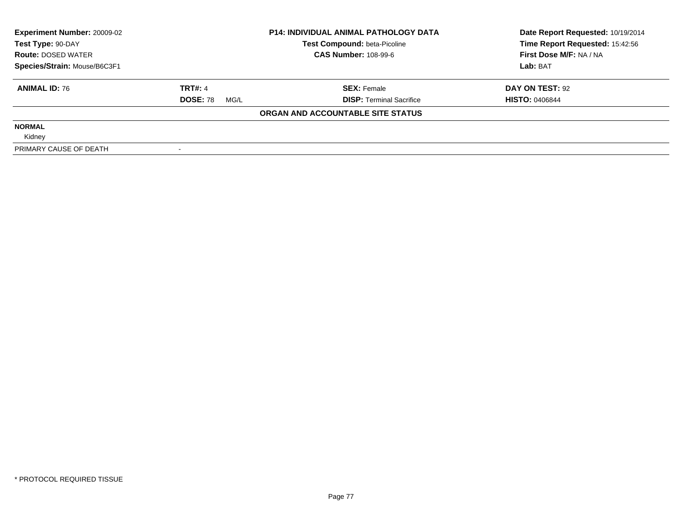| <b>Experiment Number: 20009-02</b> | <b>P14: INDIVIDUAL ANIMAL PATHOLOGY DATA</b> |                                     | Date Report Requested: 10/19/2014 |
|------------------------------------|----------------------------------------------|-------------------------------------|-----------------------------------|
| Test Type: 90-DAY                  |                                              | <b>Test Compound: beta-Picoline</b> | Time Report Requested: 15:42:56   |
| <b>Route: DOSED WATER</b>          |                                              | <b>CAS Number: 108-99-6</b>         | First Dose M/F: NA / NA           |
| Species/Strain: Mouse/B6C3F1       |                                              |                                     | Lab: BAT                          |
| <b>ANIMAL ID: 76</b>               | <b>TRT#: 4</b>                               | <b>SEX: Female</b>                  | DAY ON TEST: 92                   |
|                                    | <b>DOSE: 78</b><br>MG/L                      | <b>DISP: Terminal Sacrifice</b>     | <b>HISTO: 0406844</b>             |
|                                    |                                              | ORGAN AND ACCOUNTABLE SITE STATUS   |                                   |
| <b>NORMAL</b>                      |                                              |                                     |                                   |
| Kidney                             |                                              |                                     |                                   |
| PRIMARY CAUSE OF DEATH             |                                              |                                     |                                   |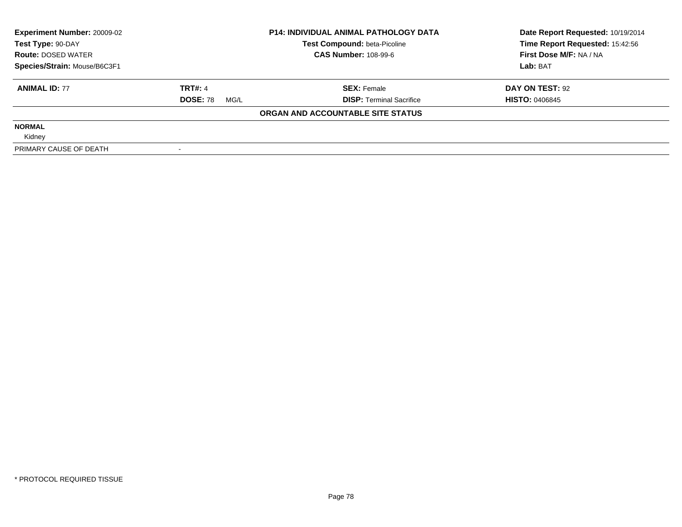| <b>Experiment Number: 20009-02</b> | <b>P14: INDIVIDUAL ANIMAL PATHOLOGY DATA</b> |                                     | Date Report Requested: 10/19/2014 |
|------------------------------------|----------------------------------------------|-------------------------------------|-----------------------------------|
| Test Type: 90-DAY                  |                                              | <b>Test Compound: beta-Picoline</b> | Time Report Requested: 15:42:56   |
| <b>Route: DOSED WATER</b>          |                                              | <b>CAS Number: 108-99-6</b>         | First Dose M/F: NA / NA           |
| Species/Strain: Mouse/B6C3F1       |                                              |                                     | Lab: BAT                          |
| <b>ANIMAL ID: 77</b>               | <b>TRT#: 4</b>                               | <b>SEX: Female</b>                  | DAY ON TEST: 92                   |
|                                    | <b>DOSE: 78</b><br>MG/L                      | <b>DISP:</b> Terminal Sacrifice     | <b>HISTO: 0406845</b>             |
|                                    |                                              | ORGAN AND ACCOUNTABLE SITE STATUS   |                                   |
| <b>NORMAL</b>                      |                                              |                                     |                                   |
| Kidney                             |                                              |                                     |                                   |
| PRIMARY CAUSE OF DEATH             |                                              |                                     |                                   |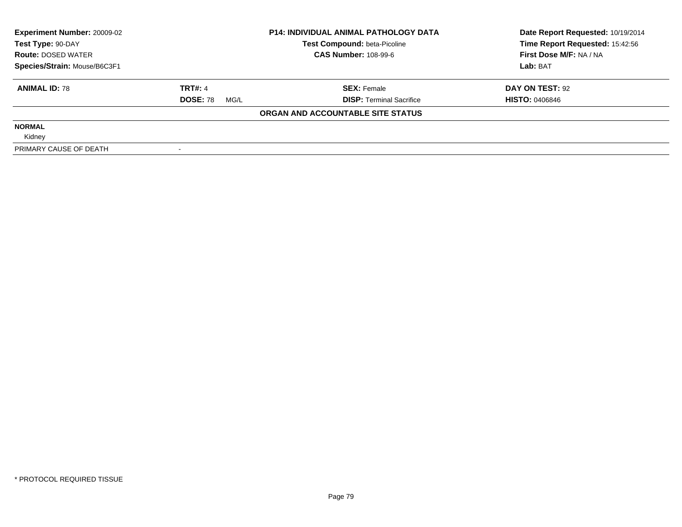| <b>Experiment Number: 20009-02</b> | <b>P14: INDIVIDUAL ANIMAL PATHOLOGY DATA</b> |                                     | Date Report Requested: 10/19/2014 |
|------------------------------------|----------------------------------------------|-------------------------------------|-----------------------------------|
| Test Type: 90-DAY                  |                                              | <b>Test Compound: beta-Picoline</b> | Time Report Requested: 15:42:56   |
| <b>Route: DOSED WATER</b>          |                                              | <b>CAS Number: 108-99-6</b>         | First Dose M/F: NA / NA           |
| Species/Strain: Mouse/B6C3F1       |                                              |                                     | Lab: BAT                          |
| <b>ANIMAL ID: 78</b>               | <b>TRT#: 4</b>                               | <b>SEX: Female</b>                  | DAY ON TEST: 92                   |
|                                    | <b>DOSE: 78</b><br>MG/L                      | <b>DISP:</b> Terminal Sacrifice     | <b>HISTO: 0406846</b>             |
|                                    |                                              | ORGAN AND ACCOUNTABLE SITE STATUS   |                                   |
| <b>NORMAL</b>                      |                                              |                                     |                                   |
| Kidney                             |                                              |                                     |                                   |
| PRIMARY CAUSE OF DEATH             |                                              |                                     |                                   |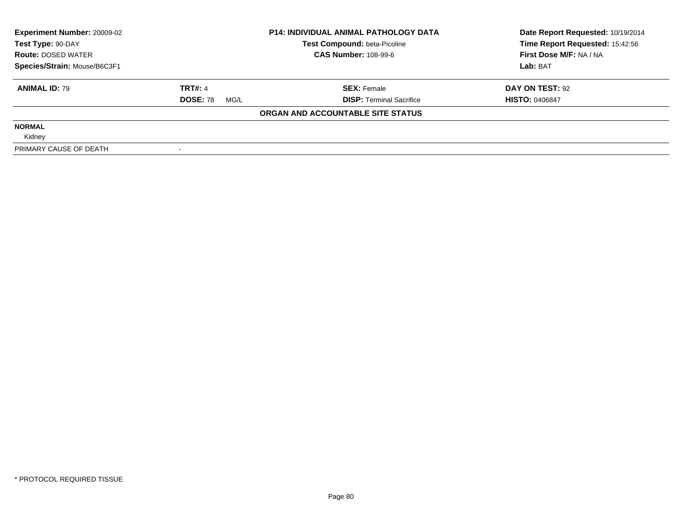| <b>Experiment Number: 20009-02</b> | <b>P14: INDIVIDUAL ANIMAL PATHOLOGY DATA</b> |                                     | Date Report Requested: 10/19/2014 |
|------------------------------------|----------------------------------------------|-------------------------------------|-----------------------------------|
| Test Type: 90-DAY                  |                                              | <b>Test Compound: beta-Picoline</b> | Time Report Requested: 15:42:56   |
| <b>Route: DOSED WATER</b>          |                                              | <b>CAS Number: 108-99-6</b>         | First Dose M/F: NA / NA           |
| Species/Strain: Mouse/B6C3F1       |                                              |                                     | Lab: BAT                          |
| <b>ANIMAL ID: 79</b>               | <b>TRT#: 4</b>                               | <b>SEX: Female</b>                  | DAY ON TEST: 92                   |
|                                    | <b>DOSE: 78</b><br>MG/L                      | <b>DISP: Terminal Sacrifice</b>     | <b>HISTO: 0406847</b>             |
|                                    |                                              | ORGAN AND ACCOUNTABLE SITE STATUS   |                                   |
| <b>NORMAL</b>                      |                                              |                                     |                                   |
| Kidney                             |                                              |                                     |                                   |
| PRIMARY CAUSE OF DEATH             |                                              |                                     |                                   |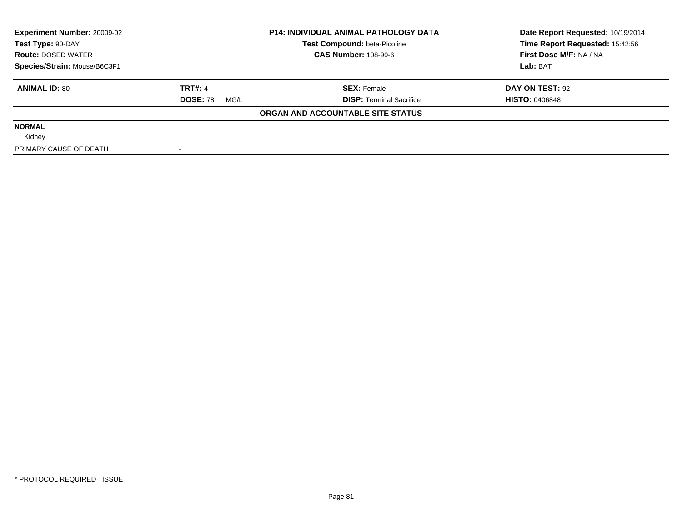| <b>Experiment Number: 20009-02</b> | <b>P14: INDIVIDUAL ANIMAL PATHOLOGY DATA</b> |                                     | Date Report Requested: 10/19/2014 |
|------------------------------------|----------------------------------------------|-------------------------------------|-----------------------------------|
| Test Type: 90-DAY                  |                                              | <b>Test Compound: beta-Picoline</b> | Time Report Requested: 15:42:56   |
| <b>Route: DOSED WATER</b>          |                                              | <b>CAS Number: 108-99-6</b>         | First Dose M/F: NA / NA           |
| Species/Strain: Mouse/B6C3F1       |                                              |                                     | Lab: BAT                          |
| <b>ANIMAL ID: 80</b>               | <b>TRT#: 4</b>                               | <b>SEX: Female</b>                  | DAY ON TEST: 92                   |
|                                    | <b>DOSE: 78</b><br>MG/L                      | <b>DISP:</b> Terminal Sacrifice     | <b>HISTO: 0406848</b>             |
|                                    |                                              | ORGAN AND ACCOUNTABLE SITE STATUS   |                                   |
| <b>NORMAL</b>                      |                                              |                                     |                                   |
| Kidney                             |                                              |                                     |                                   |
| PRIMARY CAUSE OF DEATH             |                                              |                                     |                                   |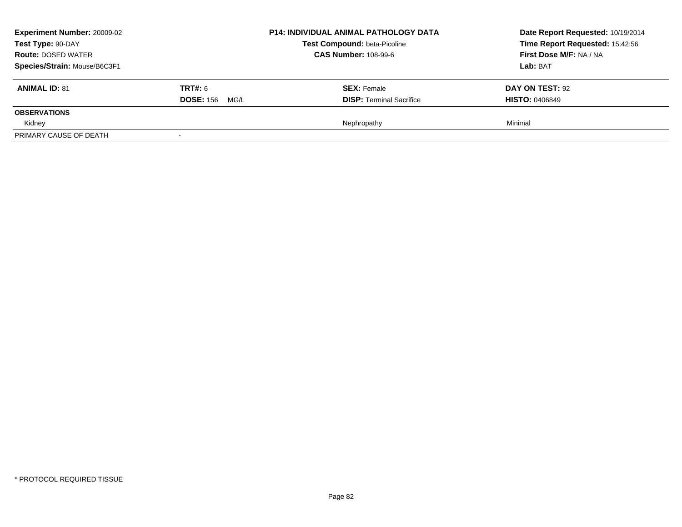| <b>Experiment Number: 20009-02</b><br>Test Type: 90-DAY<br><b>Route: DOSED WATER</b><br>Species/Strain: Mouse/B6C3F1 |                                         | <b>P14: INDIVIDUAL ANIMAL PATHOLOGY DATA</b><br><b>Test Compound: beta-Picoline</b><br><b>CAS Number: 108-99-6</b> | Date Report Requested: 10/19/2014<br>Time Report Requested: 15:42:56<br>First Dose M/F: NA / NA<br>Lab: BAT |
|----------------------------------------------------------------------------------------------------------------------|-----------------------------------------|--------------------------------------------------------------------------------------------------------------------|-------------------------------------------------------------------------------------------------------------|
| <b>ANIMAL ID: 81</b>                                                                                                 | <b>TRT#: 6</b><br><b>DOSE: 156 MG/L</b> | <b>SEX: Female</b><br><b>DISP: Terminal Sacrifice</b>                                                              | DAY ON TEST: 92<br><b>HISTO: 0406849</b>                                                                    |
| <b>OBSERVATIONS</b>                                                                                                  |                                         |                                                                                                                    |                                                                                                             |
| Kidney                                                                                                               |                                         | Nephropathy                                                                                                        | Minimal                                                                                                     |
| PRIMARY CAUSE OF DEATH                                                                                               |                                         |                                                                                                                    |                                                                                                             |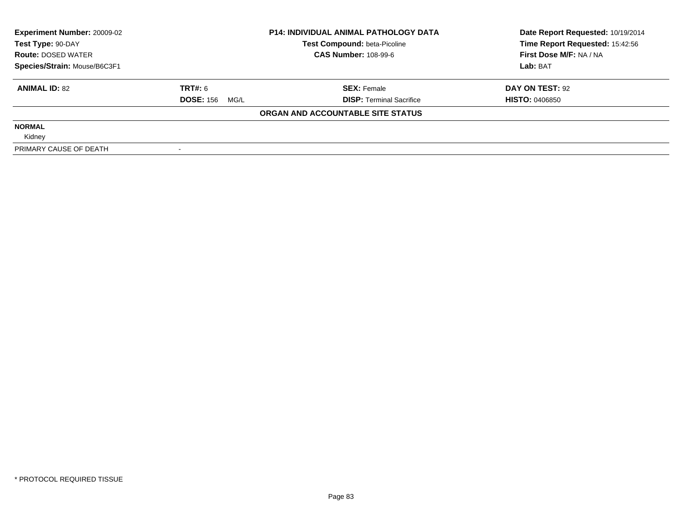| <b>Experiment Number: 20009-02</b><br>Test Type: 90-DAY |                          | <b>P14: INDIVIDUAL ANIMAL PATHOLOGY DATA</b><br>Test Compound: beta-Picoline | Date Report Requested: 10/19/2014<br>Time Report Requested: 15:42:56 |
|---------------------------------------------------------|--------------------------|------------------------------------------------------------------------------|----------------------------------------------------------------------|
| <b>Route: DOSED WATER</b>                               |                          | <b>CAS Number: 108-99-6</b>                                                  | First Dose M/F: NA / NA                                              |
| Species/Strain: Mouse/B6C3F1                            |                          |                                                                              | Lab: BAT                                                             |
| <b>ANIMAL ID: 82</b>                                    | <b>TRT#: 6</b>           | <b>SEX: Female</b>                                                           | DAY ON TEST: 92                                                      |
|                                                         | <b>DOSE: 156</b><br>MG/L | <b>DISP:</b> Terminal Sacrifice                                              | <b>HISTO: 0406850</b>                                                |
|                                                         |                          | ORGAN AND ACCOUNTABLE SITE STATUS                                            |                                                                      |
| <b>NORMAL</b>                                           |                          |                                                                              |                                                                      |
| Kidney                                                  |                          |                                                                              |                                                                      |
| PRIMARY CAUSE OF DEATH                                  |                          |                                                                              |                                                                      |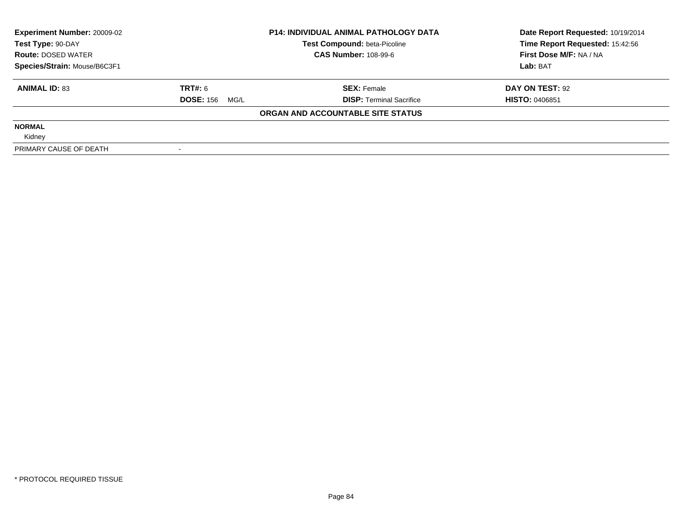| <b>Experiment Number: 20009-02</b> |                       | <b>P14: INDIVIDUAL ANIMAL PATHOLOGY DATA</b> | Date Report Requested: 10/19/2014 |
|------------------------------------|-----------------------|----------------------------------------------|-----------------------------------|
| Test Type: 90-DAY                  |                       | Test Compound: beta-Picoline                 | Time Report Requested: 15:42:56   |
| <b>Route: DOSED WATER</b>          |                       | <b>CAS Number: 108-99-6</b>                  | First Dose M/F: NA / NA           |
| Species/Strain: Mouse/B6C3F1       |                       |                                              | Lab: BAT                          |
| <b>ANIMAL ID: 83</b>               | TRT#: 6               | <b>SEX: Female</b>                           | DAY ON TEST: 92                   |
|                                    | <b>DOSE: 156 MG/L</b> | <b>DISP: Terminal Sacrifice</b>              | <b>HISTO: 0406851</b>             |
|                                    |                       | ORGAN AND ACCOUNTABLE SITE STATUS            |                                   |
| <b>NORMAL</b>                      |                       |                                              |                                   |
| Kidney                             |                       |                                              |                                   |
| PRIMARY CAUSE OF DEATH             |                       |                                              |                                   |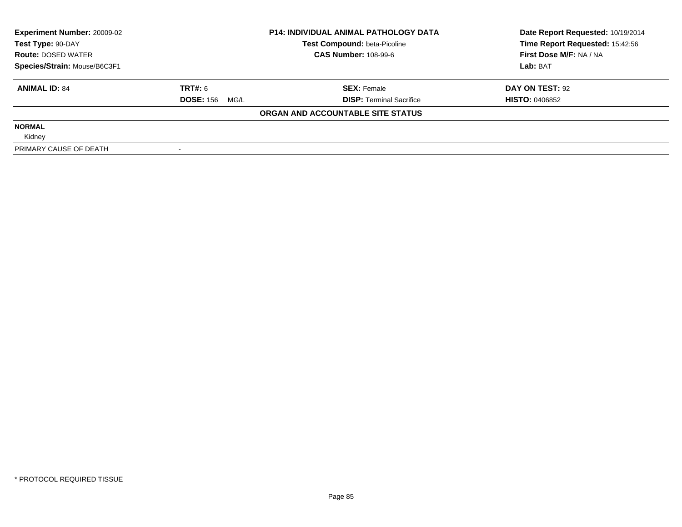| <b>Experiment Number: 20009-02</b><br>Test Type: 90-DAY |                          | <b>P14: INDIVIDUAL ANIMAL PATHOLOGY DATA</b><br>Test Compound: beta-Picoline | Date Report Requested: 10/19/2014<br>Time Report Requested: 15:42:56 |
|---------------------------------------------------------|--------------------------|------------------------------------------------------------------------------|----------------------------------------------------------------------|
| <b>Route: DOSED WATER</b>                               |                          | <b>CAS Number: 108-99-6</b>                                                  | First Dose M/F: NA / NA                                              |
| Species/Strain: Mouse/B6C3F1                            |                          |                                                                              | Lab: BAT                                                             |
| <b>ANIMAL ID: 84</b>                                    | <b>TRT#: 6</b>           | <b>SEX: Female</b>                                                           | DAY ON TEST: 92                                                      |
|                                                         | <b>DOSE: 156</b><br>MG/L | <b>DISP:</b> Terminal Sacrifice                                              | <b>HISTO: 0406852</b>                                                |
|                                                         |                          | ORGAN AND ACCOUNTABLE SITE STATUS                                            |                                                                      |
| <b>NORMAL</b>                                           |                          |                                                                              |                                                                      |
| Kidney                                                  |                          |                                                                              |                                                                      |
| PRIMARY CAUSE OF DEATH                                  |                          |                                                                              |                                                                      |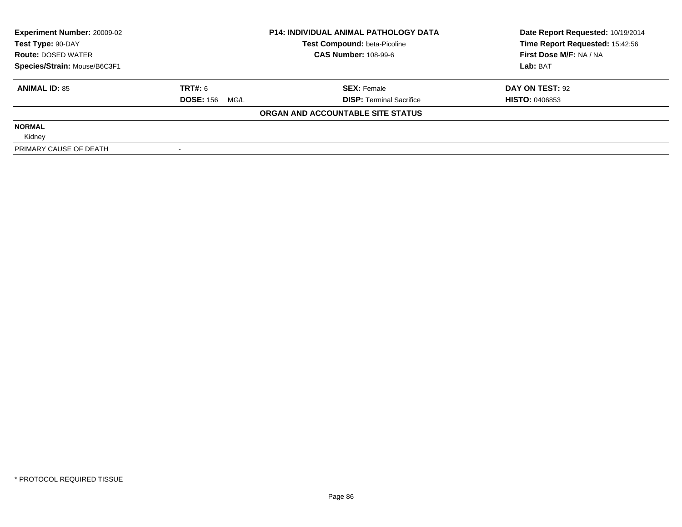| <b>Experiment Number: 20009-02</b><br>Test Type: 90-DAY |                          | <b>P14: INDIVIDUAL ANIMAL PATHOLOGY DATA</b><br>Test Compound: beta-Picoline | Date Report Requested: 10/19/2014<br>Time Report Requested: 15:42:56 |
|---------------------------------------------------------|--------------------------|------------------------------------------------------------------------------|----------------------------------------------------------------------|
| <b>Route: DOSED WATER</b>                               |                          | <b>CAS Number: 108-99-6</b>                                                  | First Dose M/F: NA / NA                                              |
| Species/Strain: Mouse/B6C3F1                            |                          |                                                                              | Lab: BAT                                                             |
| <b>ANIMAL ID: 85</b>                                    | <b>TRT#: 6</b>           | <b>SEX: Female</b>                                                           | DAY ON TEST: 92                                                      |
|                                                         | <b>DOSE: 156</b><br>MG/L | <b>DISP:</b> Terminal Sacrifice                                              | <b>HISTO: 0406853</b>                                                |
|                                                         |                          | ORGAN AND ACCOUNTABLE SITE STATUS                                            |                                                                      |
| <b>NORMAL</b>                                           |                          |                                                                              |                                                                      |
| Kidney                                                  |                          |                                                                              |                                                                      |
| PRIMARY CAUSE OF DEATH                                  |                          |                                                                              |                                                                      |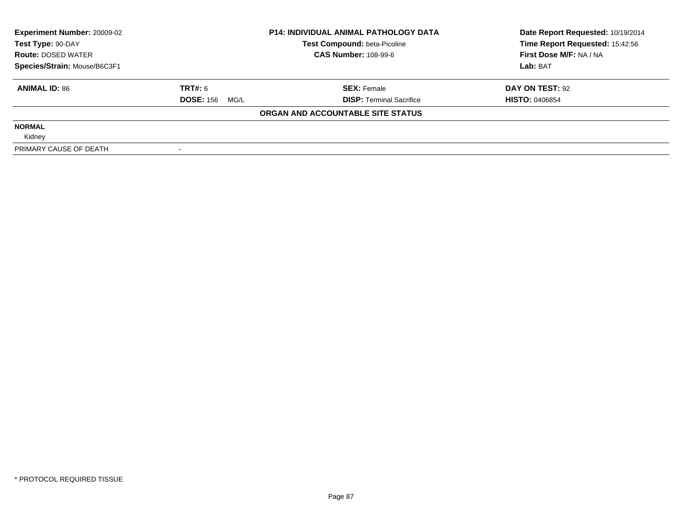| <b>Experiment Number: 20009-02</b> | <b>P14: INDIVIDUAL ANIMAL PATHOLOGY DATA</b> |                                     | Date Report Requested: 10/19/2014 |
|------------------------------------|----------------------------------------------|-------------------------------------|-----------------------------------|
| Test Type: 90-DAY                  |                                              | <b>Test Compound: beta-Picoline</b> | Time Report Requested: 15:42:56   |
| <b>Route: DOSED WATER</b>          |                                              | <b>CAS Number: 108-99-6</b>         | First Dose M/F: NA / NA           |
| Species/Strain: Mouse/B6C3F1       |                                              |                                     | Lab: BAT                          |
| <b>ANIMAL ID: 86</b>               | <b>TRT#: 6</b>                               | <b>SEX: Female</b>                  | DAY ON TEST: 92                   |
|                                    | <b>DOSE: 156 MG/L</b>                        | <b>DISP: Terminal Sacrifice</b>     | <b>HISTO: 0406854</b>             |
|                                    |                                              | ORGAN AND ACCOUNTABLE SITE STATUS   |                                   |
| <b>NORMAL</b>                      |                                              |                                     |                                   |
| Kidney                             |                                              |                                     |                                   |
| PRIMARY CAUSE OF DEATH             |                                              |                                     |                                   |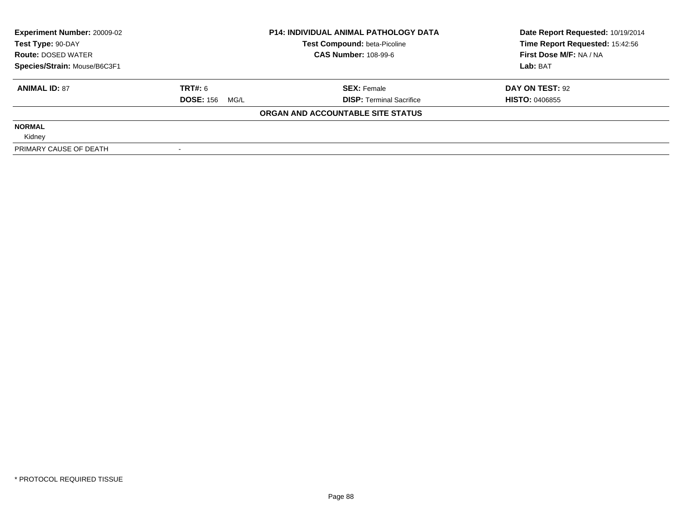| <b>Experiment Number: 20009-02</b><br>Test Type: 90-DAY |                       | <b>P14: INDIVIDUAL ANIMAL PATHOLOGY DATA</b><br>Test Compound: beta-Picoline | Date Report Requested: 10/19/2014<br>Time Report Requested: 15:42:56 |
|---------------------------------------------------------|-----------------------|------------------------------------------------------------------------------|----------------------------------------------------------------------|
| <b>Route: DOSED WATER</b>                               |                       | <b>CAS Number: 108-99-6</b>                                                  | First Dose M/F: NA / NA                                              |
| Species/Strain: Mouse/B6C3F1                            |                       |                                                                              | Lab: BAT                                                             |
| <b>ANIMAL ID: 87</b>                                    | TRT#: 6               | <b>SEX: Female</b>                                                           | DAY ON TEST: 92                                                      |
|                                                         | <b>DOSE: 156 MG/L</b> | <b>DISP:</b> Terminal Sacrifice                                              | <b>HISTO: 0406855</b>                                                |
|                                                         |                       | ORGAN AND ACCOUNTABLE SITE STATUS                                            |                                                                      |
| <b>NORMAL</b>                                           |                       |                                                                              |                                                                      |
| Kidney                                                  |                       |                                                                              |                                                                      |
| PRIMARY CAUSE OF DEATH                                  |                       |                                                                              |                                                                      |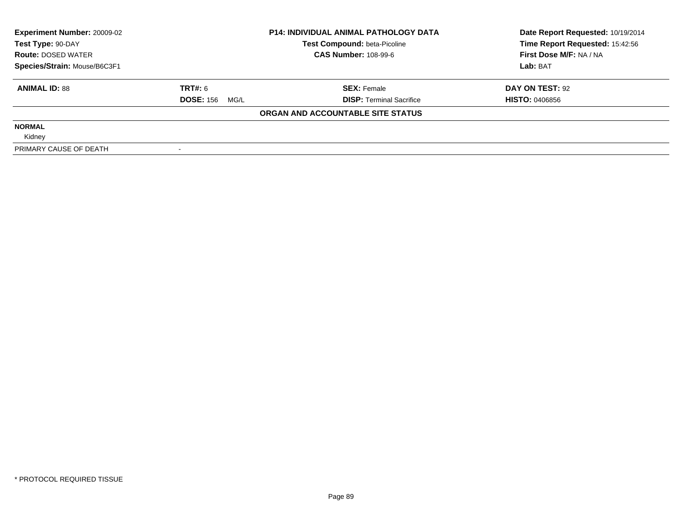| <b>Experiment Number: 20009-02</b> | <b>P14: INDIVIDUAL ANIMAL PATHOLOGY DATA</b> |                                     | Date Report Requested: 10/19/2014 |
|------------------------------------|----------------------------------------------|-------------------------------------|-----------------------------------|
| Test Type: 90-DAY                  |                                              | <b>Test Compound: beta-Picoline</b> | Time Report Requested: 15:42:56   |
| <b>Route: DOSED WATER</b>          |                                              | <b>CAS Number: 108-99-6</b>         | First Dose M/F: NA / NA           |
| Species/Strain: Mouse/B6C3F1       |                                              |                                     | Lab: BAT                          |
| <b>ANIMAL ID: 88</b>               | TRT#: 6                                      | <b>SEX: Female</b>                  | DAY ON TEST: 92                   |
|                                    | <b>DOSE: 156 MG/L</b>                        | <b>DISP:</b> Terminal Sacrifice     | <b>HISTO: 0406856</b>             |
|                                    |                                              | ORGAN AND ACCOUNTABLE SITE STATUS   |                                   |
| <b>NORMAL</b>                      |                                              |                                     |                                   |
| Kidney                             |                                              |                                     |                                   |
| PRIMARY CAUSE OF DEATH             |                                              |                                     |                                   |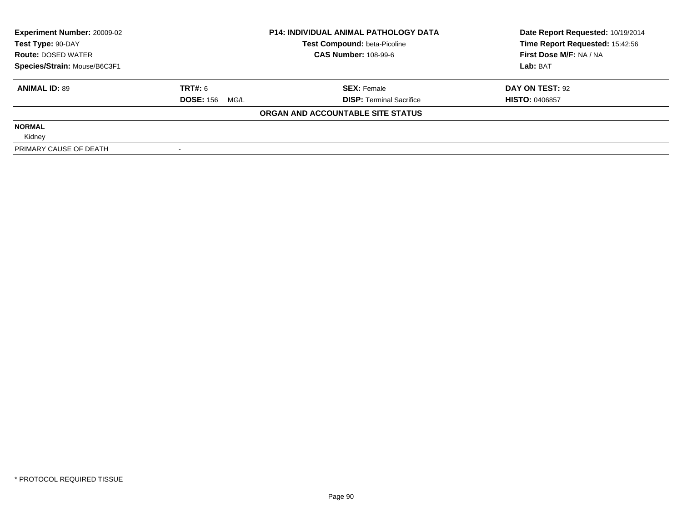| <b>Experiment Number: 20009-02</b> | <b>P14: INDIVIDUAL ANIMAL PATHOLOGY DATA</b> |                                     | Date Report Requested: 10/19/2014 |
|------------------------------------|----------------------------------------------|-------------------------------------|-----------------------------------|
| Test Type: 90-DAY                  |                                              | <b>Test Compound: beta-Picoline</b> | Time Report Requested: 15:42:56   |
| <b>Route: DOSED WATER</b>          |                                              | <b>CAS Number: 108-99-6</b>         | First Dose M/F: NA / NA           |
| Species/Strain: Mouse/B6C3F1       |                                              |                                     | Lab: BAT                          |
| <b>ANIMAL ID: 89</b>               | <b>TRT#: 6</b>                               | <b>SEX: Female</b>                  | DAY ON TEST: 92                   |
|                                    | <b>DOSE: 156 MG/L</b>                        | <b>DISP: Terminal Sacrifice</b>     | <b>HISTO: 0406857</b>             |
|                                    |                                              | ORGAN AND ACCOUNTABLE SITE STATUS   |                                   |
| <b>NORMAL</b>                      |                                              |                                     |                                   |
| Kidney                             |                                              |                                     |                                   |
| PRIMARY CAUSE OF DEATH             |                                              |                                     |                                   |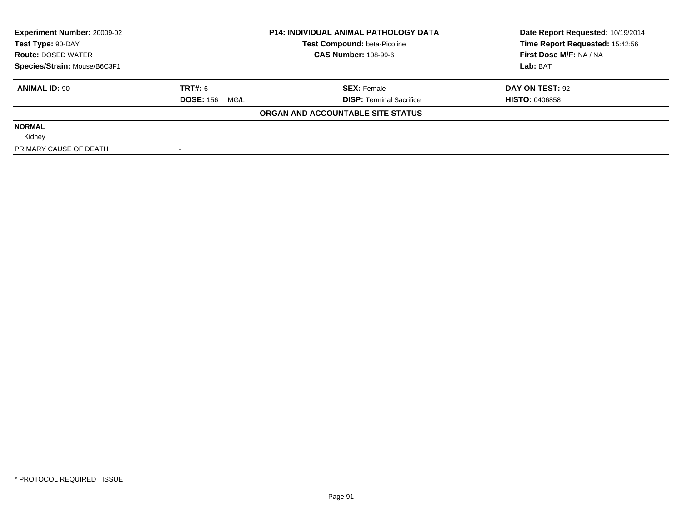| <b>Experiment Number: 20009-02</b><br>Test Type: 90-DAY |                          | <b>P14: INDIVIDUAL ANIMAL PATHOLOGY DATA</b><br>Test Compound: beta-Picoline | Date Report Requested: 10/19/2014<br>Time Report Requested: 15:42:56 |
|---------------------------------------------------------|--------------------------|------------------------------------------------------------------------------|----------------------------------------------------------------------|
| <b>Route: DOSED WATER</b>                               |                          | <b>CAS Number: 108-99-6</b>                                                  | First Dose M/F: NA / NA                                              |
| Species/Strain: Mouse/B6C3F1                            |                          |                                                                              | Lab: BAT                                                             |
| <b>ANIMAL ID: 90</b>                                    | <b>TRT#: 6</b>           | <b>SEX: Female</b>                                                           | DAY ON TEST: 92                                                      |
|                                                         | <b>DOSE: 156</b><br>MG/L | <b>DISP:</b> Terminal Sacrifice                                              | <b>HISTO: 0406858</b>                                                |
|                                                         |                          | ORGAN AND ACCOUNTABLE SITE STATUS                                            |                                                                      |
| <b>NORMAL</b>                                           |                          |                                                                              |                                                                      |
| Kidney                                                  |                          |                                                                              |                                                                      |
| PRIMARY CAUSE OF DEATH                                  |                          |                                                                              |                                                                      |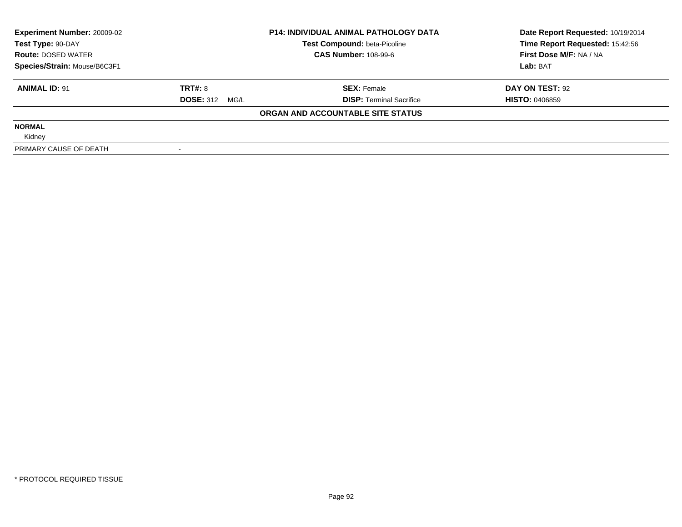| <b>Experiment Number: 20009-02</b> | <b>P14: INDIVIDUAL ANIMAL PATHOLOGY DATA</b> |                                     | Date Report Requested: 10/19/2014 |
|------------------------------------|----------------------------------------------|-------------------------------------|-----------------------------------|
| Test Type: 90-DAY                  |                                              | <b>Test Compound: beta-Picoline</b> | Time Report Requested: 15:42:56   |
| <b>Route: DOSED WATER</b>          |                                              | <b>CAS Number: 108-99-6</b>         | First Dose M/F: NA / NA           |
| Species/Strain: Mouse/B6C3F1       |                                              |                                     | Lab: BAT                          |
| <b>ANIMAL ID: 91</b>               | TRT#: 8                                      | <b>SEX: Female</b>                  | DAY ON TEST: 92                   |
|                                    | <b>DOSE: 312 MG/L</b>                        | <b>DISP:</b> Terminal Sacrifice     | <b>HISTO: 0406859</b>             |
|                                    |                                              | ORGAN AND ACCOUNTABLE SITE STATUS   |                                   |
| <b>NORMAL</b>                      |                                              |                                     |                                   |
| Kidney                             |                                              |                                     |                                   |
| PRIMARY CAUSE OF DEATH             |                                              |                                     |                                   |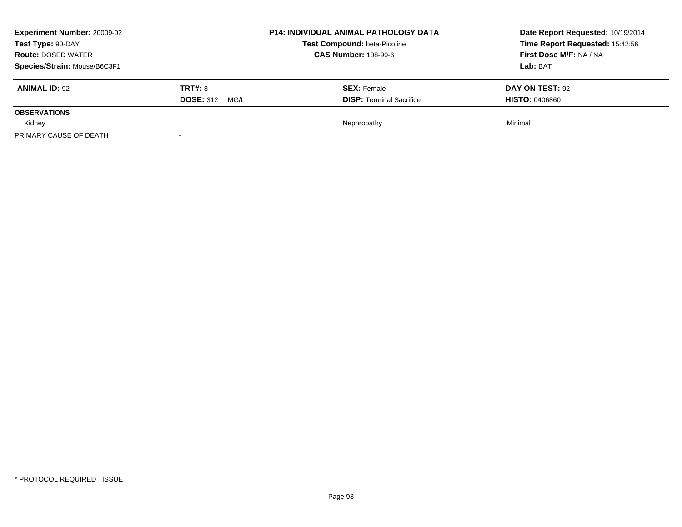| <b>Experiment Number: 20009-02</b><br>Test Type: 90-DAY<br><b>Route: DOSED WATER</b><br>Species/Strain: Mouse/B6C3F1 |                                  | <b>P14: INDIVIDUAL ANIMAL PATHOLOGY DATA</b><br><b>Test Compound: beta-Picoline</b><br><b>CAS Number: 108-99-6</b> | Date Report Requested: 10/19/2014<br>Time Report Requested: 15:42:56<br>First Dose M/F: NA / NA<br>Lab: BAT |
|----------------------------------------------------------------------------------------------------------------------|----------------------------------|--------------------------------------------------------------------------------------------------------------------|-------------------------------------------------------------------------------------------------------------|
| <b>ANIMAL ID: 92</b>                                                                                                 | TRT#: 8<br><b>DOSE: 312 MG/L</b> | <b>SEX: Female</b><br><b>DISP: Terminal Sacrifice</b>                                                              | DAY ON TEST: 92<br><b>HISTO: 0406860</b>                                                                    |
| <b>OBSERVATIONS</b>                                                                                                  |                                  |                                                                                                                    |                                                                                                             |
| Kidney                                                                                                               |                                  | Nephropathy                                                                                                        | Minimal                                                                                                     |
| PRIMARY CAUSE OF DEATH                                                                                               | $\overline{\phantom{a}}$         |                                                                                                                    |                                                                                                             |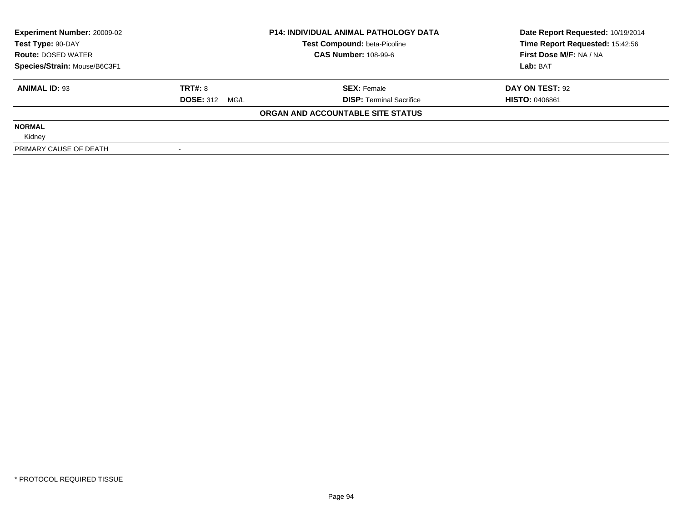| <b>Experiment Number: 20009-02</b> | <b>P14: INDIVIDUAL ANIMAL PATHOLOGY DATA</b> |                                     | Date Report Requested: 10/19/2014 |
|------------------------------------|----------------------------------------------|-------------------------------------|-----------------------------------|
| Test Type: 90-DAY                  |                                              | <b>Test Compound: beta-Picoline</b> | Time Report Requested: 15:42:56   |
| <b>Route: DOSED WATER</b>          |                                              | <b>CAS Number: 108-99-6</b>         | First Dose M/F: NA / NA           |
| Species/Strain: Mouse/B6C3F1       |                                              |                                     | Lab: BAT                          |
| <b>ANIMAL ID: 93</b>               | TRT#: 8                                      | <b>SEX: Female</b>                  | DAY ON TEST: 92                   |
|                                    | <b>DOSE: 312 MG/L</b>                        | <b>DISP: Terminal Sacrifice</b>     | <b>HISTO: 0406861</b>             |
|                                    |                                              | ORGAN AND ACCOUNTABLE SITE STATUS   |                                   |
| <b>NORMAL</b>                      |                                              |                                     |                                   |
| Kidney                             |                                              |                                     |                                   |
| PRIMARY CAUSE OF DEATH             |                                              |                                     |                                   |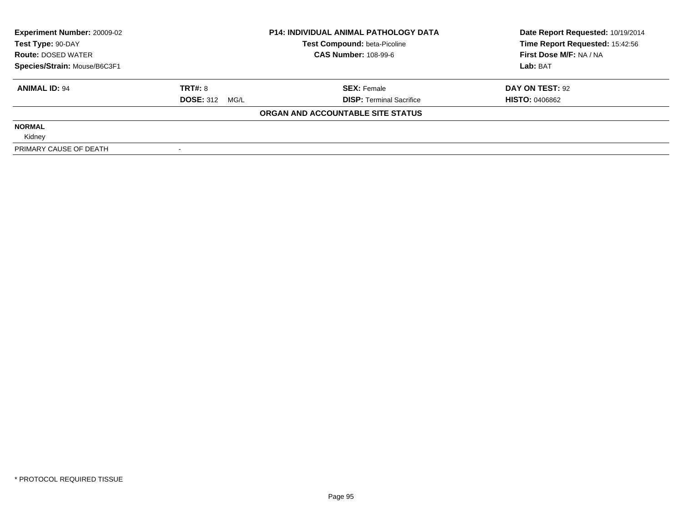| <b>Experiment Number: 20009-02</b> | <b>P14: INDIVIDUAL ANIMAL PATHOLOGY DATA</b> |                                     | Date Report Requested: 10/19/2014 |
|------------------------------------|----------------------------------------------|-------------------------------------|-----------------------------------|
| Test Type: 90-DAY                  |                                              | <b>Test Compound: beta-Picoline</b> | Time Report Requested: 15:42:56   |
| <b>Route: DOSED WATER</b>          |                                              | <b>CAS Number: 108-99-6</b>         | First Dose M/F: NA / NA           |
| Species/Strain: Mouse/B6C3F1       |                                              |                                     | Lab: BAT                          |
| <b>ANIMAL ID: 94</b>               | TRT#: 8                                      | <b>SEX: Female</b>                  | DAY ON TEST: 92                   |
|                                    | <b>DOSE: 312 MG/L</b>                        | <b>DISP: Terminal Sacrifice</b>     | <b>HISTO: 0406862</b>             |
|                                    |                                              | ORGAN AND ACCOUNTABLE SITE STATUS   |                                   |
| <b>NORMAL</b>                      |                                              |                                     |                                   |
| Kidney                             |                                              |                                     |                                   |
| PRIMARY CAUSE OF DEATH             |                                              |                                     |                                   |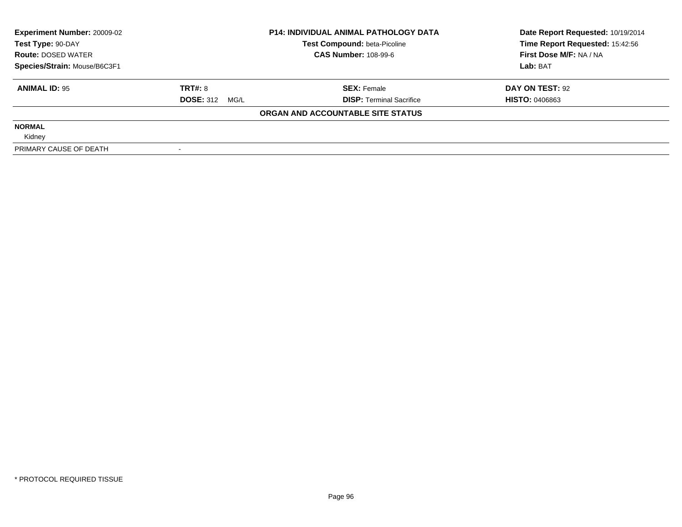| <b>Experiment Number: 20009-02</b> | <b>P14: INDIVIDUAL ANIMAL PATHOLOGY DATA</b> |                                     | Date Report Requested: 10/19/2014 |
|------------------------------------|----------------------------------------------|-------------------------------------|-----------------------------------|
| Test Type: 90-DAY                  |                                              | <b>Test Compound: beta-Picoline</b> | Time Report Requested: 15:42:56   |
| <b>Route: DOSED WATER</b>          |                                              | <b>CAS Number: 108-99-6</b>         | First Dose M/F: NA / NA           |
| Species/Strain: Mouse/B6C3F1       |                                              |                                     | Lab: BAT                          |
| <b>ANIMAL ID: 95</b>               | TRT#: 8                                      | <b>SEX: Female</b>                  | DAY ON TEST: 92                   |
|                                    | <b>DOSE: 312 MG/L</b>                        | <b>DISP: Terminal Sacrifice</b>     | <b>HISTO: 0406863</b>             |
|                                    |                                              | ORGAN AND ACCOUNTABLE SITE STATUS   |                                   |
| <b>NORMAL</b>                      |                                              |                                     |                                   |
| Kidney                             |                                              |                                     |                                   |
| PRIMARY CAUSE OF DEATH             |                                              |                                     |                                   |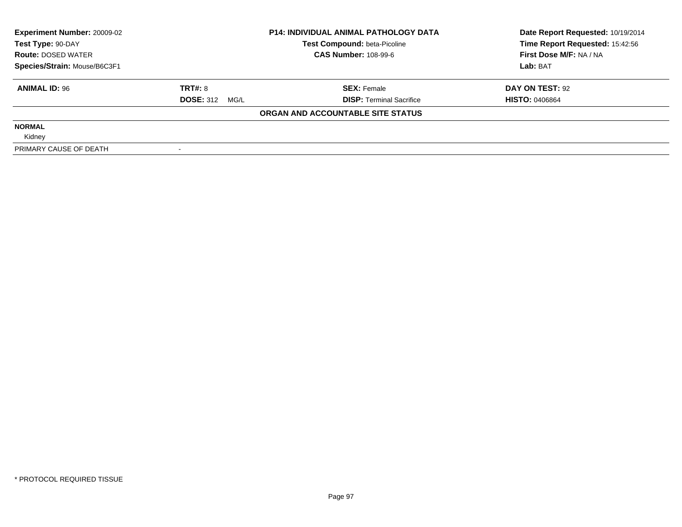| <b>Experiment Number: 20009-02</b> | <b>P14: INDIVIDUAL ANIMAL PATHOLOGY DATA</b> |                                     | Date Report Requested: 10/19/2014 |  |
|------------------------------------|----------------------------------------------|-------------------------------------|-----------------------------------|--|
| Test Type: 90-DAY                  |                                              | <b>Test Compound: beta-Picoline</b> | Time Report Requested: 15:42:56   |  |
| <b>Route: DOSED WATER</b>          |                                              | <b>CAS Number: 108-99-6</b>         | First Dose M/F: NA / NA           |  |
| Species/Strain: Mouse/B6C3F1       |                                              |                                     | Lab: BAT                          |  |
| <b>ANIMAL ID: 96</b>               | TRT#: 8                                      | <b>SEX: Female</b>                  | DAY ON TEST: 92                   |  |
|                                    | <b>DOSE: 312 MG/L</b>                        | <b>DISP: Terminal Sacrifice</b>     | <b>HISTO: 0406864</b>             |  |
|                                    |                                              | ORGAN AND ACCOUNTABLE SITE STATUS   |                                   |  |
| <b>NORMAL</b>                      |                                              |                                     |                                   |  |
| Kidney                             |                                              |                                     |                                   |  |
| PRIMARY CAUSE OF DEATH             |                                              |                                     |                                   |  |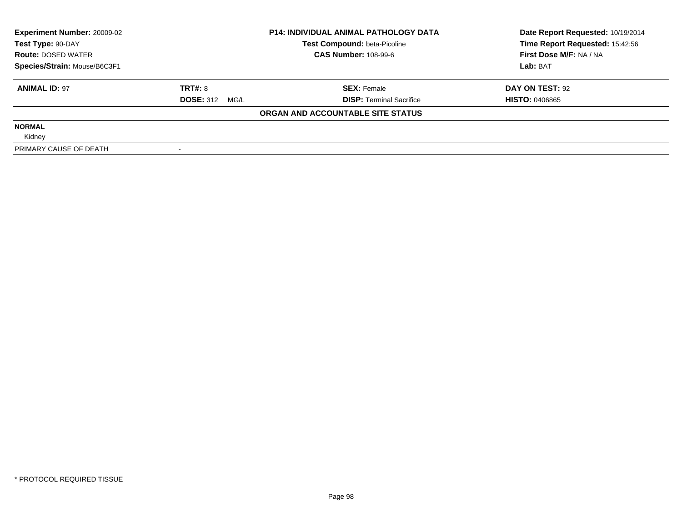| <b>Experiment Number: 20009-02</b> | <b>P14: INDIVIDUAL ANIMAL PATHOLOGY DATA</b> |                                     | Date Report Requested: 10/19/2014 |  |
|------------------------------------|----------------------------------------------|-------------------------------------|-----------------------------------|--|
| Test Type: 90-DAY                  |                                              | <b>Test Compound: beta-Picoline</b> | Time Report Requested: 15:42:56   |  |
| <b>Route: DOSED WATER</b>          |                                              | <b>CAS Number: 108-99-6</b>         | First Dose M/F: NA / NA           |  |
| Species/Strain: Mouse/B6C3F1       |                                              |                                     | Lab: BAT                          |  |
| <b>ANIMAL ID: 97</b>               | TRT#: 8                                      | <b>SEX: Female</b>                  | DAY ON TEST: 92                   |  |
|                                    | <b>DOSE: 312 MG/L</b>                        | <b>DISP:</b> Terminal Sacrifice     | <b>HISTO: 0406865</b>             |  |
|                                    |                                              | ORGAN AND ACCOUNTABLE SITE STATUS   |                                   |  |
| <b>NORMAL</b>                      |                                              |                                     |                                   |  |
| Kidney                             |                                              |                                     |                                   |  |
| PRIMARY CAUSE OF DEATH             |                                              |                                     |                                   |  |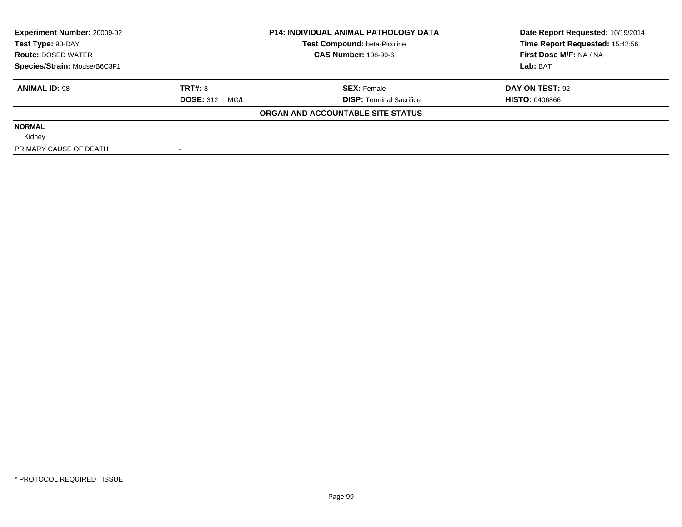| <b>Experiment Number: 20009-02</b> | <b>P14: INDIVIDUAL ANIMAL PATHOLOGY DATA</b> |                                     | Date Report Requested: 10/19/2014 |  |
|------------------------------------|----------------------------------------------|-------------------------------------|-----------------------------------|--|
| Test Type: 90-DAY                  |                                              | <b>Test Compound: beta-Picoline</b> | Time Report Requested: 15:42:56   |  |
| <b>Route: DOSED WATER</b>          |                                              | <b>CAS Number: 108-99-6</b>         | First Dose M/F: NA / NA           |  |
| Species/Strain: Mouse/B6C3F1       |                                              |                                     | Lab: BAT                          |  |
| <b>ANIMAL ID: 98</b>               | TRT#: 8                                      | <b>SEX: Female</b>                  | DAY ON TEST: 92                   |  |
|                                    | <b>DOSE: 312 MG/L</b>                        | <b>DISP:</b> Terminal Sacrifice     | <b>HISTO: 0406866</b>             |  |
|                                    |                                              | ORGAN AND ACCOUNTABLE SITE STATUS   |                                   |  |
| <b>NORMAL</b>                      |                                              |                                     |                                   |  |
| Kidney                             |                                              |                                     |                                   |  |
| PRIMARY CAUSE OF DEATH             |                                              |                                     |                                   |  |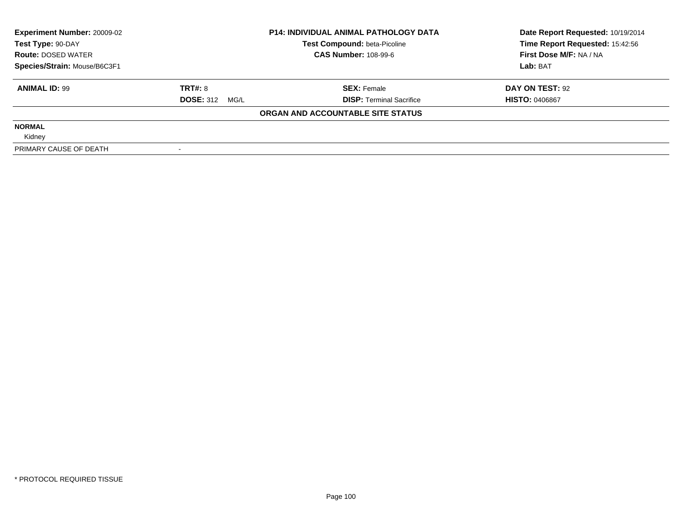| <b>Experiment Number: 20009-02</b> | <b>P14: INDIVIDUAL ANIMAL PATHOLOGY DATA</b> |                                     | Date Report Requested: 10/19/2014 |  |
|------------------------------------|----------------------------------------------|-------------------------------------|-----------------------------------|--|
| Test Type: 90-DAY                  |                                              | <b>Test Compound: beta-Picoline</b> | Time Report Requested: 15:42:56   |  |
| <b>Route: DOSED WATER</b>          |                                              | <b>CAS Number: 108-99-6</b>         | First Dose M/F: NA / NA           |  |
| Species/Strain: Mouse/B6C3F1       |                                              |                                     | Lab: BAT                          |  |
| <b>ANIMAL ID: 99</b>               | TRT#: 8                                      | <b>SEX: Female</b>                  | DAY ON TEST: 92                   |  |
|                                    | <b>DOSE: 312 MG/L</b>                        | <b>DISP: Terminal Sacrifice</b>     | <b>HISTO: 0406867</b>             |  |
|                                    |                                              | ORGAN AND ACCOUNTABLE SITE STATUS   |                                   |  |
| <b>NORMAL</b>                      |                                              |                                     |                                   |  |
| Kidney                             |                                              |                                     |                                   |  |
| PRIMARY CAUSE OF DEATH             |                                              |                                     |                                   |  |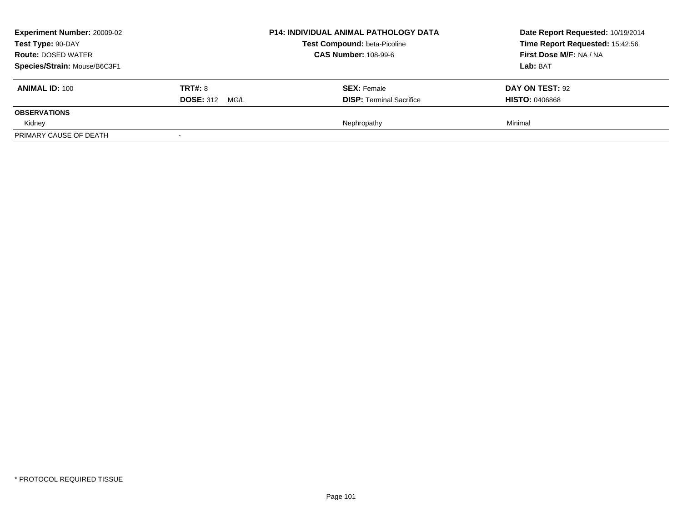| <b>Experiment Number: 20009-02</b><br>Test Type: 90-DAY<br><b>Route: DOSED WATER</b><br>Species/Strain: Mouse/B6C3F1 |                                  | <b>P14: INDIVIDUAL ANIMAL PATHOLOGY DATA</b><br><b>Test Compound: beta-Picoline</b><br><b>CAS Number: 108-99-6</b> | Date Report Requested: 10/19/2014<br>Time Report Requested: 15:42:56<br>First Dose M/F: NA / NA<br>Lab: BAT |
|----------------------------------------------------------------------------------------------------------------------|----------------------------------|--------------------------------------------------------------------------------------------------------------------|-------------------------------------------------------------------------------------------------------------|
| <b>ANIMAL ID: 100</b>                                                                                                | TRT#: 8<br><b>DOSE: 312 MG/L</b> | <b>SEX: Female</b><br><b>DISP: Terminal Sacrifice</b>                                                              | DAY ON TEST: 92<br><b>HISTO: 0406868</b>                                                                    |
| <b>OBSERVATIONS</b>                                                                                                  |                                  |                                                                                                                    |                                                                                                             |
| Kidney                                                                                                               |                                  | Nephropathy                                                                                                        | Minimal                                                                                                     |
| PRIMARY CAUSE OF DEATH                                                                                               | $\overline{\phantom{a}}$         |                                                                                                                    |                                                                                                             |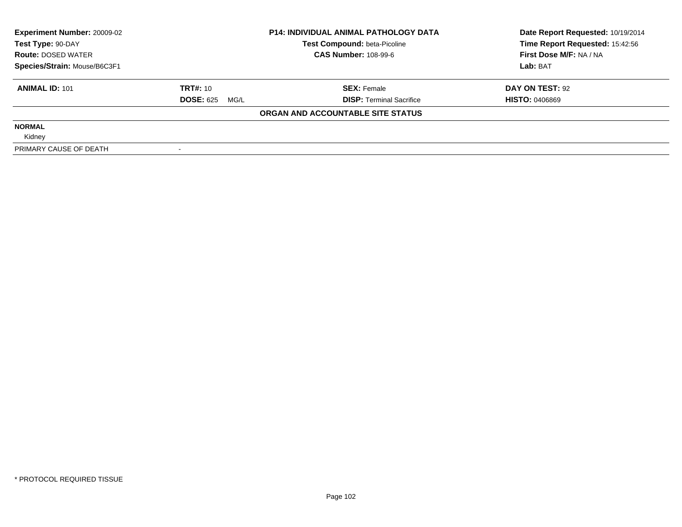| <b>Experiment Number: 20009-02</b> | <b>P14: INDIVIDUAL ANIMAL PATHOLOGY DATA</b> |                                     | Date Report Requested: 10/19/2014 |  |
|------------------------------------|----------------------------------------------|-------------------------------------|-----------------------------------|--|
| Test Type: 90-DAY                  |                                              | <b>Test Compound: beta-Picoline</b> | Time Report Requested: 15:42:56   |  |
| <b>Route: DOSED WATER</b>          |                                              | <b>CAS Number: 108-99-6</b>         | First Dose M/F: NA / NA           |  |
| Species/Strain: Mouse/B6C3F1       |                                              |                                     | Lab: BAT                          |  |
| <b>ANIMAL ID: 101</b>              | <b>TRT#: 10</b>                              | <b>SEX: Female</b>                  | DAY ON TEST: 92                   |  |
|                                    | <b>DOSE: 625</b><br>MG/L                     | <b>DISP: Terminal Sacrifice</b>     | <b>HISTO: 0406869</b>             |  |
|                                    |                                              | ORGAN AND ACCOUNTABLE SITE STATUS   |                                   |  |
| <b>NORMAL</b>                      |                                              |                                     |                                   |  |
| Kidney                             |                                              |                                     |                                   |  |
| PRIMARY CAUSE OF DEATH             |                                              |                                     |                                   |  |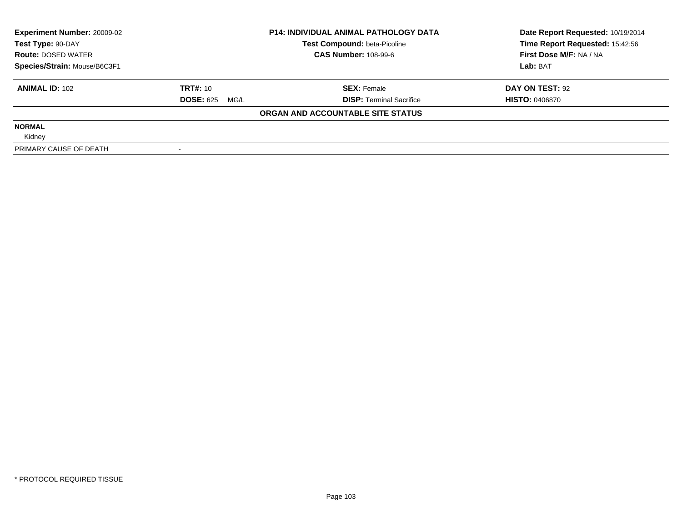| <b>Experiment Number: 20009-02</b> | <b>P14: INDIVIDUAL ANIMAL PATHOLOGY DATA</b> |                                     | Date Report Requested: 10/19/2014 |  |
|------------------------------------|----------------------------------------------|-------------------------------------|-----------------------------------|--|
| Test Type: 90-DAY                  |                                              | <b>Test Compound: beta-Picoline</b> | Time Report Requested: 15:42:56   |  |
| <b>Route: DOSED WATER</b>          |                                              | <b>CAS Number: 108-99-6</b>         | First Dose M/F: NA / NA           |  |
| Species/Strain: Mouse/B6C3F1       |                                              |                                     | Lab: BAT                          |  |
| <b>ANIMAL ID: 102</b>              | <b>TRT#: 10</b>                              | <b>SEX: Female</b>                  | DAY ON TEST: 92                   |  |
|                                    | <b>DOSE: 625</b><br>MG/L                     | <b>DISP: Terminal Sacrifice</b>     | <b>HISTO: 0406870</b>             |  |
|                                    |                                              | ORGAN AND ACCOUNTABLE SITE STATUS   |                                   |  |
| <b>NORMAL</b>                      |                                              |                                     |                                   |  |
| Kidney                             |                                              |                                     |                                   |  |
| PRIMARY CAUSE OF DEATH             |                                              |                                     |                                   |  |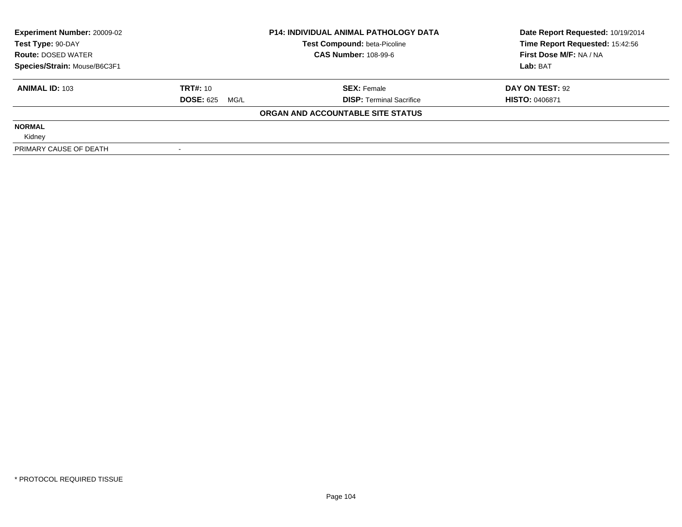| <b>Experiment Number: 20009-02</b><br>Test Type: 90-DAY |                          | <b>P14: INDIVIDUAL ANIMAL PATHOLOGY DATA</b><br>Test Compound: beta-Picoline | Date Report Requested: 10/19/2014<br>Time Report Requested: 15:42:56 |
|---------------------------------------------------------|--------------------------|------------------------------------------------------------------------------|----------------------------------------------------------------------|
| <b>Route: DOSED WATER</b>                               |                          | <b>CAS Number: 108-99-6</b>                                                  | First Dose M/F: NA / NA                                              |
| Species/Strain: Mouse/B6C3F1                            |                          |                                                                              | Lab: BAT                                                             |
| <b>ANIMAL ID: 103</b>                                   | TRT#: 10                 | <b>SEX: Female</b>                                                           | DAY ON TEST: 92                                                      |
|                                                         | <b>DOSE: 625</b><br>MG/L | <b>DISP:</b> Terminal Sacrifice                                              | <b>HISTO: 0406871</b>                                                |
|                                                         |                          | ORGAN AND ACCOUNTABLE SITE STATUS                                            |                                                                      |
| <b>NORMAL</b>                                           |                          |                                                                              |                                                                      |
| Kidney                                                  |                          |                                                                              |                                                                      |
| PRIMARY CAUSE OF DEATH                                  |                          |                                                                              |                                                                      |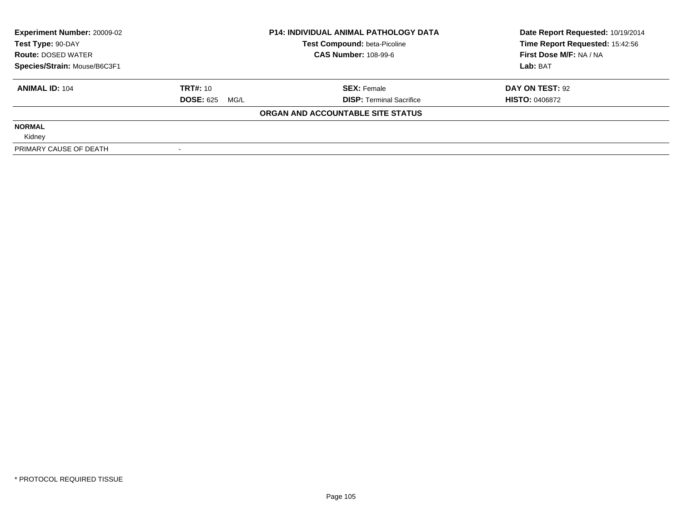| <b>Experiment Number: 20009-02</b> | <b>P14: INDIVIDUAL ANIMAL PATHOLOGY DATA</b> |                                     | Date Report Requested: 10/19/2014 |  |
|------------------------------------|----------------------------------------------|-------------------------------------|-----------------------------------|--|
| Test Type: 90-DAY                  |                                              | <b>Test Compound: beta-Picoline</b> | Time Report Requested: 15:42:56   |  |
| <b>Route: DOSED WATER</b>          |                                              | <b>CAS Number: 108-99-6</b>         | First Dose M/F: NA / NA           |  |
| Species/Strain: Mouse/B6C3F1       |                                              |                                     | Lab: BAT                          |  |
| <b>ANIMAL ID: 104</b>              | <b>TRT#: 10</b>                              | <b>SEX: Female</b>                  | DAY ON TEST: 92                   |  |
|                                    | <b>DOSE: 625</b><br>MG/L                     | <b>DISP: Terminal Sacrifice</b>     | <b>HISTO: 0406872</b>             |  |
|                                    |                                              | ORGAN AND ACCOUNTABLE SITE STATUS   |                                   |  |
| <b>NORMAL</b>                      |                                              |                                     |                                   |  |
| Kidney                             |                                              |                                     |                                   |  |
| PRIMARY CAUSE OF DEATH             |                                              |                                     |                                   |  |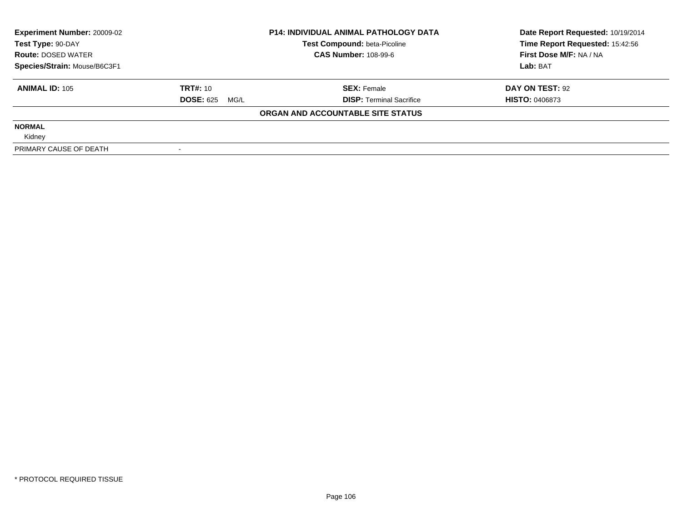| <b>Experiment Number: 20009-02</b><br>Test Type: 90-DAY |                          | <b>P14: INDIVIDUAL ANIMAL PATHOLOGY DATA</b><br>Test Compound: beta-Picoline | Date Report Requested: 10/19/2014<br>Time Report Requested: 15:42:56 |  |
|---------------------------------------------------------|--------------------------|------------------------------------------------------------------------------|----------------------------------------------------------------------|--|
| <b>Route: DOSED WATER</b>                               |                          | <b>CAS Number: 108-99-6</b>                                                  | First Dose M/F: NA / NA                                              |  |
| Species/Strain: Mouse/B6C3F1                            |                          |                                                                              | Lab: BAT                                                             |  |
| <b>ANIMAL ID: 105</b>                                   | TRT#: 10                 | <b>SEX: Female</b>                                                           | DAY ON TEST: 92                                                      |  |
|                                                         | <b>DOSE: 625</b><br>MG/L | <b>DISP:</b> Terminal Sacrifice                                              | <b>HISTO: 0406873</b>                                                |  |
|                                                         |                          | ORGAN AND ACCOUNTABLE SITE STATUS                                            |                                                                      |  |
| <b>NORMAL</b>                                           |                          |                                                                              |                                                                      |  |
| Kidney                                                  |                          |                                                                              |                                                                      |  |
| PRIMARY CAUSE OF DEATH                                  |                          |                                                                              |                                                                      |  |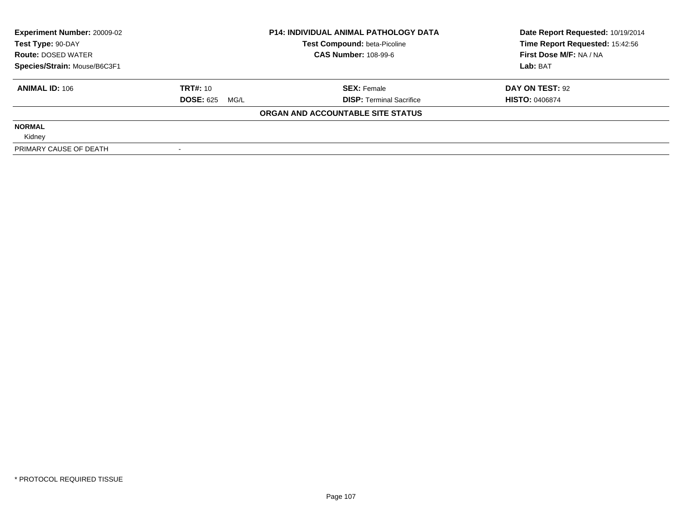| <b>Experiment Number: 20009-02</b> | <b>P14: INDIVIDUAL ANIMAL PATHOLOGY DATA</b> |                                     | Date Report Requested: 10/19/2014 |
|------------------------------------|----------------------------------------------|-------------------------------------|-----------------------------------|
| Test Type: 90-DAY                  |                                              | <b>Test Compound: beta-Picoline</b> | Time Report Requested: 15:42:56   |
| <b>Route: DOSED WATER</b>          |                                              | <b>CAS Number: 108-99-6</b>         | First Dose M/F: NA / NA           |
| Species/Strain: Mouse/B6C3F1       |                                              |                                     | Lab: BAT                          |
| <b>ANIMAL ID: 106</b>              | <b>TRT#:</b> 10                              | <b>SEX: Female</b>                  | DAY ON TEST: 92                   |
|                                    | <b>DOSE: 625 MG/L</b>                        | <b>DISP: Terminal Sacrifice</b>     | <b>HISTO: 0406874</b>             |
|                                    |                                              | ORGAN AND ACCOUNTABLE SITE STATUS   |                                   |
| <b>NORMAL</b>                      |                                              |                                     |                                   |
| Kidney                             |                                              |                                     |                                   |
| PRIMARY CAUSE OF DEATH             |                                              |                                     |                                   |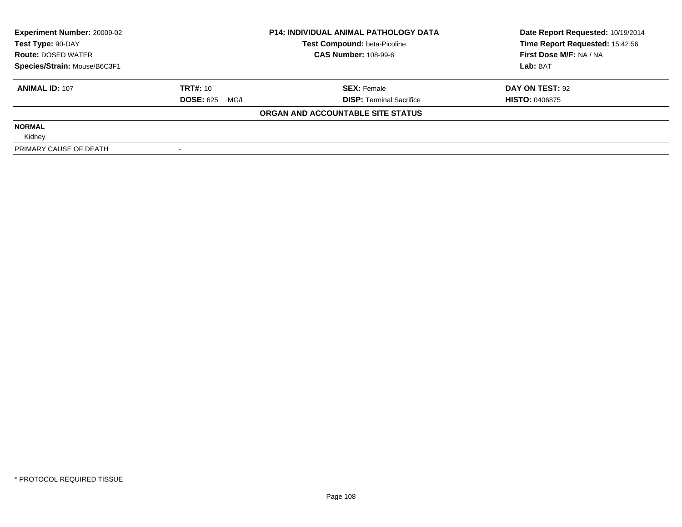| <b>Experiment Number: 20009-02</b> | <b>P14: INDIVIDUAL ANIMAL PATHOLOGY DATA</b> |                                     | Date Report Requested: 10/19/2014 |  |
|------------------------------------|----------------------------------------------|-------------------------------------|-----------------------------------|--|
| Test Type: 90-DAY                  |                                              | <b>Test Compound: beta-Picoline</b> | Time Report Requested: 15:42:56   |  |
| <b>Route: DOSED WATER</b>          |                                              | <b>CAS Number: 108-99-6</b>         | First Dose M/F: NA / NA           |  |
| Species/Strain: Mouse/B6C3F1       |                                              |                                     | Lab: BAT                          |  |
| <b>ANIMAL ID: 107</b>              | <b>TRT#: 10</b>                              | <b>SEX: Female</b>                  | DAY ON TEST: 92                   |  |
|                                    | <b>DOSE: 625</b><br>MG/L                     | <b>DISP: Terminal Sacrifice</b>     | <b>HISTO: 0406875</b>             |  |
|                                    |                                              | ORGAN AND ACCOUNTABLE SITE STATUS   |                                   |  |
| <b>NORMAL</b>                      |                                              |                                     |                                   |  |
| Kidney                             |                                              |                                     |                                   |  |
| PRIMARY CAUSE OF DEATH             |                                              |                                     |                                   |  |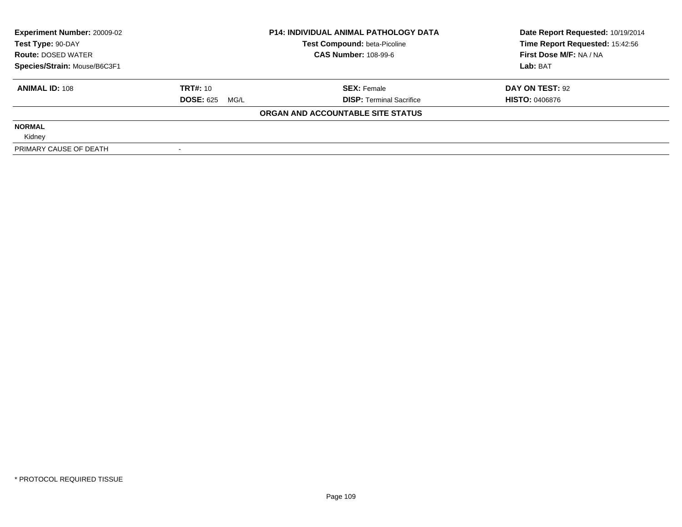| <b>Experiment Number: 20009-02</b><br>Test Type: 90-DAY<br><b>Route: DOSED WATER</b> |                          | <b>P14: INDIVIDUAL ANIMAL PATHOLOGY DATA</b><br>Test Compound: beta-Picoline | Date Report Requested: 10/19/2014<br>Time Report Requested: 15:42:56 |
|--------------------------------------------------------------------------------------|--------------------------|------------------------------------------------------------------------------|----------------------------------------------------------------------|
|                                                                                      |                          | <b>CAS Number: 108-99-6</b>                                                  | First Dose M/F: NA / NA                                              |
| Species/Strain: Mouse/B6C3F1                                                         |                          |                                                                              | Lab: BAT                                                             |
| <b>ANIMAL ID: 108</b>                                                                | TRT#: 10                 | <b>SEX: Female</b>                                                           | DAY ON TEST: 92                                                      |
|                                                                                      | <b>DOSE: 625</b><br>MG/L | <b>DISP:</b> Terminal Sacrifice                                              | <b>HISTO: 0406876</b>                                                |
|                                                                                      |                          | ORGAN AND ACCOUNTABLE SITE STATUS                                            |                                                                      |
| <b>NORMAL</b>                                                                        |                          |                                                                              |                                                                      |
| Kidney                                                                               |                          |                                                                              |                                                                      |
| PRIMARY CAUSE OF DEATH                                                               |                          |                                                                              |                                                                      |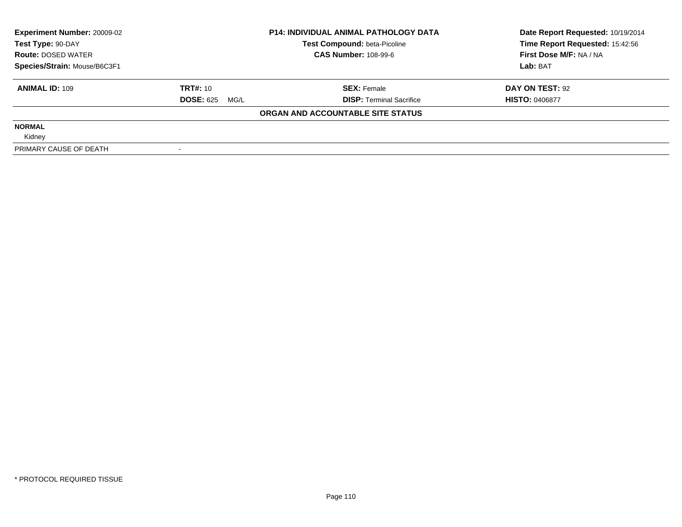| <b>Experiment Number: 20009-02</b> |                          | <b>P14: INDIVIDUAL ANIMAL PATHOLOGY DATA</b> | Date Report Requested: 10/19/2014 |  |
|------------------------------------|--------------------------|----------------------------------------------|-----------------------------------|--|
| Test Type: 90-DAY                  |                          | <b>Test Compound: beta-Picoline</b>          | Time Report Requested: 15:42:56   |  |
| <b>Route: DOSED WATER</b>          |                          | <b>CAS Number: 108-99-6</b>                  | First Dose M/F: NA / NA           |  |
| Species/Strain: Mouse/B6C3F1       |                          |                                              | Lab: BAT                          |  |
| <b>ANIMAL ID: 109</b>              | <b>TRT#: 10</b>          | <b>SEX: Female</b>                           | DAY ON TEST: 92                   |  |
|                                    | <b>DOSE: 625</b><br>MG/L | <b>DISP: Terminal Sacrifice</b>              | <b>HISTO: 0406877</b>             |  |
|                                    |                          | ORGAN AND ACCOUNTABLE SITE STATUS            |                                   |  |
| <b>NORMAL</b>                      |                          |                                              |                                   |  |
| Kidney                             |                          |                                              |                                   |  |
| PRIMARY CAUSE OF DEATH             |                          |                                              |                                   |  |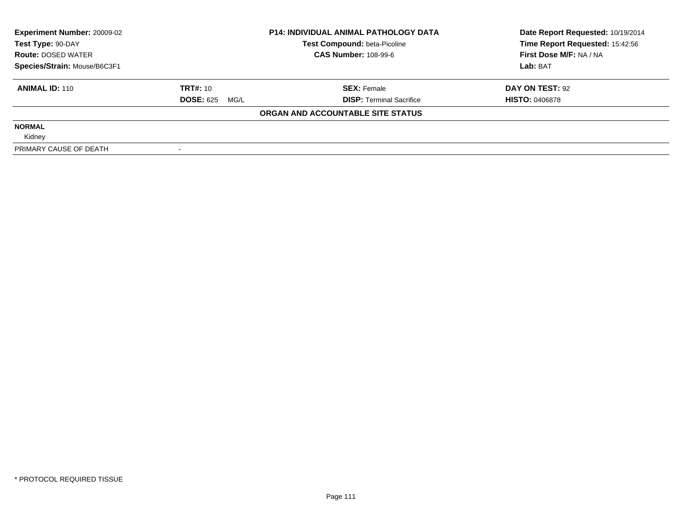| <b>Experiment Number: 20009-02</b><br>Test Type: 90-DAY |                          | <b>P14: INDIVIDUAL ANIMAL PATHOLOGY DATA</b> | Date Report Requested: 10/19/2014 |  |
|---------------------------------------------------------|--------------------------|----------------------------------------------|-----------------------------------|--|
|                                                         |                          | Test Compound: beta-Picoline                 | Time Report Requested: 15:42:56   |  |
| <b>Route: DOSED WATER</b>                               |                          | <b>CAS Number: 108-99-6</b>                  | First Dose M/F: NA / NA           |  |
| Species/Strain: Mouse/B6C3F1                            |                          |                                              | Lab: BAT                          |  |
| <b>ANIMAL ID: 110</b>                                   | <b>TRT#: 10</b>          | <b>SEX: Female</b>                           | DAY ON TEST: 92                   |  |
|                                                         | <b>DOSE: 625</b><br>MG/L | <b>DISP:</b> Terminal Sacrifice              | <b>HISTO: 0406878</b>             |  |
|                                                         |                          | ORGAN AND ACCOUNTABLE SITE STATUS            |                                   |  |
| <b>NORMAL</b>                                           |                          |                                              |                                   |  |
| Kidney                                                  |                          |                                              |                                   |  |
| PRIMARY CAUSE OF DEATH                                  |                          |                                              |                                   |  |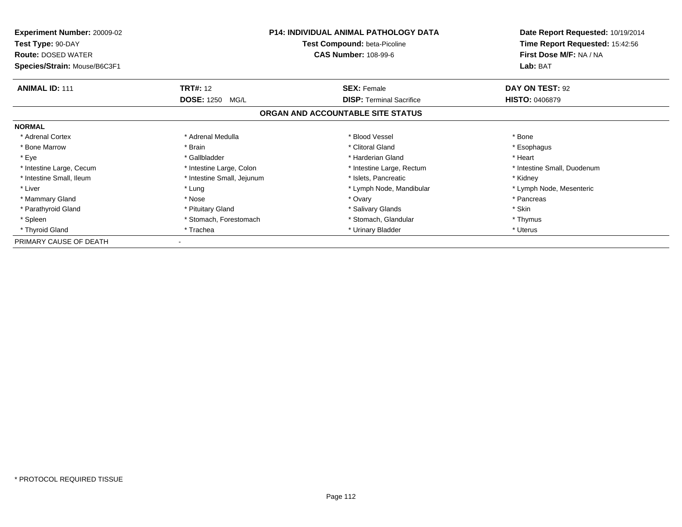| Experiment Number: 20009-02<br>Test Type: 90-DAY<br><b>Route: DOSED WATER</b> | <b>P14: INDIVIDUAL ANIMAL PATHOLOGY DATA</b><br>Test Compound: beta-Picoline<br><b>CAS Number: 108-99-6</b> |                                   | Date Report Requested: 10/19/2014<br>Time Report Requested: 15:42:56<br>First Dose M/F: NA / NA |  |
|-------------------------------------------------------------------------------|-------------------------------------------------------------------------------------------------------------|-----------------------------------|-------------------------------------------------------------------------------------------------|--|
| Species/Strain: Mouse/B6C3F1                                                  |                                                                                                             |                                   | Lab: BAT                                                                                        |  |
| <b>ANIMAL ID: 111</b>                                                         | <b>TRT#: 12</b>                                                                                             | <b>SEX: Female</b>                | DAY ON TEST: 92                                                                                 |  |
|                                                                               | <b>DOSE: 1250</b><br>MG/L                                                                                   | <b>DISP:</b> Terminal Sacrifice   | <b>HISTO: 0406879</b>                                                                           |  |
|                                                                               |                                                                                                             | ORGAN AND ACCOUNTABLE SITE STATUS |                                                                                                 |  |
| <b>NORMAL</b>                                                                 |                                                                                                             |                                   |                                                                                                 |  |
| * Adrenal Cortex                                                              | * Adrenal Medulla                                                                                           | * Blood Vessel                    | * Bone                                                                                          |  |
| * Bone Marrow                                                                 | * Brain                                                                                                     | * Clitoral Gland                  | * Esophagus                                                                                     |  |
| * Eye                                                                         | * Gallbladder                                                                                               | * Harderian Gland                 | * Heart                                                                                         |  |
| * Intestine Large, Cecum                                                      | * Intestine Large, Colon                                                                                    | * Intestine Large, Rectum         | * Intestine Small, Duodenum                                                                     |  |
| * Intestine Small, Ileum                                                      | * Intestine Small, Jejunum                                                                                  | * Islets, Pancreatic              | * Kidney                                                                                        |  |
| * Liver                                                                       | * Lung                                                                                                      | * Lymph Node, Mandibular          | * Lymph Node, Mesenteric                                                                        |  |
| * Mammary Gland                                                               | * Nose                                                                                                      | * Ovary                           | * Pancreas                                                                                      |  |
| * Parathyroid Gland                                                           | * Pituitary Gland                                                                                           | * Salivary Glands                 | * Skin                                                                                          |  |
| * Spleen                                                                      | * Stomach, Forestomach                                                                                      | * Stomach, Glandular              | * Thymus                                                                                        |  |
| * Thyroid Gland                                                               | * Trachea                                                                                                   | * Urinary Bladder                 | * Uterus                                                                                        |  |
| PRIMARY CAUSE OF DEATH                                                        |                                                                                                             |                                   |                                                                                                 |  |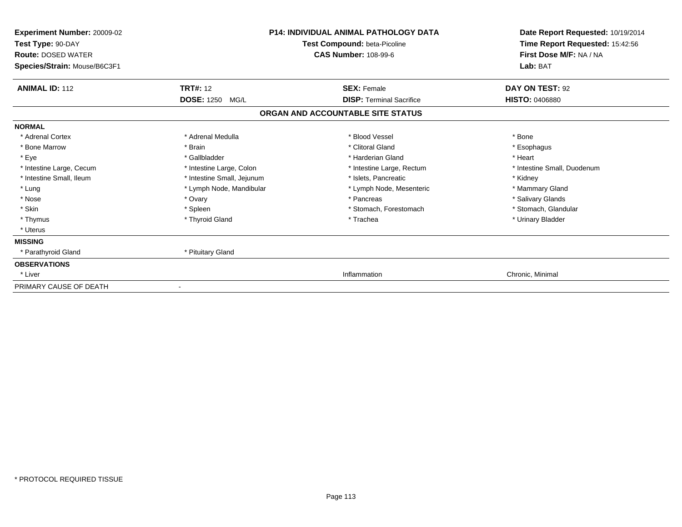| Experiment Number: 20009-02<br>Test Type: 90-DAY<br><b>Route: DOSED WATER</b><br>Species/Strain: Mouse/B6C3F1 |                            | <b>P14: INDIVIDUAL ANIMAL PATHOLOGY DATA</b><br>Test Compound: beta-Picoline<br><b>CAS Number: 108-99-6</b> | Date Report Requested: 10/19/2014<br>Time Report Requested: 15:42:56<br>First Dose M/F: NA / NA<br>Lab: BAT |
|---------------------------------------------------------------------------------------------------------------|----------------------------|-------------------------------------------------------------------------------------------------------------|-------------------------------------------------------------------------------------------------------------|
| <b>ANIMAL ID: 112</b>                                                                                         | <b>TRT#: 12</b>            | <b>SEX: Female</b>                                                                                          | DAY ON TEST: 92                                                                                             |
|                                                                                                               | <b>DOSE: 1250</b><br>MG/L  | <b>DISP: Terminal Sacrifice</b>                                                                             | <b>HISTO: 0406880</b>                                                                                       |
|                                                                                                               |                            | ORGAN AND ACCOUNTABLE SITE STATUS                                                                           |                                                                                                             |
| <b>NORMAL</b>                                                                                                 |                            |                                                                                                             |                                                                                                             |
| * Adrenal Cortex                                                                                              | * Adrenal Medulla          | * Blood Vessel                                                                                              | * Bone                                                                                                      |
| * Bone Marrow                                                                                                 | * Brain                    | * Clitoral Gland                                                                                            | * Esophagus                                                                                                 |
| * Eye                                                                                                         | * Gallbladder              | * Harderian Gland                                                                                           | * Heart                                                                                                     |
| * Intestine Large, Cecum                                                                                      | * Intestine Large, Colon   | * Intestine Large, Rectum                                                                                   | * Intestine Small, Duodenum                                                                                 |
| * Intestine Small, Ileum                                                                                      | * Intestine Small, Jejunum | * Islets, Pancreatic                                                                                        | * Kidney                                                                                                    |
| * Lung                                                                                                        | * Lymph Node, Mandibular   | * Lymph Node, Mesenteric                                                                                    | * Mammary Gland                                                                                             |
| * Nose                                                                                                        | * Ovary                    | * Pancreas                                                                                                  | * Salivary Glands                                                                                           |
| * Skin                                                                                                        | * Spleen                   | * Stomach, Forestomach                                                                                      | * Stomach, Glandular                                                                                        |
| * Thymus                                                                                                      | * Thyroid Gland            | * Trachea                                                                                                   | * Urinary Bladder                                                                                           |
| * Uterus                                                                                                      |                            |                                                                                                             |                                                                                                             |
| <b>MISSING</b>                                                                                                |                            |                                                                                                             |                                                                                                             |
| * Parathyroid Gland                                                                                           | * Pituitary Gland          |                                                                                                             |                                                                                                             |
| <b>OBSERVATIONS</b>                                                                                           |                            |                                                                                                             |                                                                                                             |
| * Liver                                                                                                       |                            | Inflammation                                                                                                | Chronic, Minimal                                                                                            |
| PRIMARY CAUSE OF DEATH                                                                                        |                            |                                                                                                             |                                                                                                             |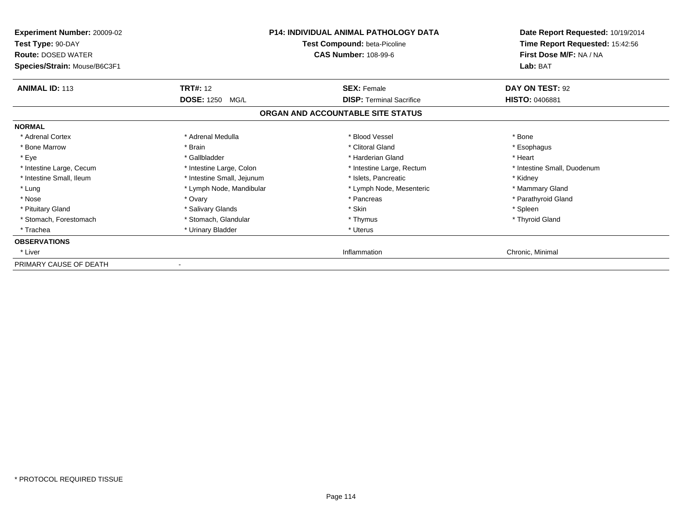| <b>Experiment Number: 20009-02</b><br>Test Type: 90-DAY<br><b>Route: DOSED WATER</b><br>Species/Strain: Mouse/B6C3F1 | <b>P14: INDIVIDUAL ANIMAL PATHOLOGY DATA</b><br>Test Compound: beta-Picoline<br><b>CAS Number: 108-99-6</b> |                                   | Date Report Requested: 10/19/2014<br>Time Report Requested: 15:42:56<br>First Dose M/F: NA / NA<br>Lab: BAT |
|----------------------------------------------------------------------------------------------------------------------|-------------------------------------------------------------------------------------------------------------|-----------------------------------|-------------------------------------------------------------------------------------------------------------|
| <b>ANIMAL ID: 113</b>                                                                                                | <b>TRT#:</b> 12                                                                                             | <b>SEX: Female</b>                | DAY ON TEST: 92                                                                                             |
|                                                                                                                      | <b>DOSE: 1250</b><br>MG/L                                                                                   | <b>DISP: Terminal Sacrifice</b>   | <b>HISTO: 0406881</b>                                                                                       |
|                                                                                                                      |                                                                                                             | ORGAN AND ACCOUNTABLE SITE STATUS |                                                                                                             |
| <b>NORMAL</b>                                                                                                        |                                                                                                             |                                   |                                                                                                             |
| * Adrenal Cortex                                                                                                     | * Adrenal Medulla                                                                                           | * Blood Vessel                    | * Bone                                                                                                      |
| * Bone Marrow                                                                                                        | * Brain                                                                                                     | * Clitoral Gland                  | * Esophagus                                                                                                 |
| * Eye                                                                                                                | * Gallbladder                                                                                               | * Harderian Gland                 | * Heart                                                                                                     |
| * Intestine Large, Cecum                                                                                             | * Intestine Large, Colon                                                                                    | * Intestine Large, Rectum         | * Intestine Small, Duodenum                                                                                 |
| * Intestine Small, Ileum                                                                                             | * Intestine Small, Jejunum                                                                                  | * Islets, Pancreatic              | * Kidney                                                                                                    |
| * Lung                                                                                                               | * Lymph Node, Mandibular                                                                                    | * Lymph Node, Mesenteric          | * Mammary Gland                                                                                             |
| * Nose                                                                                                               | * Ovary                                                                                                     | * Pancreas                        | * Parathyroid Gland                                                                                         |
| * Pituitary Gland                                                                                                    | * Salivary Glands                                                                                           | * Skin                            | * Spleen                                                                                                    |
| * Stomach, Forestomach                                                                                               | * Stomach, Glandular                                                                                        | * Thymus                          | * Thyroid Gland                                                                                             |
| * Trachea                                                                                                            | * Urinary Bladder                                                                                           | * Uterus                          |                                                                                                             |
| <b>OBSERVATIONS</b>                                                                                                  |                                                                                                             |                                   |                                                                                                             |
| * Liver                                                                                                              |                                                                                                             | Inflammation                      | Chronic, Minimal                                                                                            |
| PRIMARY CAUSE OF DEATH                                                                                               |                                                                                                             |                                   |                                                                                                             |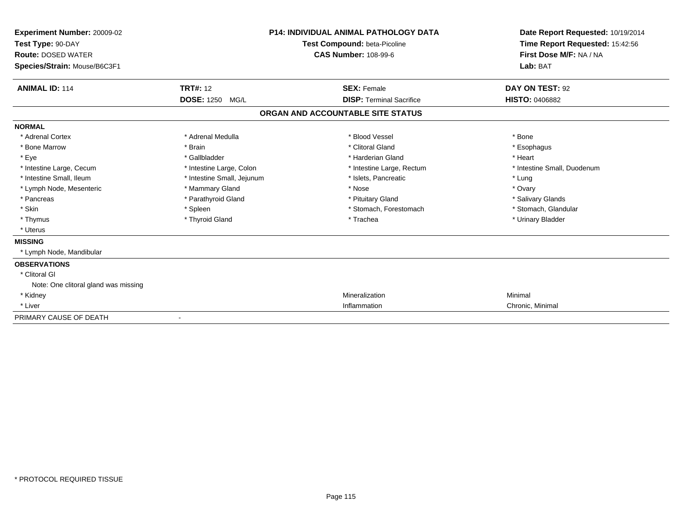| <b>Experiment Number: 20009-02</b><br>Test Type: 90-DAY<br><b>Route: DOSED WATER</b><br>Species/Strain: Mouse/B6C3F1 |                            | <b>P14: INDIVIDUAL ANIMAL PATHOLOGY DATA</b><br><b>Test Compound: beta-Picoline</b><br><b>CAS Number: 108-99-6</b> | Date Report Requested: 10/19/2014<br>Time Report Requested: 15:42:56<br>First Dose M/F: NA / NA<br>Lab: BAT |
|----------------------------------------------------------------------------------------------------------------------|----------------------------|--------------------------------------------------------------------------------------------------------------------|-------------------------------------------------------------------------------------------------------------|
| <b>ANIMAL ID: 114</b>                                                                                                | <b>TRT#: 12</b>            | <b>SEX: Female</b>                                                                                                 | DAY ON TEST: 92                                                                                             |
|                                                                                                                      | DOSE: 1250 MG/L            | <b>DISP: Terminal Sacrifice</b>                                                                                    | <b>HISTO: 0406882</b>                                                                                       |
|                                                                                                                      |                            | ORGAN AND ACCOUNTABLE SITE STATUS                                                                                  |                                                                                                             |
| <b>NORMAL</b>                                                                                                        |                            |                                                                                                                    |                                                                                                             |
| * Adrenal Cortex                                                                                                     | * Adrenal Medulla          | * Blood Vessel                                                                                                     | * Bone                                                                                                      |
| * Bone Marrow                                                                                                        | * Brain                    | * Clitoral Gland                                                                                                   | * Esophagus                                                                                                 |
| * Eye                                                                                                                | * Gallbladder              | * Harderian Gland                                                                                                  | * Heart                                                                                                     |
| * Intestine Large, Cecum                                                                                             | * Intestine Large, Colon   | * Intestine Large, Rectum                                                                                          | * Intestine Small, Duodenum                                                                                 |
| * Intestine Small. Ileum                                                                                             | * Intestine Small, Jejunum | * Islets, Pancreatic                                                                                               | * Lung                                                                                                      |
| * Lymph Node, Mesenteric                                                                                             | * Mammary Gland            | * Nose                                                                                                             | * Ovary                                                                                                     |
| * Pancreas                                                                                                           | * Parathyroid Gland        | * Pituitary Gland                                                                                                  | * Salivary Glands                                                                                           |
| * Skin                                                                                                               | * Spleen                   | * Stomach, Forestomach                                                                                             | * Stomach, Glandular                                                                                        |
| * Thymus                                                                                                             | * Thyroid Gland            | * Trachea                                                                                                          | * Urinary Bladder                                                                                           |
| * Uterus                                                                                                             |                            |                                                                                                                    |                                                                                                             |
| <b>MISSING</b>                                                                                                       |                            |                                                                                                                    |                                                                                                             |
| * Lymph Node, Mandibular                                                                                             |                            |                                                                                                                    |                                                                                                             |
| <b>OBSERVATIONS</b>                                                                                                  |                            |                                                                                                                    |                                                                                                             |
| * Clitoral GI                                                                                                        |                            |                                                                                                                    |                                                                                                             |
| Note: One clitoral gland was missing                                                                                 |                            |                                                                                                                    |                                                                                                             |
| * Kidney                                                                                                             |                            | Mineralization                                                                                                     | Minimal                                                                                                     |
| * Liver                                                                                                              |                            | Inflammation                                                                                                       | Chronic, Minimal                                                                                            |
| PRIMARY CAUSE OF DEATH                                                                                               |                            |                                                                                                                    |                                                                                                             |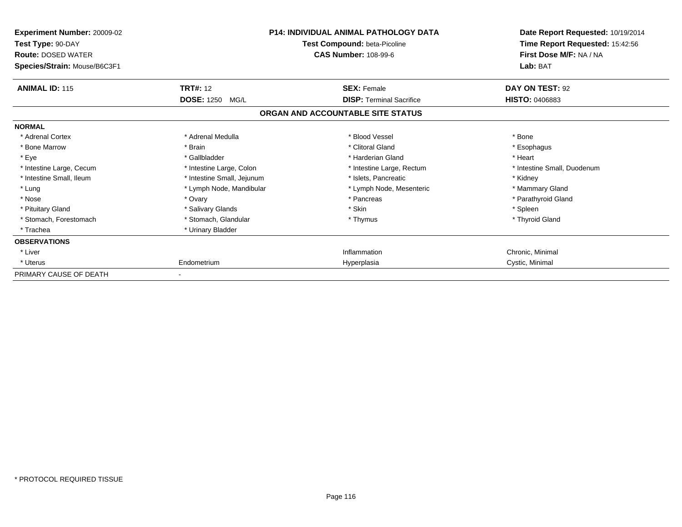| Experiment Number: 20009-02<br>Test Type: 90-DAY<br><b>Route: DOSED WATER</b><br>Species/Strain: Mouse/B6C3F1 | <b>P14: INDIVIDUAL ANIMAL PATHOLOGY DATA</b><br>Test Compound: beta-Picoline<br><b>CAS Number: 108-99-6</b> |                                                                      | Date Report Requested: 10/19/2014<br>Time Report Requested: 15:42:56<br>First Dose M/F: NA / NA<br>Lab: BAT |
|---------------------------------------------------------------------------------------------------------------|-------------------------------------------------------------------------------------------------------------|----------------------------------------------------------------------|-------------------------------------------------------------------------------------------------------------|
| <b>ANIMAL ID: 115</b>                                                                                         | <b>TRT#: 12</b>                                                                                             | <b>SEX: Female</b>                                                   | DAY ON TEST: 92                                                                                             |
|                                                                                                               | <b>DOSE: 1250</b><br>MG/L                                                                                   | <b>DISP: Terminal Sacrifice</b><br>ORGAN AND ACCOUNTABLE SITE STATUS | <b>HISTO: 0406883</b>                                                                                       |
|                                                                                                               |                                                                                                             |                                                                      |                                                                                                             |
| <b>NORMAL</b>                                                                                                 |                                                                                                             |                                                                      |                                                                                                             |
| * Adrenal Cortex                                                                                              | * Adrenal Medulla                                                                                           | * Blood Vessel                                                       | * Bone                                                                                                      |
| * Bone Marrow                                                                                                 | * Brain                                                                                                     | * Clitoral Gland                                                     | * Esophagus                                                                                                 |
| * Eye                                                                                                         | * Gallbladder                                                                                               | * Harderian Gland                                                    | * Heart                                                                                                     |
| * Intestine Large, Cecum                                                                                      | * Intestine Large, Colon                                                                                    | * Intestine Large, Rectum                                            | * Intestine Small, Duodenum                                                                                 |
| * Intestine Small, Ileum                                                                                      | * Intestine Small, Jejunum                                                                                  | * Islets, Pancreatic                                                 | * Kidney                                                                                                    |
| * Lung                                                                                                        | * Lymph Node, Mandibular                                                                                    | * Lymph Node, Mesenteric                                             | * Mammary Gland                                                                                             |
| * Nose                                                                                                        | * Ovary                                                                                                     | * Pancreas                                                           | * Parathyroid Gland                                                                                         |
| * Pituitary Gland                                                                                             | * Salivary Glands                                                                                           | * Skin                                                               | * Spleen                                                                                                    |
| * Stomach, Forestomach                                                                                        | * Stomach, Glandular                                                                                        | * Thymus                                                             | * Thyroid Gland                                                                                             |
| * Trachea                                                                                                     | * Urinary Bladder                                                                                           |                                                                      |                                                                                                             |
| <b>OBSERVATIONS</b>                                                                                           |                                                                                                             |                                                                      |                                                                                                             |
| * Liver                                                                                                       |                                                                                                             | Inflammation                                                         | Chronic, Minimal                                                                                            |
| * Uterus                                                                                                      | Endometrium                                                                                                 | Hyperplasia                                                          | Cystic, Minimal                                                                                             |
| PRIMARY CAUSE OF DEATH                                                                                        |                                                                                                             |                                                                      |                                                                                                             |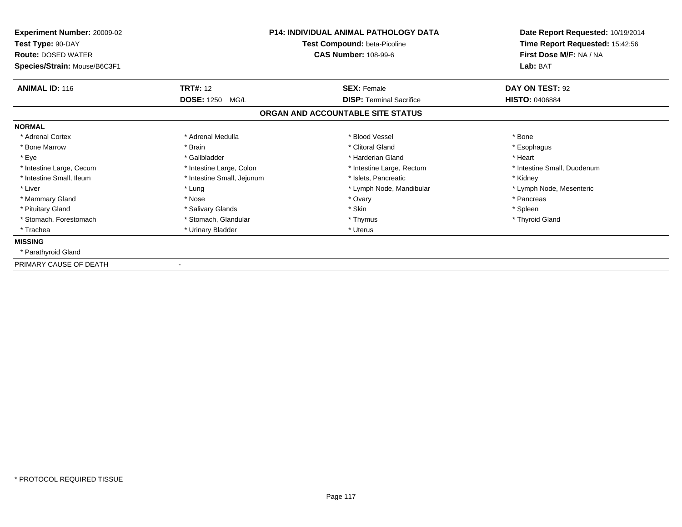| <b>P14: INDIVIDUAL ANIMAL PATHOLOGY DATA</b><br>Experiment Number: 20009-02<br>Test Compound: beta-Picoline<br>Test Type: 90-DAY<br><b>CAS Number: 108-99-6</b><br><b>Route: DOSED WATER</b><br>Species/Strain: Mouse/B6C3F1 |                            |                                   | Date Report Requested: 10/19/2014<br>Time Report Requested: 15:42:56<br>First Dose M/F: NA / NA<br>Lab: BAT |
|------------------------------------------------------------------------------------------------------------------------------------------------------------------------------------------------------------------------------|----------------------------|-----------------------------------|-------------------------------------------------------------------------------------------------------------|
| <b>ANIMAL ID: 116</b>                                                                                                                                                                                                        | <b>TRT#: 12</b>            | <b>SEX: Female</b>                | DAY ON TEST: 92                                                                                             |
|                                                                                                                                                                                                                              | <b>DOSE: 1250</b><br>MG/L  | <b>DISP: Terminal Sacrifice</b>   | <b>HISTO: 0406884</b>                                                                                       |
|                                                                                                                                                                                                                              |                            | ORGAN AND ACCOUNTABLE SITE STATUS |                                                                                                             |
| <b>NORMAL</b>                                                                                                                                                                                                                |                            |                                   |                                                                                                             |
| * Adrenal Cortex                                                                                                                                                                                                             | * Adrenal Medulla          | * Blood Vessel                    | * Bone                                                                                                      |
| * Bone Marrow                                                                                                                                                                                                                | * Brain                    | * Clitoral Gland                  | * Esophagus                                                                                                 |
| * Eye                                                                                                                                                                                                                        | * Gallbladder              | * Harderian Gland                 | * Heart                                                                                                     |
| * Intestine Large, Cecum                                                                                                                                                                                                     | * Intestine Large, Colon   | * Intestine Large, Rectum         | * Intestine Small, Duodenum                                                                                 |
| * Intestine Small, Ileum                                                                                                                                                                                                     | * Intestine Small, Jejunum | * Islets. Pancreatic              | * Kidney                                                                                                    |
| * Liver                                                                                                                                                                                                                      | * Lung                     | * Lymph Node, Mandibular          | * Lymph Node, Mesenteric                                                                                    |
| * Mammary Gland                                                                                                                                                                                                              | * Nose                     | * Ovary                           | * Pancreas                                                                                                  |
| * Pituitary Gland                                                                                                                                                                                                            | * Salivary Glands          | * Skin                            | * Spleen                                                                                                    |
| * Stomach, Forestomach                                                                                                                                                                                                       | * Stomach, Glandular       | * Thymus                          | * Thyroid Gland                                                                                             |
| * Trachea                                                                                                                                                                                                                    | * Urinary Bladder          | * Uterus                          |                                                                                                             |
| <b>MISSING</b>                                                                                                                                                                                                               |                            |                                   |                                                                                                             |
| * Parathyroid Gland                                                                                                                                                                                                          |                            |                                   |                                                                                                             |
| PRIMARY CAUSE OF DEATH                                                                                                                                                                                                       |                            |                                   |                                                                                                             |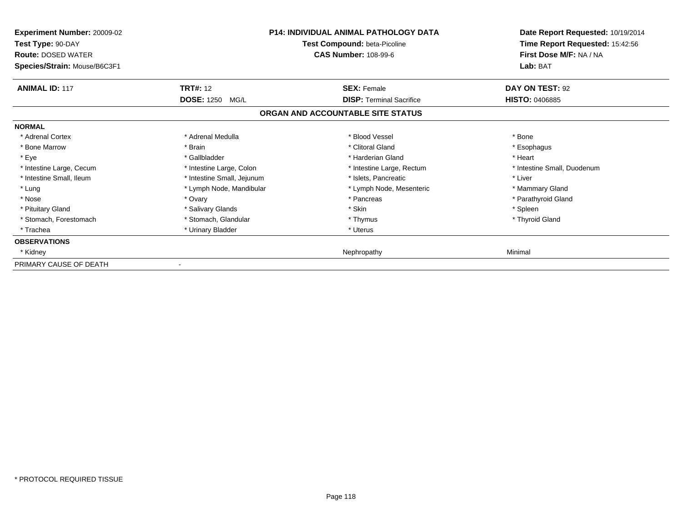| Experiment Number: 20009-02<br>Test Type: 90-DAY<br><b>Route: DOSED WATER</b><br>Species/Strain: Mouse/B6C3F1 | <b>P14: INDIVIDUAL ANIMAL PATHOLOGY DATA</b><br>Test Compound: beta-Picoline<br><b>CAS Number: 108-99-6</b> |                                   | Date Report Requested: 10/19/2014<br>Time Report Requested: 15:42:56<br>First Dose M/F: NA / NA<br>Lab: BAT |
|---------------------------------------------------------------------------------------------------------------|-------------------------------------------------------------------------------------------------------------|-----------------------------------|-------------------------------------------------------------------------------------------------------------|
| <b>ANIMAL ID: 117</b>                                                                                         | <b>TRT#: 12</b>                                                                                             | <b>SEX: Female</b>                | <b>DAY ON TEST: 92</b>                                                                                      |
|                                                                                                               | <b>DOSE: 1250</b><br>MG/L                                                                                   | <b>DISP: Terminal Sacrifice</b>   | <b>HISTO: 0406885</b>                                                                                       |
|                                                                                                               |                                                                                                             | ORGAN AND ACCOUNTABLE SITE STATUS |                                                                                                             |
| <b>NORMAL</b>                                                                                                 |                                                                                                             |                                   |                                                                                                             |
| * Adrenal Cortex                                                                                              | * Adrenal Medulla                                                                                           | * Blood Vessel                    | * Bone                                                                                                      |
| * Bone Marrow                                                                                                 | * Brain                                                                                                     | * Clitoral Gland                  | * Esophagus                                                                                                 |
| * Eye                                                                                                         | * Gallbladder                                                                                               | * Harderian Gland                 | * Heart                                                                                                     |
| * Intestine Large, Cecum                                                                                      | * Intestine Large, Colon                                                                                    | * Intestine Large, Rectum         | * Intestine Small, Duodenum                                                                                 |
| * Intestine Small, Ileum                                                                                      | * Intestine Small, Jejunum                                                                                  | * Islets. Pancreatic              | * Liver                                                                                                     |
| * Lung                                                                                                        | * Lymph Node, Mandibular                                                                                    | * Lymph Node, Mesenteric          | * Mammary Gland                                                                                             |
| * Nose                                                                                                        | * Ovary                                                                                                     | * Pancreas                        | * Parathyroid Gland                                                                                         |
| * Pituitary Gland                                                                                             | * Salivary Glands                                                                                           | * Skin                            | * Spleen                                                                                                    |
| * Stomach, Forestomach                                                                                        | * Stomach, Glandular                                                                                        | * Thymus                          | * Thyroid Gland                                                                                             |
| * Trachea                                                                                                     | * Urinary Bladder                                                                                           | * Uterus                          |                                                                                                             |
| <b>OBSERVATIONS</b>                                                                                           |                                                                                                             |                                   |                                                                                                             |
| * Kidney                                                                                                      |                                                                                                             | Nephropathy                       | Minimal                                                                                                     |
| PRIMARY CAUSE OF DEATH                                                                                        |                                                                                                             |                                   |                                                                                                             |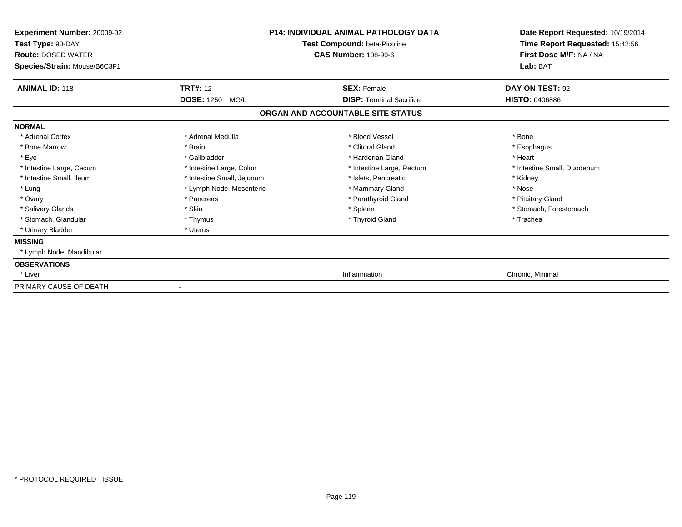| Experiment Number: 20009-02<br>Test Type: 90-DAY<br><b>Route: DOSED WATER</b><br>Species/Strain: Mouse/B6C3F1 | <b>P14: INDIVIDUAL ANIMAL PATHOLOGY DATA</b><br>Test Compound: beta-Picoline<br><b>CAS Number: 108-99-6</b> |                                   | Date Report Requested: 10/19/2014<br>Time Report Requested: 15:42:56<br>First Dose M/F: NA / NA<br>Lab: BAT |
|---------------------------------------------------------------------------------------------------------------|-------------------------------------------------------------------------------------------------------------|-----------------------------------|-------------------------------------------------------------------------------------------------------------|
|                                                                                                               |                                                                                                             |                                   |                                                                                                             |
| <b>ANIMAL ID: 118</b><br><b>TRT#: 12</b>                                                                      |                                                                                                             | <b>SEX: Female</b>                | DAY ON TEST: 92                                                                                             |
| <b>DOSE: 1250</b>                                                                                             | MG/L                                                                                                        | <b>DISP: Terminal Sacrifice</b>   | <b>HISTO: 0406886</b>                                                                                       |
|                                                                                                               |                                                                                                             | ORGAN AND ACCOUNTABLE SITE STATUS |                                                                                                             |
| <b>NORMAL</b>                                                                                                 |                                                                                                             |                                   |                                                                                                             |
| * Adrenal Cortex                                                                                              | * Adrenal Medulla                                                                                           | * Blood Vessel                    | * Bone                                                                                                      |
| * Bone Marrow<br>* Brain                                                                                      |                                                                                                             | * Clitoral Gland                  | * Esophagus                                                                                                 |
| * Eye<br>* Gallbladder                                                                                        |                                                                                                             | * Harderian Gland                 | * Heart                                                                                                     |
| * Intestine Large, Cecum                                                                                      | * Intestine Large, Colon                                                                                    | * Intestine Large, Rectum         | * Intestine Small, Duodenum                                                                                 |
| * Intestine Small, Ileum                                                                                      | * Intestine Small, Jejunum                                                                                  | * Islets, Pancreatic              | * Kidney                                                                                                    |
| * Lung                                                                                                        | * Lymph Node, Mesenteric                                                                                    | * Mammary Gland                   | * Nose                                                                                                      |
| * Ovary<br>* Pancreas                                                                                         |                                                                                                             | * Parathyroid Gland               | * Pituitary Gland                                                                                           |
| * Salivary Glands<br>* Skin                                                                                   |                                                                                                             | * Spleen                          | * Stomach, Forestomach                                                                                      |
| * Stomach, Glandular<br>* Thymus                                                                              |                                                                                                             | * Thyroid Gland                   | * Trachea                                                                                                   |
| * Urinary Bladder<br>* Uterus                                                                                 |                                                                                                             |                                   |                                                                                                             |
| <b>MISSING</b>                                                                                                |                                                                                                             |                                   |                                                                                                             |
| * Lymph Node, Mandibular                                                                                      |                                                                                                             |                                   |                                                                                                             |
| <b>OBSERVATIONS</b>                                                                                           |                                                                                                             |                                   |                                                                                                             |
| * Liver                                                                                                       |                                                                                                             | Inflammation                      | Chronic, Minimal                                                                                            |
| PRIMARY CAUSE OF DEATH<br>-                                                                                   |                                                                                                             |                                   |                                                                                                             |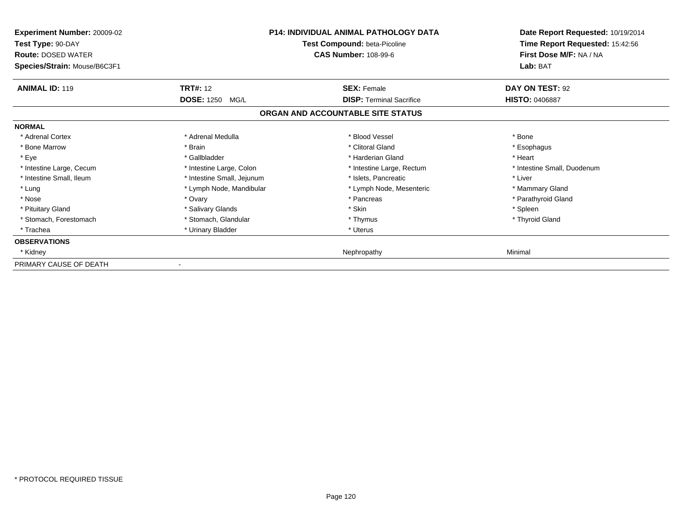| Experiment Number: 20009-02<br>Test Type: 90-DAY<br><b>Route: DOSED WATER</b><br>Species/Strain: Mouse/B6C3F1 | <b>P14: INDIVIDUAL ANIMAL PATHOLOGY DATA</b><br>Test Compound: beta-Picoline<br><b>CAS Number: 108-99-6</b> |                                   | Date Report Requested: 10/19/2014<br>Time Report Requested: 15:42:56<br>First Dose M/F: NA / NA<br>Lab: BAT |
|---------------------------------------------------------------------------------------------------------------|-------------------------------------------------------------------------------------------------------------|-----------------------------------|-------------------------------------------------------------------------------------------------------------|
| <b>ANIMAL ID: 119</b>                                                                                         | <b>TRT#:</b> 12                                                                                             | <b>SEX: Female</b>                | DAY ON TEST: 92                                                                                             |
|                                                                                                               | <b>DOSE: 1250</b><br>MG/L                                                                                   | <b>DISP: Terminal Sacrifice</b>   | <b>HISTO: 0406887</b>                                                                                       |
|                                                                                                               |                                                                                                             | ORGAN AND ACCOUNTABLE SITE STATUS |                                                                                                             |
| <b>NORMAL</b>                                                                                                 |                                                                                                             |                                   |                                                                                                             |
| * Adrenal Cortex                                                                                              | * Adrenal Medulla                                                                                           | * Blood Vessel                    | * Bone                                                                                                      |
| * Bone Marrow                                                                                                 | * Brain                                                                                                     | * Clitoral Gland                  | * Esophagus                                                                                                 |
| * Eye                                                                                                         | * Gallbladder                                                                                               | * Harderian Gland                 | * Heart                                                                                                     |
| * Intestine Large, Cecum                                                                                      | * Intestine Large, Colon                                                                                    | * Intestine Large, Rectum         | * Intestine Small, Duodenum                                                                                 |
| * Intestine Small, Ileum                                                                                      | * Intestine Small, Jejunum                                                                                  | * Islets. Pancreatic              | * Liver                                                                                                     |
| * Lung                                                                                                        | * Lymph Node, Mandibular                                                                                    | * Lymph Node, Mesenteric          | * Mammary Gland                                                                                             |
| * Nose                                                                                                        | * Ovary                                                                                                     | * Pancreas                        | * Parathyroid Gland                                                                                         |
| * Pituitary Gland                                                                                             | * Salivary Glands                                                                                           | * Skin                            | * Spleen                                                                                                    |
| * Stomach, Forestomach                                                                                        | * Stomach, Glandular                                                                                        | * Thymus                          | * Thyroid Gland                                                                                             |
| * Trachea                                                                                                     | * Urinary Bladder                                                                                           | * Uterus                          |                                                                                                             |
| <b>OBSERVATIONS</b>                                                                                           |                                                                                                             |                                   |                                                                                                             |
| * Kidney                                                                                                      |                                                                                                             | Nephropathy                       | Minimal                                                                                                     |
| PRIMARY CAUSE OF DEATH                                                                                        |                                                                                                             |                                   |                                                                                                             |